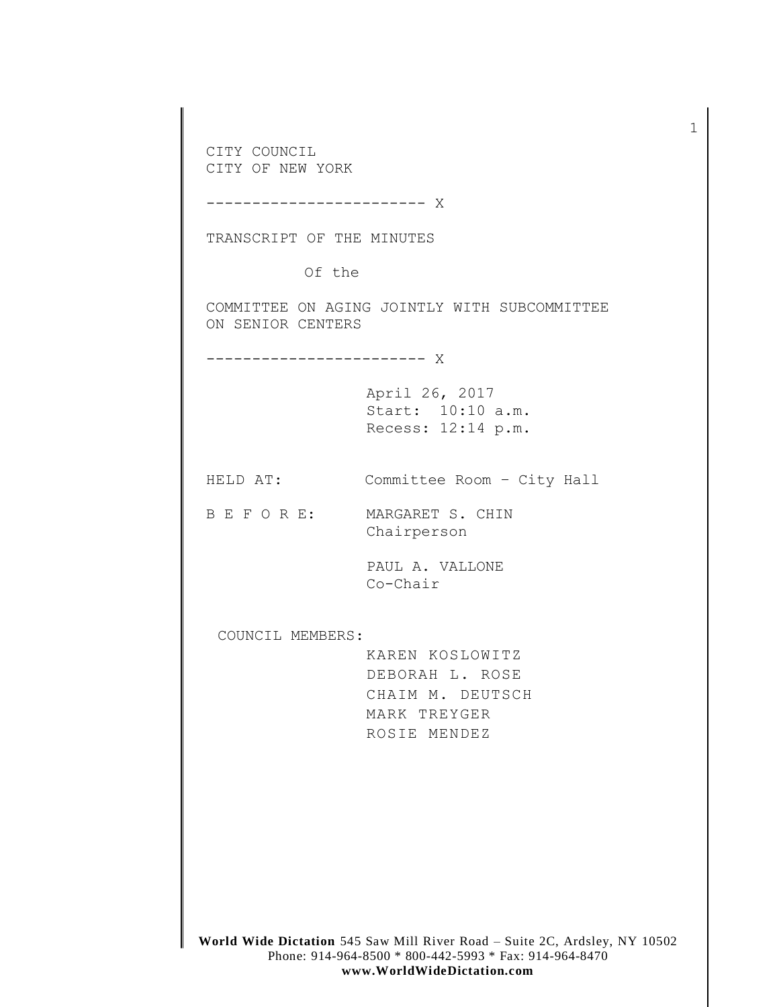**World Wide Dictation** 545 Saw Mill River Road – Suite 2C, Ardsley, NY 10502 Phone: 914-964-8500 \* 800-442-5993 \* Fax: 914-964-8470 CITY COUNCIL CITY OF NEW YORK ------------------------ X TRANSCRIPT OF THE MINUTES Of the COMMITTEE ON AGING JOINTLY WITH SUBCOMMITTEE ON SENIOR CENTERS ------------------------ X April 26, 2017 Start: 10:10 a.m. Recess: 12:14 p.m. HELD AT: Committee Room – City Hall B E F O R E: MARGARET S. CHIN Chairperson PAUL A. VALLONE Co-Chair COUNCIL MEMBERS: KAREN KOSLOWITZ DEBORAH L. ROSE CHAIM M. DEUTSCH MARK TREYGER ROSIE MENDEZ

1

**www.WorldWideDictation.com**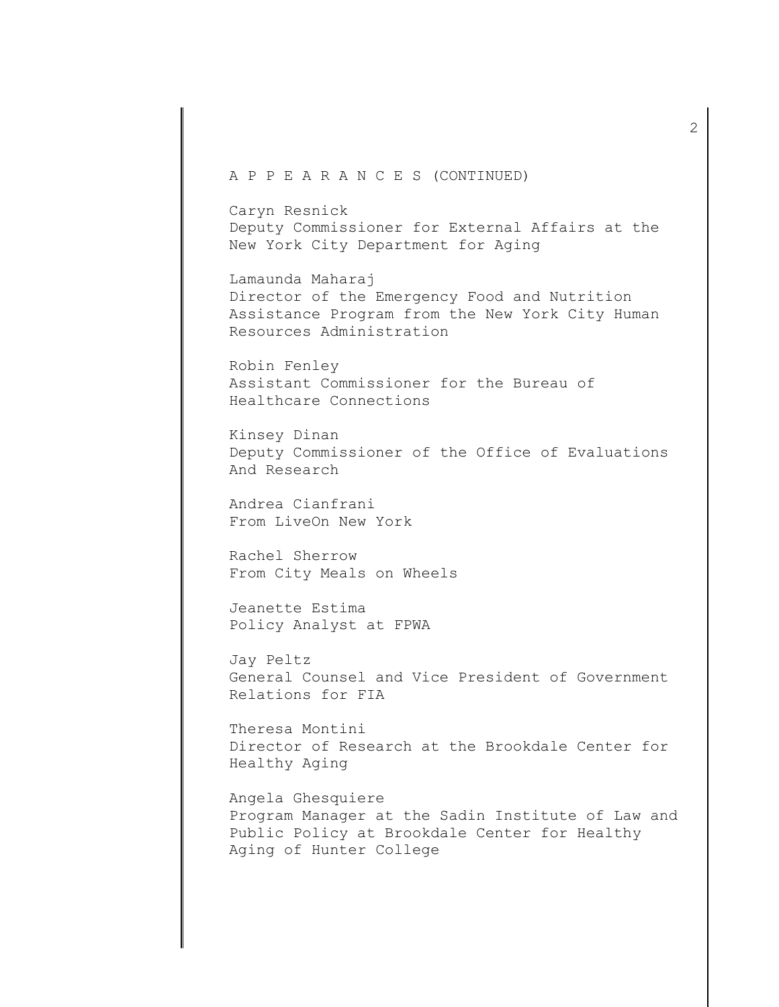## A P P E A R A N C E S (CONTINUED)

Caryn Resnick Deputy Commissioner for External Affairs at the New York City Department for Aging

Lamaunda Maharaj Director of the Emergency Food and Nutrition Assistance Program from the New York City Human Resources Administration

Robin Fenley Assistant Commissioner for the Bureau of Healthcare Connections

Kinsey Dinan Deputy Commissioner of the Office of Evaluations And Research

Andrea Cianfrani From LiveOn New York

Rachel Sherrow From City Meals on Wheels

Jeanette Estima Policy Analyst at FPWA

Jay Peltz General Counsel and Vice President of Government Relations for FIA

Theresa Montini Director of Research at the Brookdale Center for Healthy Aging

Angela Ghesquiere Program Manager at the Sadin Institute of Law and Public Policy at Brookdale Center for Healthy Aging of Hunter College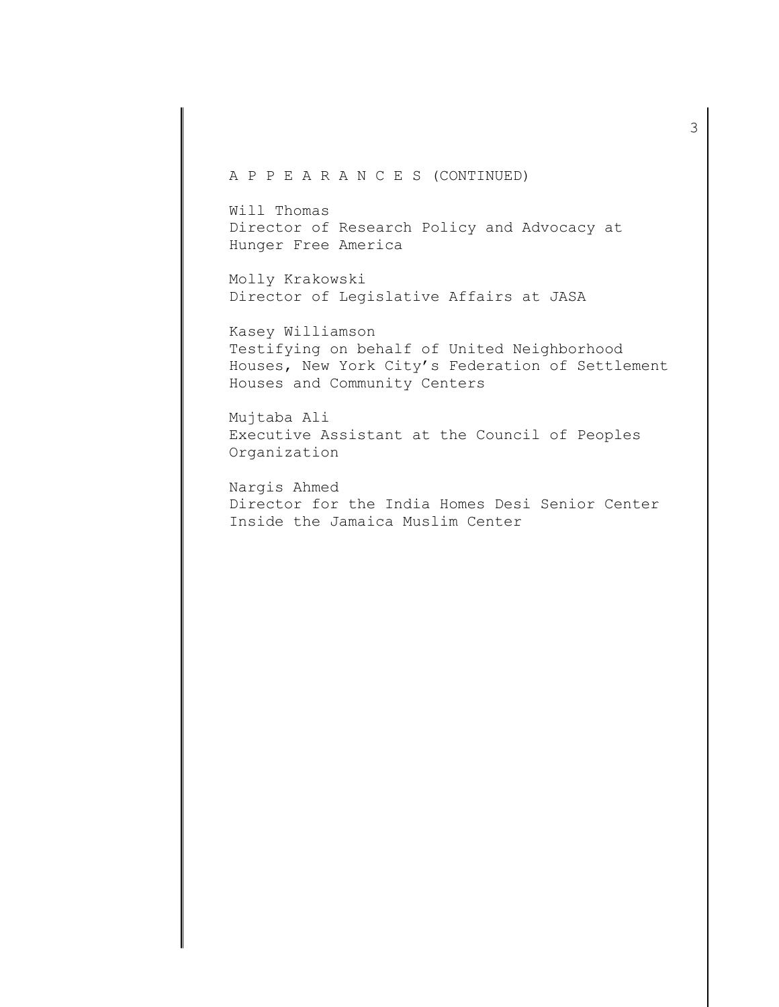## A P P E A R A N C E S (CONTINUED)

Will Thomas Director of Research Policy and Advocacy at Hunger Free America

Molly Krakowski Director of Legislative Affairs at JASA

Kasey Williamson Testifying on behalf of United Neighborhood Houses, New York City's Federation of Settlement Houses and Community Centers

Mujtaba Ali Executive Assistant at the Council of Peoples Organization

Nargis Ahmed Director for the India Homes Desi Senior Center Inside the Jamaica Muslim Center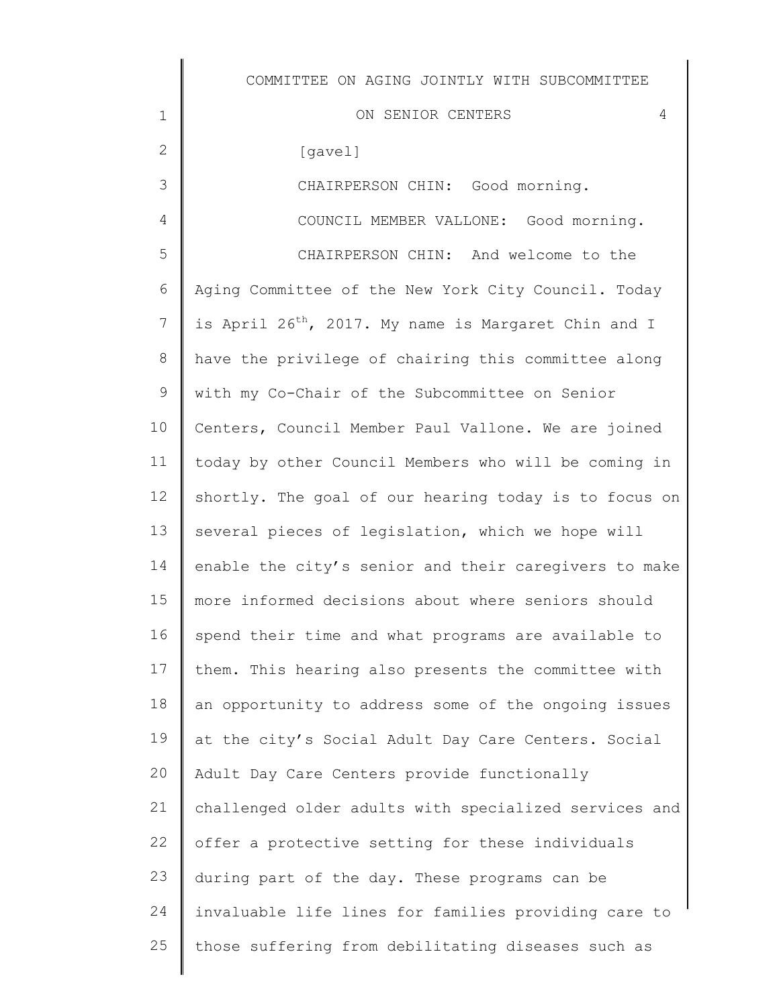ON SENIOR CENTERS 4

[gavel]

1

2

3

4

CHAIRPERSON CHIN: Good morning. COUNCIL MEMBER VALLONE: Good morning.

5 6 7 8 9 10 11 12 13 14 15 16 17 18 19 20 21 22 23 24 25 CHAIRPERSON CHIN: And welcome to the Aging Committee of the New York City Council. Today is April  $26^{th}$ , 2017. My name is Margaret Chin and I have the privilege of chairing this committee along with my Co-Chair of the Subcommittee on Senior Centers, Council Member Paul Vallone. We are joined today by other Council Members who will be coming in shortly. The goal of our hearing today is to focus on several pieces of legislation, which we hope will enable the city's senior and their caregivers to make more informed decisions about where seniors should spend their time and what programs are available to them. This hearing also presents the committee with an opportunity to address some of the ongoing issues at the city's Social Adult Day Care Centers. Social Adult Day Care Centers provide functionally challenged older adults with specialized services and offer a protective setting for these individuals during part of the day. These programs can be invaluable life lines for families providing care to those suffering from debilitating diseases such as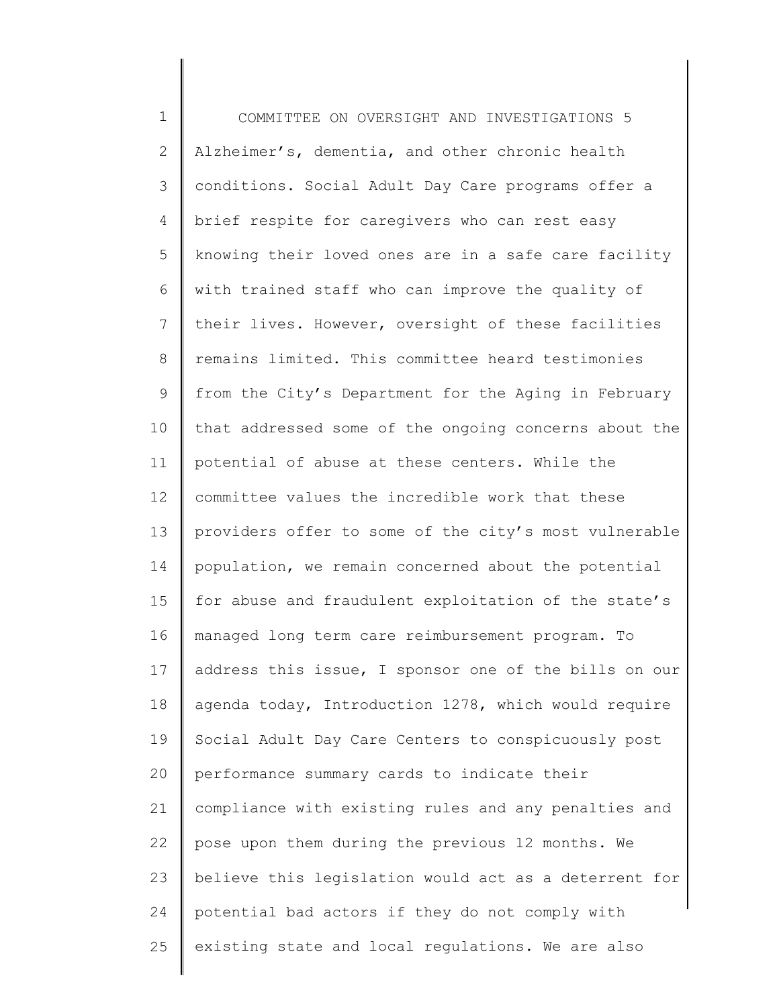1 2 3 4 5 6 7 8 9 10 11 12 13 14 15 16 17 18 19 20 21 22 23 24 25 COMMITTEE ON OVERSIGHT AND INVESTIGATIONS 5 Alzheimer's, dementia, and other chronic health conditions. Social Adult Day Care programs offer a brief respite for caregivers who can rest easy knowing their loved ones are in a safe care facility with trained staff who can improve the quality of their lives. However, oversight of these facilities remains limited. This committee heard testimonies from the City's Department for the Aging in February that addressed some of the ongoing concerns about the potential of abuse at these centers. While the committee values the incredible work that these providers offer to some of the city's most vulnerable population, we remain concerned about the potential for abuse and fraudulent exploitation of the state's managed long term care reimbursement program. To address this issue, I sponsor one of the bills on our agenda today, Introduction 1278, which would require Social Adult Day Care Centers to conspicuously post performance summary cards to indicate their compliance with existing rules and any penalties and pose upon them during the previous 12 months. We believe this legislation would act as a deterrent for potential bad actors if they do not comply with existing state and local regulations. We are also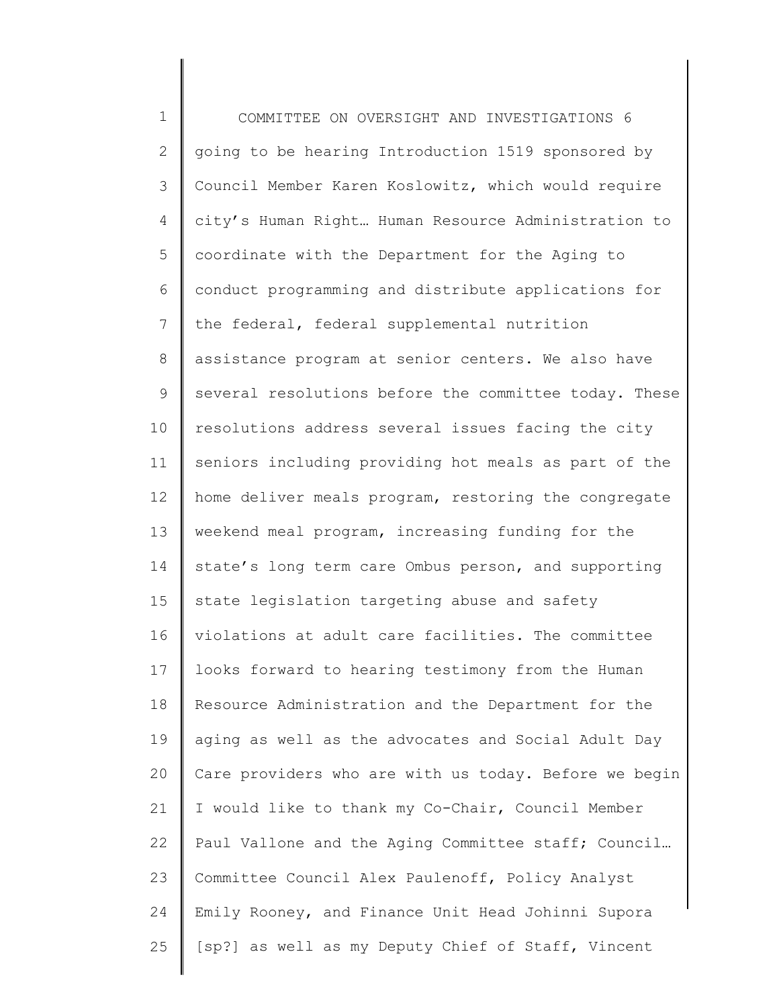1 2 3 4 5 6 7 8 9 10 11 12 13 14 15 16 17 18 19 20 21 22 23 24 25 COMMITTEE ON OVERSIGHT AND INVESTIGATIONS 6 going to be hearing Introduction 1519 sponsored by Council Member Karen Koslowitz, which would require city's Human Right… Human Resource Administration to coordinate with the Department for the Aging to conduct programming and distribute applications for the federal, federal supplemental nutrition assistance program at senior centers. We also have several resolutions before the committee today. These resolutions address several issues facing the city seniors including providing hot meals as part of the home deliver meals program, restoring the congregate weekend meal program, increasing funding for the state's long term care Ombus person, and supporting state legislation targeting abuse and safety violations at adult care facilities. The committee looks forward to hearing testimony from the Human Resource Administration and the Department for the aging as well as the advocates and Social Adult Day Care providers who are with us today. Before we begin I would like to thank my Co-Chair, Council Member Paul Vallone and the Aging Committee staff; Council… Committee Council Alex Paulenoff, Policy Analyst Emily Rooney, and Finance Unit Head Johinni Supora [sp?] as well as my Deputy Chief of Staff, Vincent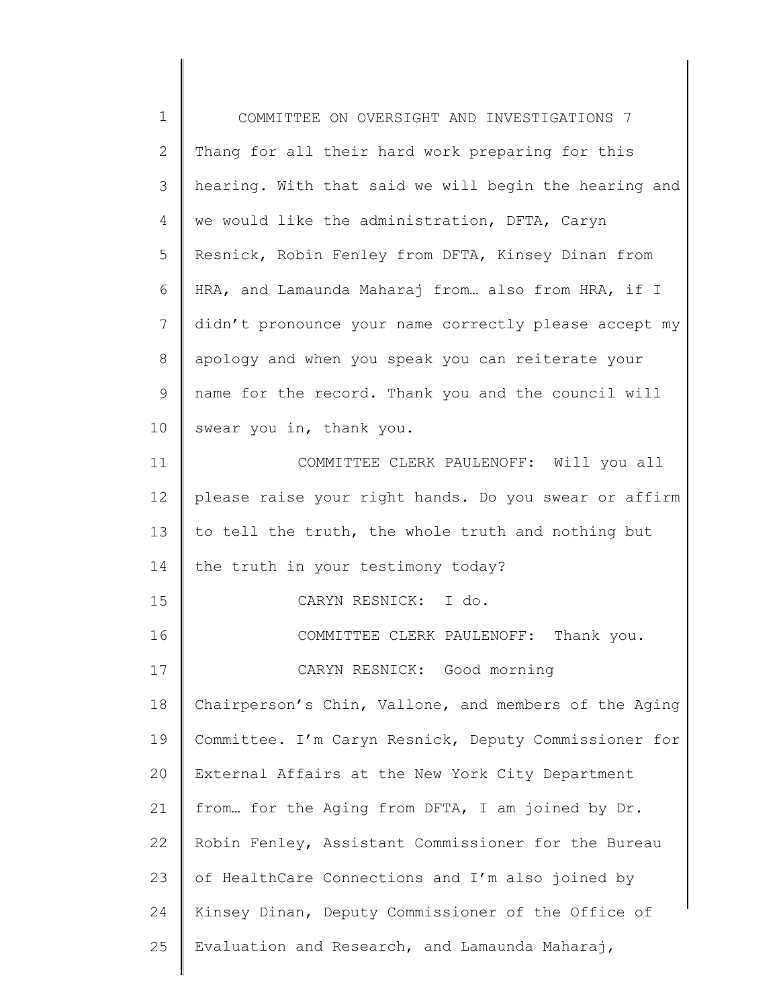| $\mathbf 1$    | COMMITTEE ON OVERSIGHT AND INVESTIGATIONS 7           |
|----------------|-------------------------------------------------------|
| $\mathbf{2}$   | Thang for all their hard work preparing for this      |
| 3              | hearing. With that said we will begin the hearing and |
| 4              | we would like the administration, DFTA, Caryn         |
| 5              | Resnick, Robin Fenley from DFTA, Kinsey Dinan from    |
| 6              | HRA, and Lamaunda Maharaj from also from HRA, if I    |
| $\overline{7}$ | didn't pronounce your name correctly please accept my |
| $\,8\,$        | apology and when you speak you can reiterate your     |
| $\mathsf 9$    | name for the record. Thank you and the council will   |
| 10             | swear you in, thank you.                              |
| 11             | COMMITTEE CLERK PAULENOFF: Will you all               |
| 12             | please raise your right hands. Do you swear or affirm |
| 13             | to tell the truth, the whole truth and nothing but    |
| 14             | the truth in your testimony today?                    |
| 15             | CARYN RESNICK: I do.                                  |
| 16             | COMMITTEE CLERK PAULENOFF: Thank you.                 |
| 17             | CARYN RESNICK: Good morning                           |
| 18             | Chairperson's Chin, Vallone, and members of the Aging |
| 19             | Committee. I'm Caryn Resnick, Deputy Commissioner for |
| 20             | External Affairs at the New York City Department      |
| 21             | from for the Aging from DFTA, I am joined by Dr.      |
| 22             | Robin Fenley, Assistant Commissioner for the Bureau   |
| 23             | of HealthCare Connections and I'm also joined by      |
| 24             | Kinsey Dinan, Deputy Commissioner of the Office of    |
| 25             | Evaluation and Research, and Lamaunda Maharaj,        |

║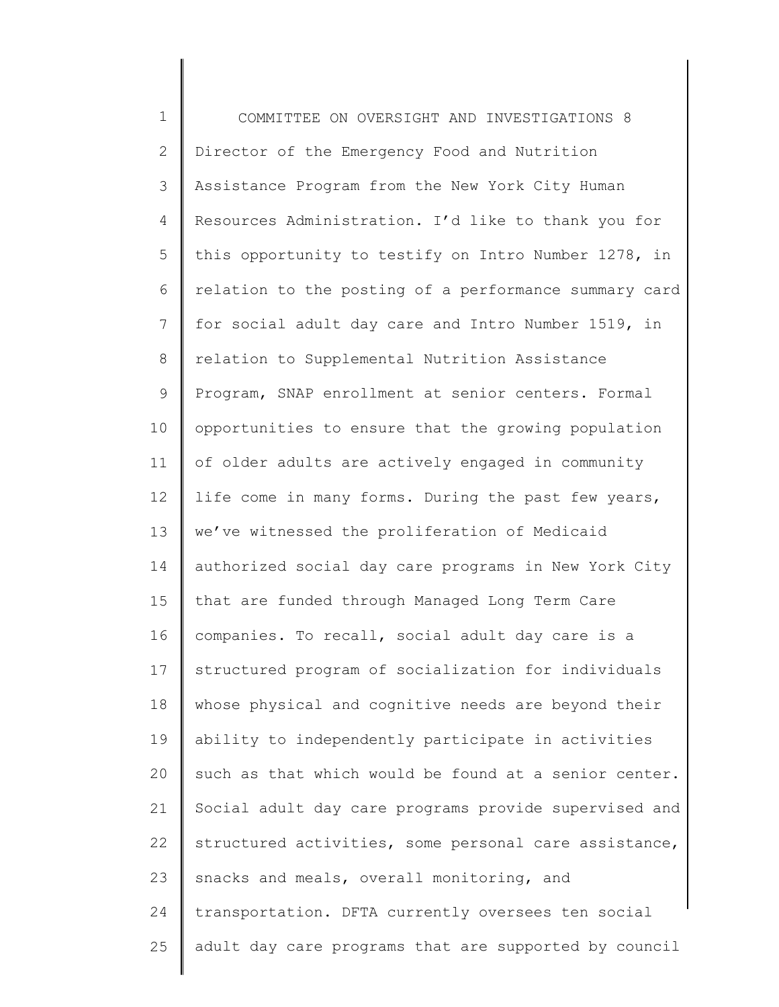1 2 3 4 5 6 7 8 9 10 11 12 13 14 15 16 17 18 19 20 21 22 23 24 25 COMMITTEE ON OVERSIGHT AND INVESTIGATIONS 8 Director of the Emergency Food and Nutrition Assistance Program from the New York City Human Resources Administration. I'd like to thank you for this opportunity to testify on Intro Number 1278, in relation to the posting of a performance summary card for social adult day care and Intro Number 1519, in relation to Supplemental Nutrition Assistance Program, SNAP enrollment at senior centers. Formal opportunities to ensure that the growing population of older adults are actively engaged in community life come in many forms. During the past few years, we've witnessed the proliferation of Medicaid authorized social day care programs in New York City that are funded through Managed Long Term Care companies. To recall, social adult day care is a structured program of socialization for individuals whose physical and cognitive needs are beyond their ability to independently participate in activities such as that which would be found at a senior center. Social adult day care programs provide supervised and structured activities, some personal care assistance, snacks and meals, overall monitoring, and transportation. DFTA currently oversees ten social adult day care programs that are supported by council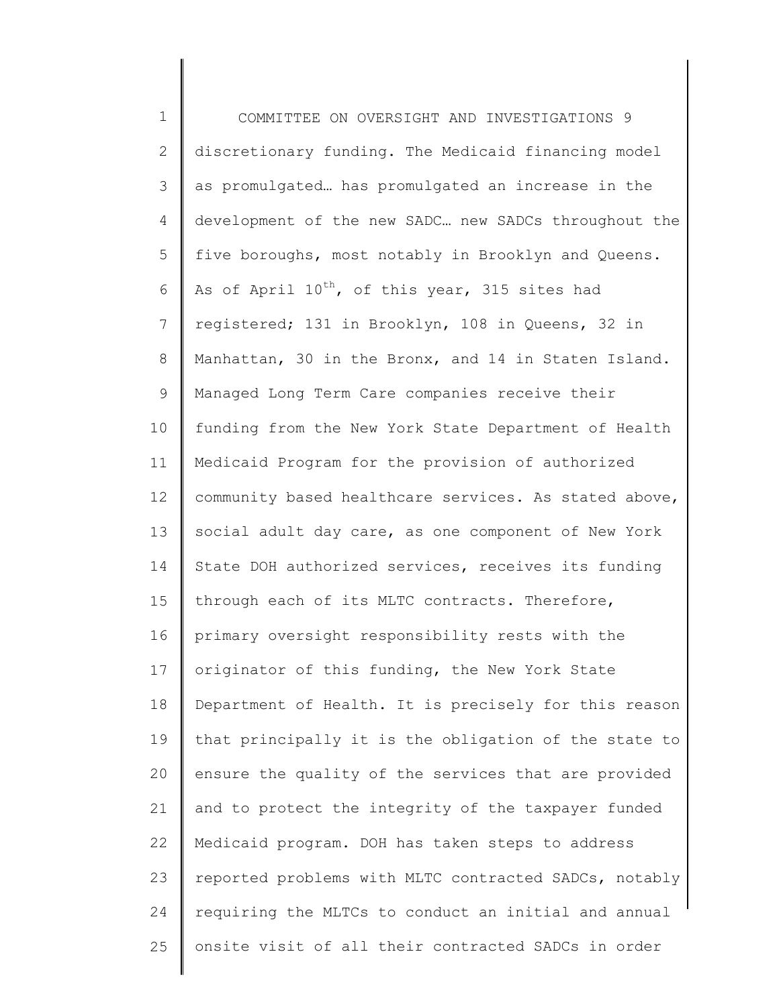1 2 3 4 5 6 7 8 9 10 11 12 13 14 15 16 17 18 19 20 21 22 23 24 25 COMMITTEE ON OVERSIGHT AND INVESTIGATIONS 9 discretionary funding. The Medicaid financing model as promulgated… has promulgated an increase in the development of the new SADC… new SADCs throughout the five boroughs, most notably in Brooklyn and Queens. As of April 10<sup>th</sup>, of this year, 315 sites had registered; 131 in Brooklyn, 108 in Queens, 32 in Manhattan, 30 in the Bronx, and 14 in Staten Island. Managed Long Term Care companies receive their funding from the New York State Department of Health Medicaid Program for the provision of authorized community based healthcare services. As stated above, social adult day care, as one component of New York State DOH authorized services, receives its funding through each of its MLTC contracts. Therefore, primary oversight responsibility rests with the originator of this funding, the New York State Department of Health. It is precisely for this reason that principally it is the obligation of the state to ensure the quality of the services that are provided and to protect the integrity of the taxpayer funded Medicaid program. DOH has taken steps to address reported problems with MLTC contracted SADCs, notably requiring the MLTCs to conduct an initial and annual onsite visit of all their contracted SADCs in order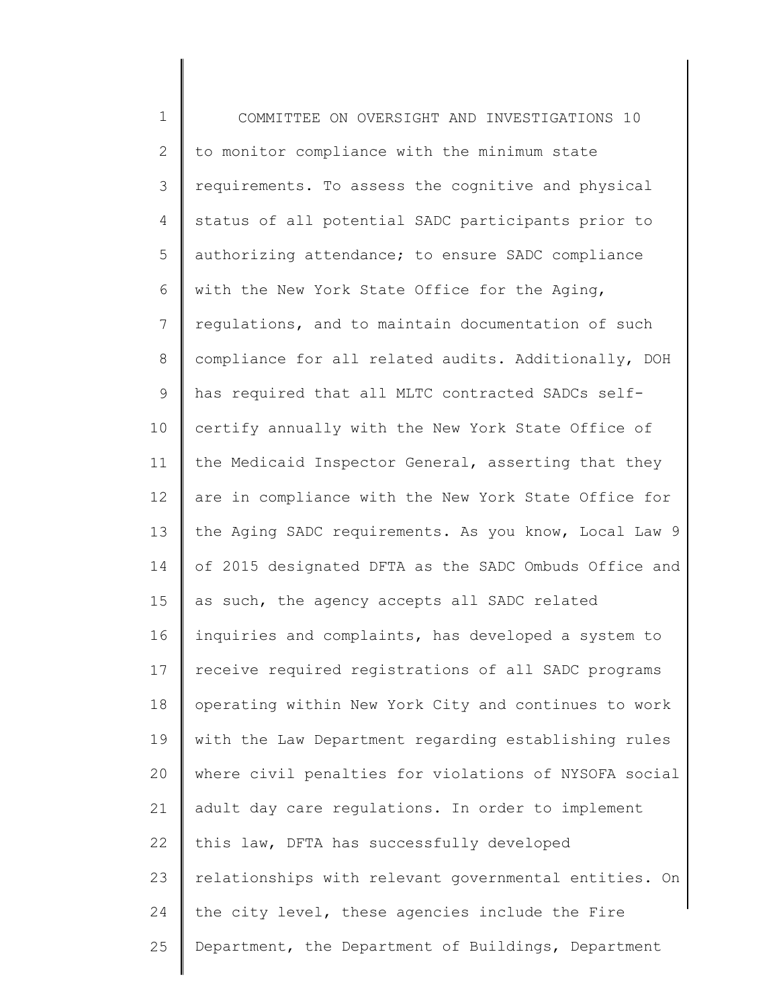1 2 3 4 5 6 7 8 9 10 11 12 13 14 15 16 17 18 19 20 21 22 23 24 25 COMMITTEE ON OVERSIGHT AND INVESTIGATIONS 10 to monitor compliance with the minimum state requirements. To assess the cognitive and physical status of all potential SADC participants prior to authorizing attendance; to ensure SADC compliance with the New York State Office for the Aging, regulations, and to maintain documentation of such compliance for all related audits. Additionally, DOH has required that all MLTC contracted SADCs selfcertify annually with the New York State Office of the Medicaid Inspector General, asserting that they are in compliance with the New York State Office for the Aging SADC requirements. As you know, Local Law 9 of 2015 designated DFTA as the SADC Ombuds Office and as such, the agency accepts all SADC related inquiries and complaints, has developed a system to receive required registrations of all SADC programs operating within New York City and continues to work with the Law Department regarding establishing rules where civil penalties for violations of NYSOFA social adult day care regulations. In order to implement this law, DFTA has successfully developed relationships with relevant governmental entities. On the city level, these agencies include the Fire Department, the Department of Buildings, Department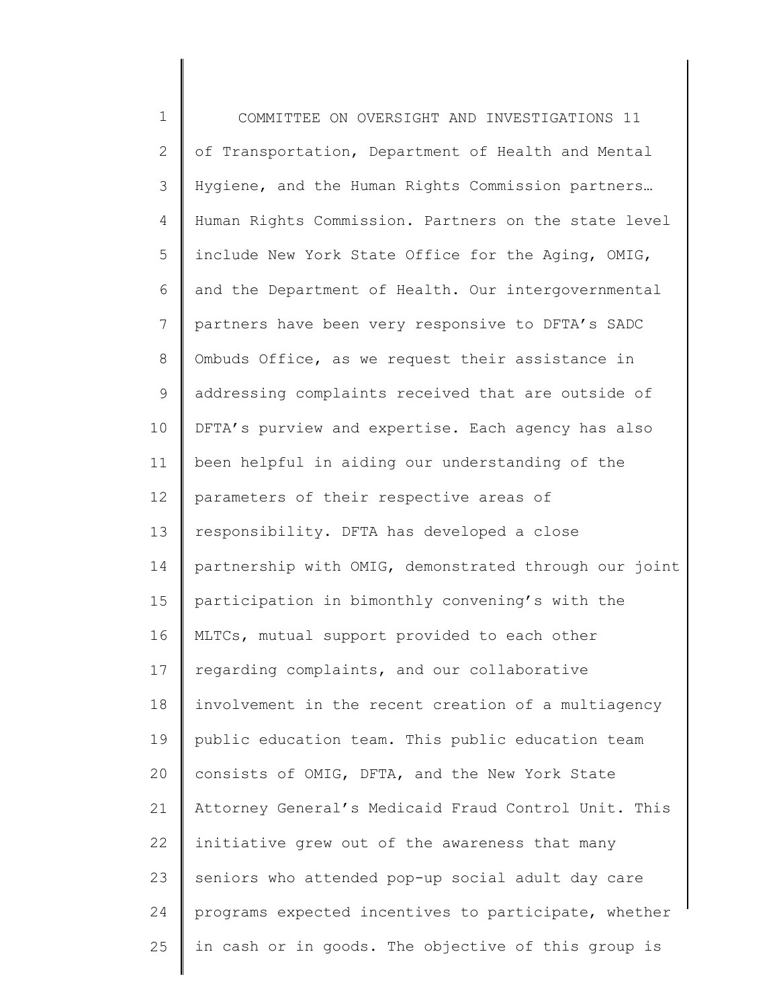1 2 3 4 5 6 7 8 9 10 11 12 13 14 15 16 17 18 19 20 21 22 23 24 25 COMMITTEE ON OVERSIGHT AND INVESTIGATIONS 11 of Transportation, Department of Health and Mental Hygiene, and the Human Rights Commission partners… Human Rights Commission. Partners on the state level include New York State Office for the Aging, OMIG, and the Department of Health. Our intergovernmental partners have been very responsive to DFTA's SADC Ombuds Office, as we request their assistance in addressing complaints received that are outside of DFTA's purview and expertise. Each agency has also been helpful in aiding our understanding of the parameters of their respective areas of responsibility. DFTA has developed a close partnership with OMIG, demonstrated through our joint participation in bimonthly convening's with the MLTCs, mutual support provided to each other regarding complaints, and our collaborative involvement in the recent creation of a multiagency public education team. This public education team consists of OMIG, DFTA, and the New York State Attorney General's Medicaid Fraud Control Unit. This initiative grew out of the awareness that many seniors who attended pop-up social adult day care programs expected incentives to participate, whether in cash or in goods. The objective of this group is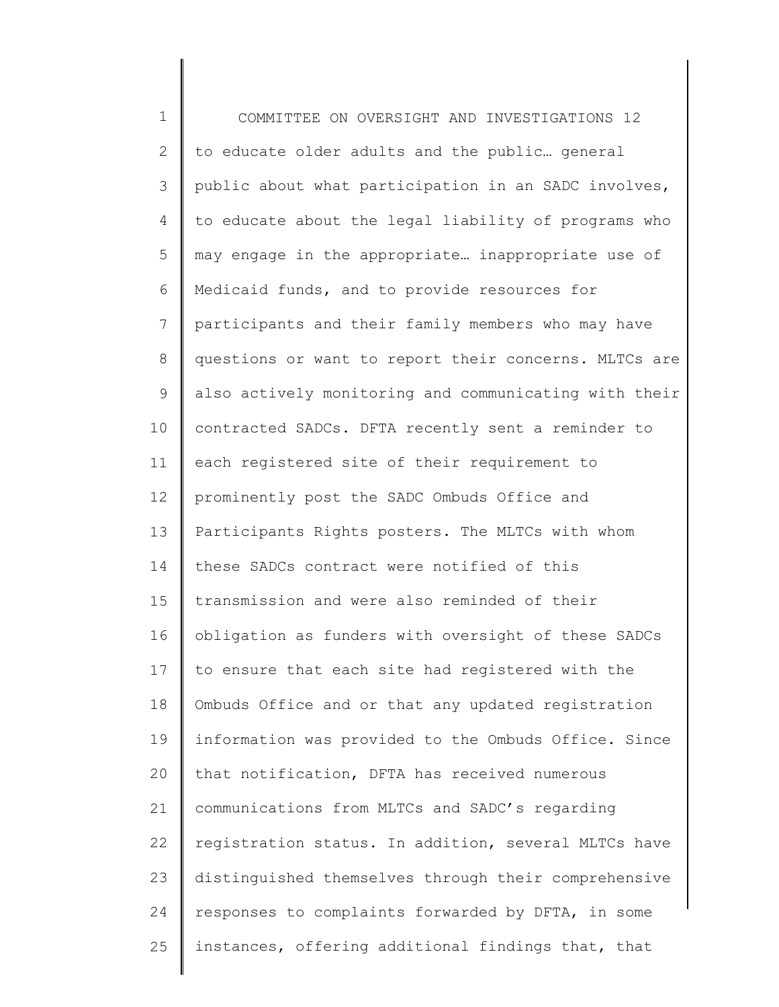1 2 3 4 5 6 7 8 9 10 11 12 13 14 15 16 17 18 19 20 21 22 23 24 25 COMMITTEE ON OVERSIGHT AND INVESTIGATIONS 12 to educate older adults and the public… general public about what participation in an SADC involves, to educate about the legal liability of programs who may engage in the appropriate… inappropriate use of Medicaid funds, and to provide resources for participants and their family members who may have questions or want to report their concerns. MLTCs are also actively monitoring and communicating with their contracted SADCs. DFTA recently sent a reminder to each registered site of their requirement to prominently post the SADC Ombuds Office and Participants Rights posters. The MLTCs with whom these SADCs contract were notified of this transmission and were also reminded of their obligation as funders with oversight of these SADCs to ensure that each site had registered with the Ombuds Office and or that any updated registration information was provided to the Ombuds Office. Since that notification, DFTA has received numerous communications from MLTCs and SADC's regarding registration status. In addition, several MLTCs have distinguished themselves through their comprehensive responses to complaints forwarded by DFTA, in some instances, offering additional findings that, that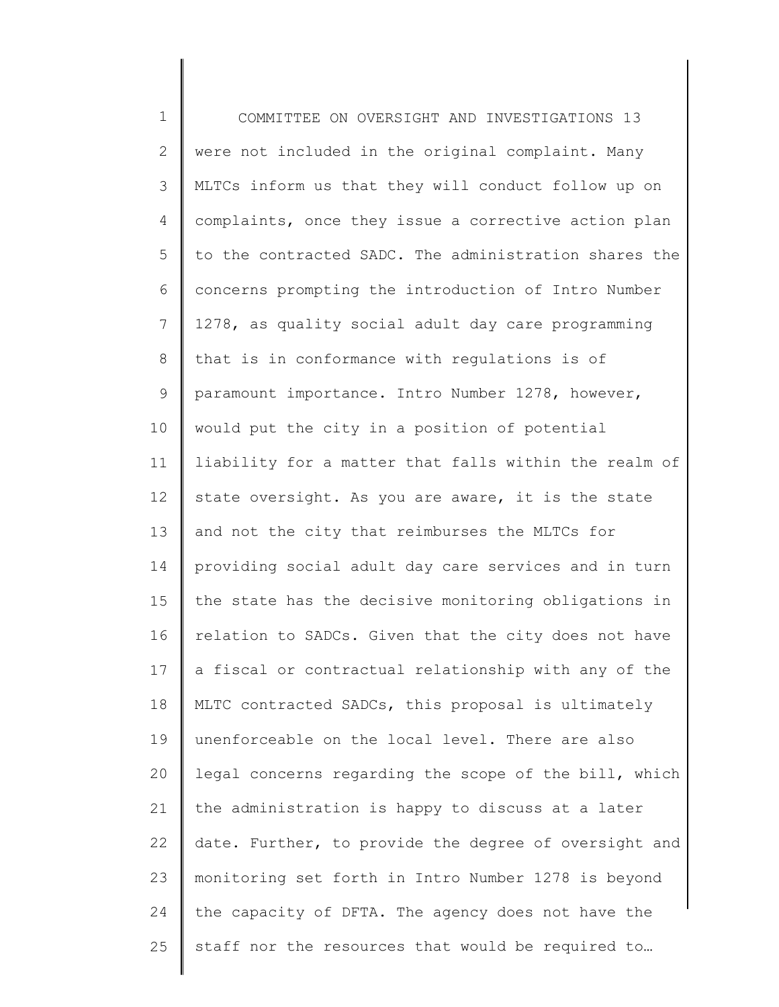1 2 3 4 5 6 7 8 9 10 11 12 13 14 15 16 17 18 19 20 21 22 23 24 25 COMMITTEE ON OVERSIGHT AND INVESTIGATIONS 13 were not included in the original complaint. Many MLTCs inform us that they will conduct follow up on complaints, once they issue a corrective action plan to the contracted SADC. The administration shares the concerns prompting the introduction of Intro Number 1278, as quality social adult day care programming that is in conformance with regulations is of paramount importance. Intro Number 1278, however, would put the city in a position of potential liability for a matter that falls within the realm of state oversight. As you are aware, it is the state and not the city that reimburses the MLTCs for providing social adult day care services and in turn the state has the decisive monitoring obligations in relation to SADCs. Given that the city does not have a fiscal or contractual relationship with any of the MLTC contracted SADCs, this proposal is ultimately unenforceable on the local level. There are also legal concerns regarding the scope of the bill, which the administration is happy to discuss at a later date. Further, to provide the degree of oversight and monitoring set forth in Intro Number 1278 is beyond the capacity of DFTA. The agency does not have the staff nor the resources that would be required to…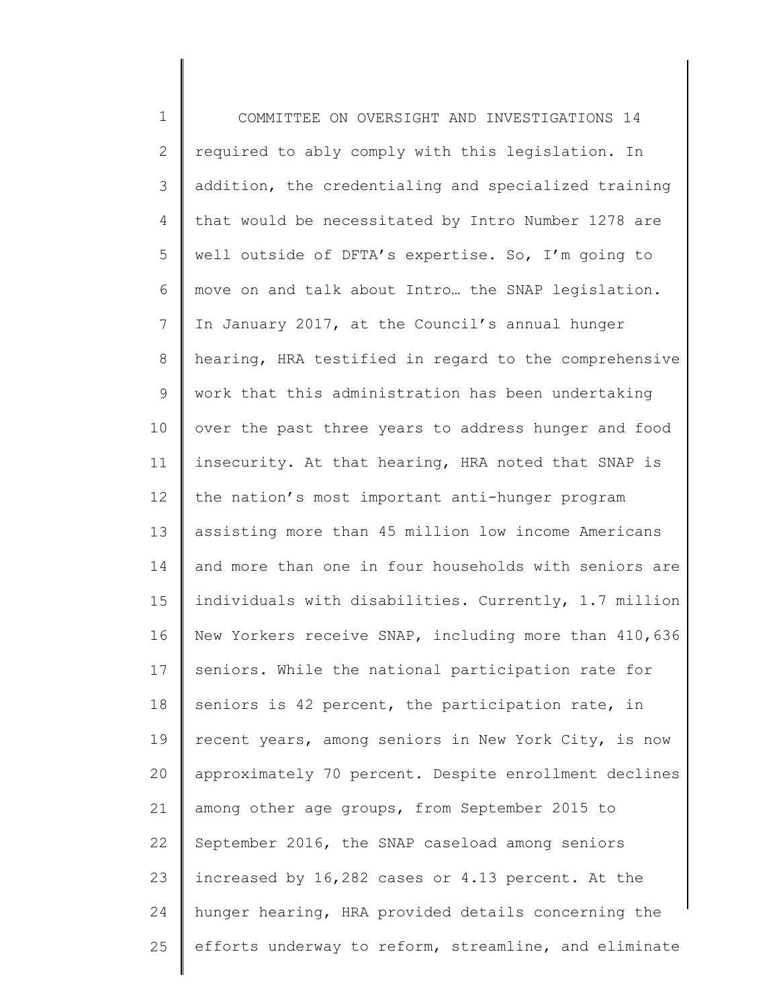1 2 3 4 5 6 7 8 9 10 11 12 13 14 15 16 17 18 19 20 21 22 23 24 25 COMMITTEE ON OVERSIGHT AND INVESTIGATIONS 14 required to ably comply with this legislation. In addition, the credentialing and specialized training that would be necessitated by Intro Number 1278 are well outside of DFTA's expertise. So, I'm going to move on and talk about Intro… the SNAP legislation. In January 2017, at the Council's annual hunger hearing, HRA testified in regard to the comprehensive work that this administration has been undertaking over the past three years to address hunger and food insecurity. At that hearing, HRA noted that SNAP is the nation's most important anti-hunger program assisting more than 45 million low income Americans and more than one in four households with seniors are individuals with disabilities. Currently, 1.7 million New Yorkers receive SNAP, including more than 410,636 seniors. While the national participation rate for seniors is 42 percent, the participation rate, in recent years, among seniors in New York City, is now approximately 70 percent. Despite enrollment declines among other age groups, from September 2015 to September 2016, the SNAP caseload among seniors increased by 16,282 cases or 4.13 percent. At the hunger hearing, HRA provided details concerning the efforts underway to reform, streamline, and eliminate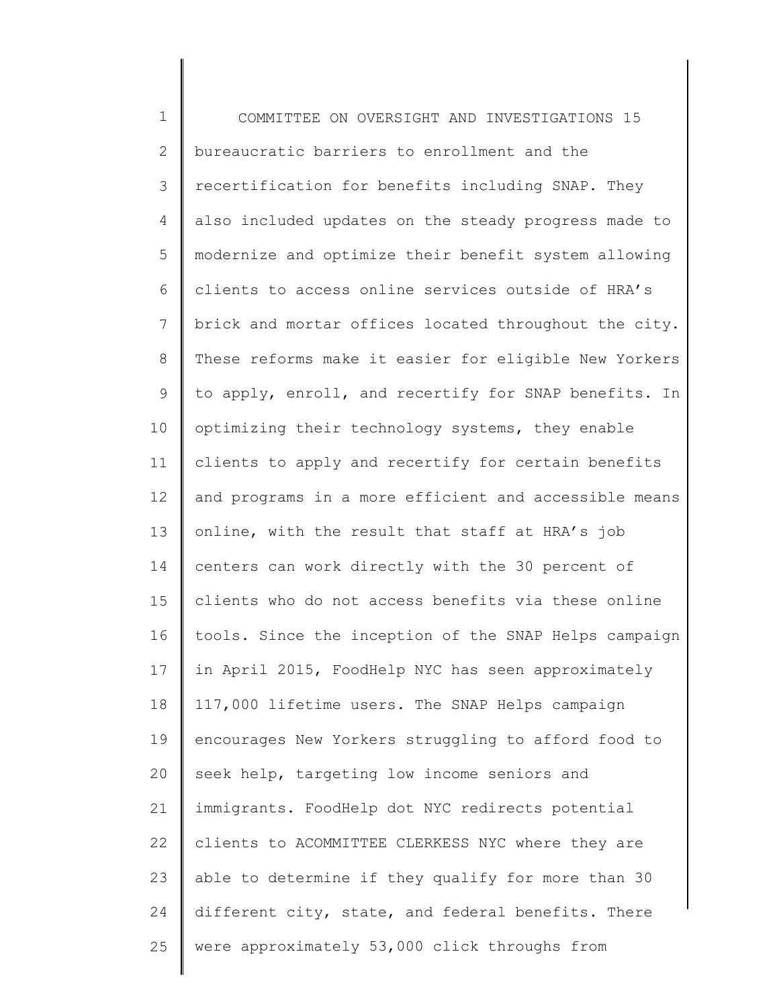1 2 3 4 5 6 7 8 9 10 11 12 13 14 15 16 17 18 19 20 21 22 23 24 25 COMMITTEE ON OVERSIGHT AND INVESTIGATIONS 15 bureaucratic barriers to enrollment and the recertification for benefits including SNAP. They also included updates on the steady progress made to modernize and optimize their benefit system allowing clients to access online services outside of HRA's brick and mortar offices located throughout the city. These reforms make it easier for eligible New Yorkers to apply, enroll, and recertify for SNAP benefits. In optimizing their technology systems, they enable clients to apply and recertify for certain benefits and programs in a more efficient and accessible means online, with the result that staff at HRA's job centers can work directly with the 30 percent of clients who do not access benefits via these online tools. Since the inception of the SNAP Helps campaign in April 2015, FoodHelp NYC has seen approximately 117,000 lifetime users. The SNAP Helps campaign encourages New Yorkers struggling to afford food to seek help, targeting low income seniors and immigrants. FoodHelp dot NYC redirects potential clients to ACOMMITTEE CLERKESS NYC where they are able to determine if they qualify for more than 30 different city, state, and federal benefits. There were approximately 53,000 click throughs from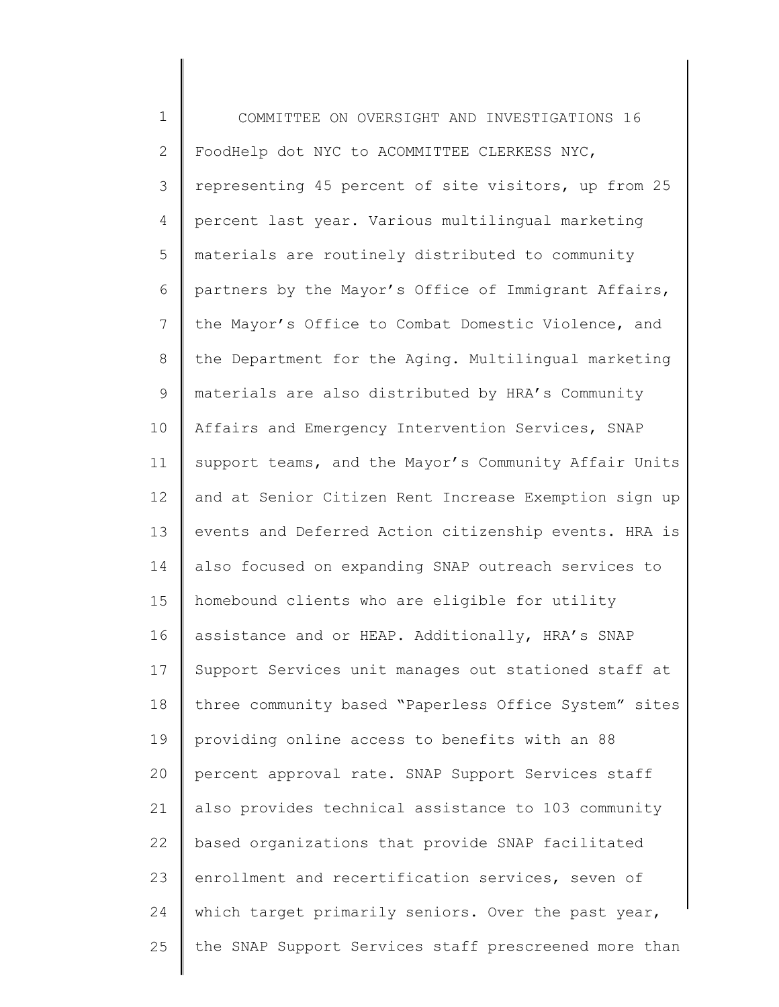1 2 3 4 5 6 7 8 9 10 11 12 13 14 15 16 17 18 19 20 21 22 23 24 25 COMMITTEE ON OVERSIGHT AND INVESTIGATIONS 16 FoodHelp dot NYC to ACOMMITTEE CLERKESS NYC, representing 45 percent of site visitors, up from 25 percent last year. Various multilingual marketing materials are routinely distributed to community partners by the Mayor's Office of Immigrant Affairs, the Mayor's Office to Combat Domestic Violence, and the Department for the Aging. Multilingual marketing materials are also distributed by HRA's Community Affairs and Emergency Intervention Services, SNAP support teams, and the Mayor's Community Affair Units and at Senior Citizen Rent Increase Exemption sign up events and Deferred Action citizenship events. HRA is also focused on expanding SNAP outreach services to homebound clients who are eligible for utility assistance and or HEAP. Additionally, HRA's SNAP Support Services unit manages out stationed staff at three community based "Paperless Office System" sites providing online access to benefits with an 88 percent approval rate. SNAP Support Services staff also provides technical assistance to 103 community based organizations that provide SNAP facilitated enrollment and recertification services, seven of which target primarily seniors. Over the past year, the SNAP Support Services staff prescreened more than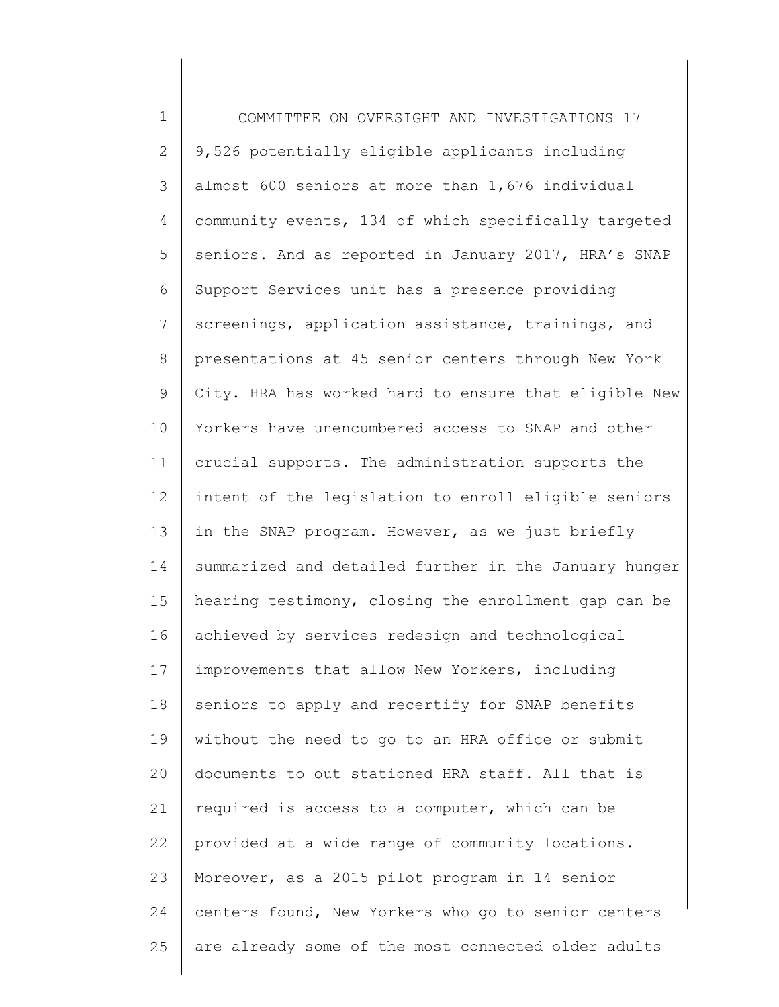1 2 3 4 5 6 7 8 9 10 11 12 13 14 15 16 17 18 19 20 21 22 23 24 25 COMMITTEE ON OVERSIGHT AND INVESTIGATIONS 17 9,526 potentially eligible applicants including almost 600 seniors at more than 1,676 individual community events, 134 of which specifically targeted seniors. And as reported in January 2017, HRA's SNAP Support Services unit has a presence providing screenings, application assistance, trainings, and presentations at 45 senior centers through New York City. HRA has worked hard to ensure that eligible New Yorkers have unencumbered access to SNAP and other crucial supports. The administration supports the intent of the legislation to enroll eligible seniors in the SNAP program. However, as we just briefly summarized and detailed further in the January hunger hearing testimony, closing the enrollment gap can be achieved by services redesign and technological improvements that allow New Yorkers, including seniors to apply and recertify for SNAP benefits without the need to go to an HRA office or submit documents to out stationed HRA staff. All that is required is access to a computer, which can be provided at a wide range of community locations. Moreover, as a 2015 pilot program in 14 senior centers found, New Yorkers who go to senior centers are already some of the most connected older adults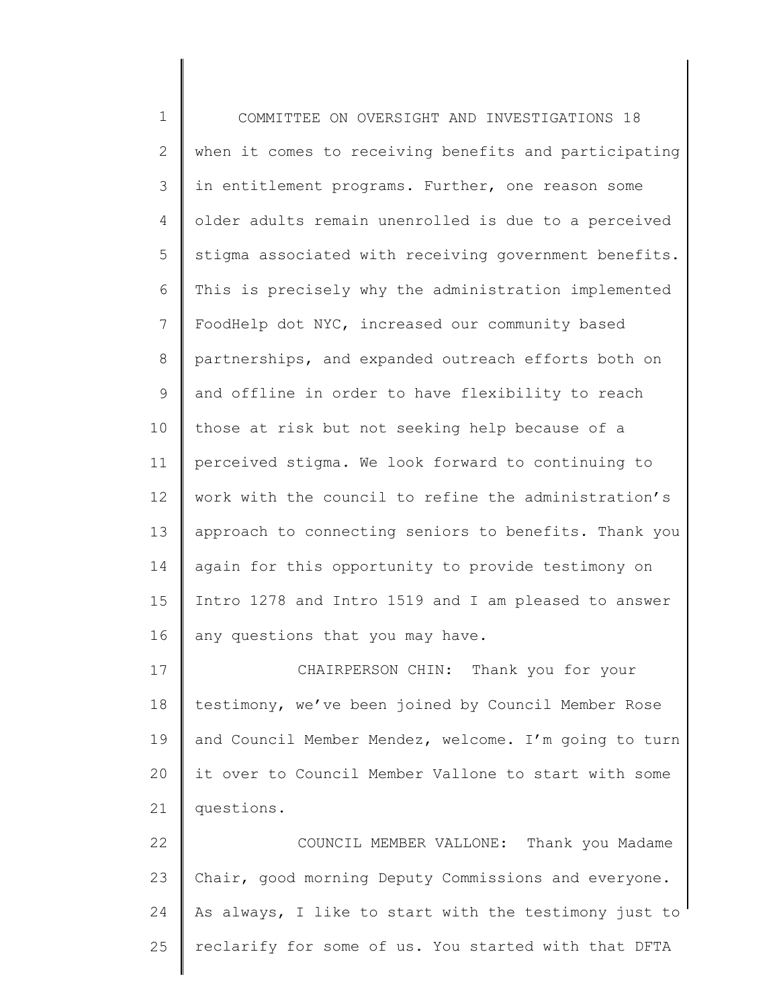1 2 3 4 5 6 7 8 9 10 11 12 13 14 15 16 17 18 19 COMMITTEE ON OVERSIGHT AND INVESTIGATIONS 18 when it comes to receiving benefits and participating in entitlement programs. Further, one reason some older adults remain unenrolled is due to a perceived stigma associated with receiving government benefits. This is precisely why the administration implemented FoodHelp dot NYC, increased our community based partnerships, and expanded outreach efforts both on and offline in order to have flexibility to reach those at risk but not seeking help because of a perceived stigma. We look forward to continuing to work with the council to refine the administration's approach to connecting seniors to benefits. Thank you again for this opportunity to provide testimony on Intro 1278 and Intro 1519 and I am pleased to answer any questions that you may have. CHAIRPERSON CHIN: Thank you for your testimony, we've been joined by Council Member Rose and Council Member Mendez, welcome. I'm going to turn

22 23 24 25 COUNCIL MEMBER VALLONE: Thank you Madame Chair, good morning Deputy Commissions and everyone. As always, I like to start with the testimony just to reclarify for some of us. You started with that DFTA

it over to Council Member Vallone to start with some

20

21

questions.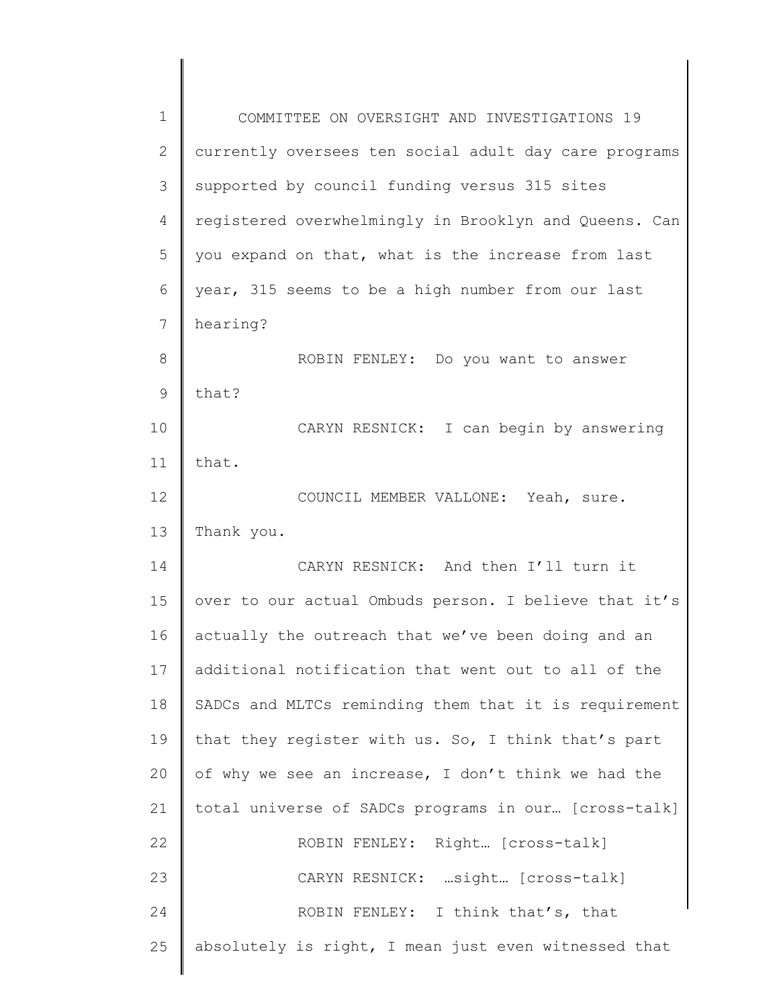| 1  | COMMITTEE ON OVERSIGHT AND INVESTIGATIONS 19          |
|----|-------------------------------------------------------|
| 2  | currently oversees ten social adult day care programs |
| 3  | supported by council funding versus 315 sites         |
| 4  | registered overwhelmingly in Brooklyn and Queens. Can |
| 5  | you expand on that, what is the increase from last    |
| 6  | year, 315 seems to be a high number from our last     |
| 7  | hearing?                                              |
| 8  | ROBIN FENLEY: Do you want to answer                   |
| 9  | that?                                                 |
| 10 | CARYN RESNICK: I can begin by answering               |
| 11 | that.                                                 |
| 12 | COUNCIL MEMBER VALLONE: Yeah, sure.                   |
| 13 | Thank you.                                            |
| 14 | CARYN RESNICK: And then I'll turn it                  |
| 15 | over to our actual Ombuds person. I believe that it's |
| 16 | actually the outreach that we've been doing and an    |
| 17 | additional notification that went out to all of the   |
| 18 | SADCs and MLTCs reminding them that it is requirement |
| 19 | that they register with us. So, I think that's part   |
| 20 | of why we see an increase, I don't think we had the   |
| 21 | total universe of SADCs programs in our [cross-talk]  |
| 22 | ROBIN FENLEY: Right [Cross-talk]                      |
| 23 | CARYN RESNICK:  sight  [cross-talk]                   |
| 24 | ROBIN FENLEY: I think that's, that                    |
| 25 | absolutely is right, I mean just even witnessed that  |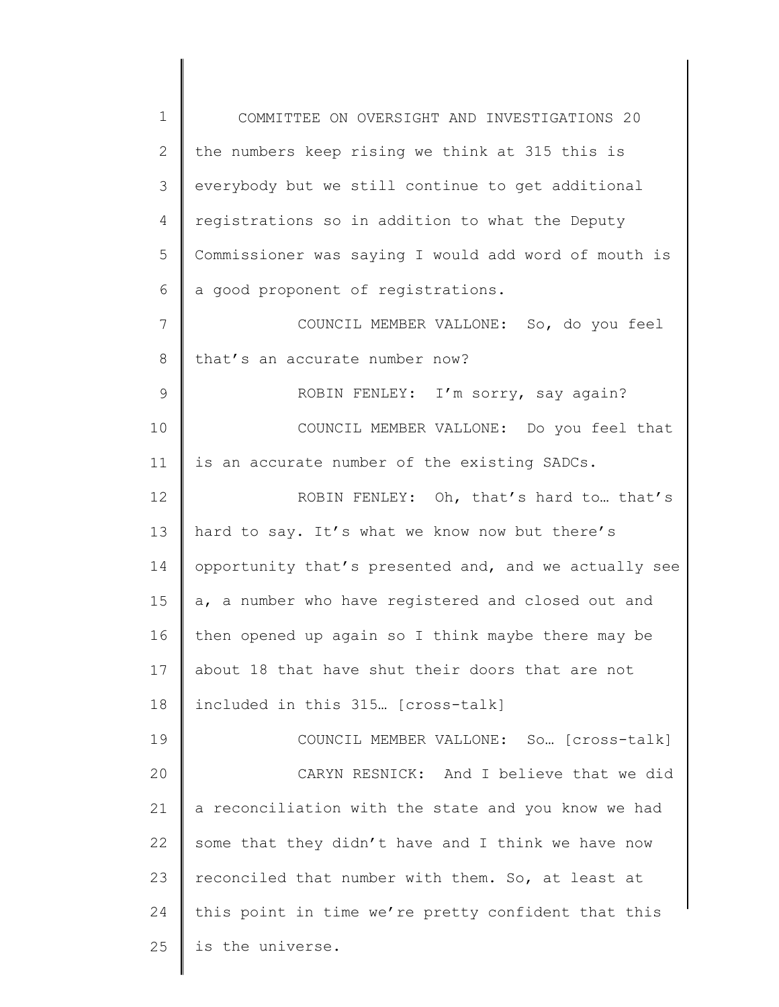1 2 3 4 5 6 7 8 9 10 11 12 13 14 15 16 17 18 19 20 21 22 23 24 25 COMMITTEE ON OVERSIGHT AND INVESTIGATIONS 20 the numbers keep rising we think at 315 this is everybody but we still continue to get additional registrations so in addition to what the Deputy Commissioner was saying I would add word of mouth is a good proponent of registrations. COUNCIL MEMBER VALLONE: So, do you feel that's an accurate number now? ROBIN FENLEY: I'm sorry, say again? COUNCIL MEMBER VALLONE: Do you feel that is an accurate number of the existing SADCs. ROBIN FENLEY: Oh, that's hard to… that's hard to say. It's what we know now but there's opportunity that's presented and, and we actually see a, a number who have registered and closed out and then opened up again so I think maybe there may be about 18 that have shut their doors that are not included in this 315… [cross-talk] COUNCIL MEMBER VALLONE: So… [cross-talk] CARYN RESNICK: And I believe that we did a reconciliation with the state and you know we had some that they didn't have and I think we have now reconciled that number with them. So, at least at this point in time we're pretty confident that this is the universe.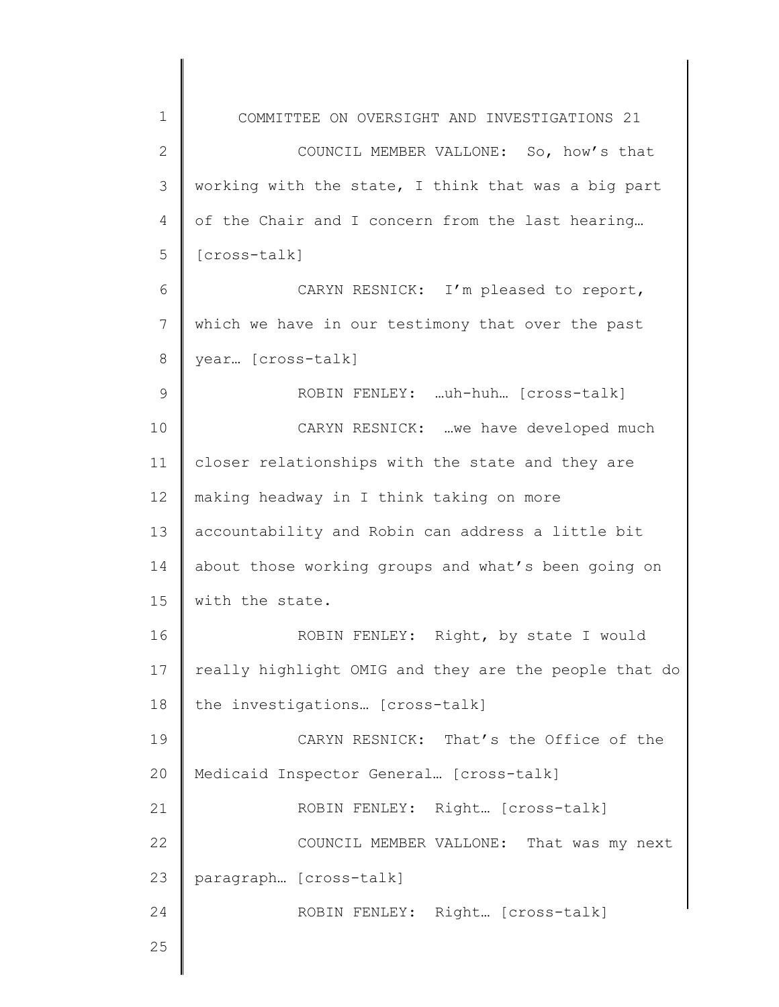1 2 3 4 5 6 7 8 9 10 11 12 13 14 15 16 17 18 19 20 21 22 23 24 25 COMMITTEE ON OVERSIGHT AND INVESTIGATIONS 21 COUNCIL MEMBER VALLONE: So, how's that working with the state, I think that was a big part of the Chair and I concern from the last hearing… [cross-talk] CARYN RESNICK: I'm pleased to report, which we have in our testimony that over the past year… [cross-talk] ROBIN FENLEY: …uh-huh… [cross-talk] CARYN RESNICK: …we have developed much closer relationships with the state and they are making headway in I think taking on more accountability and Robin can address a little bit about those working groups and what's been going on with the state. ROBIN FENLEY: Right, by state I would really highlight OMIG and they are the people that do the investigations… [cross-talk] CARYN RESNICK: That's the Office of the Medicaid Inspector General… [cross-talk] ROBIN FENLEY: Right… [cross-talk] COUNCIL MEMBER VALLONE: That was my next paragraph… [cross-talk] ROBIN FENLEY: Right… [cross-talk]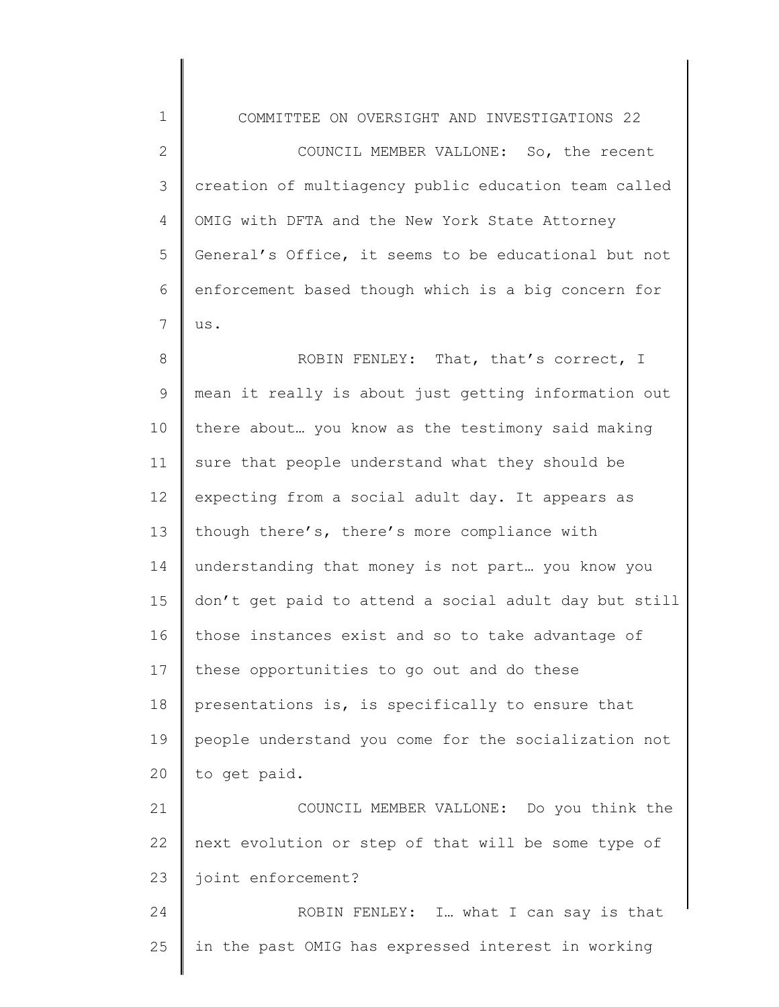1 2 3 4 5 6 7 8 9 10 11 12 13 14 15 16 17 18 19 20 21 22 23 24 COMMITTEE ON OVERSIGHT AND INVESTIGATIONS 22 COUNCIL MEMBER VALLONE: So, the recent creation of multiagency public education team called OMIG with DFTA and the New York State Attorney General's Office, it seems to be educational but not enforcement based though which is a big concern for us. ROBIN FENLEY: That, that's correct, I mean it really is about just getting information out there about… you know as the testimony said making sure that people understand what they should be expecting from a social adult day. It appears as though there's, there's more compliance with understanding that money is not part… you know you don't get paid to attend a social adult day but still those instances exist and so to take advantage of these opportunities to go out and do these presentations is, is specifically to ensure that people understand you come for the socialization not to get paid. COUNCIL MEMBER VALLONE: Do you think the next evolution or step of that will be some type of joint enforcement? ROBIN FENLEY: I… what I can say is that

in the past OMIG has expressed interest in working

25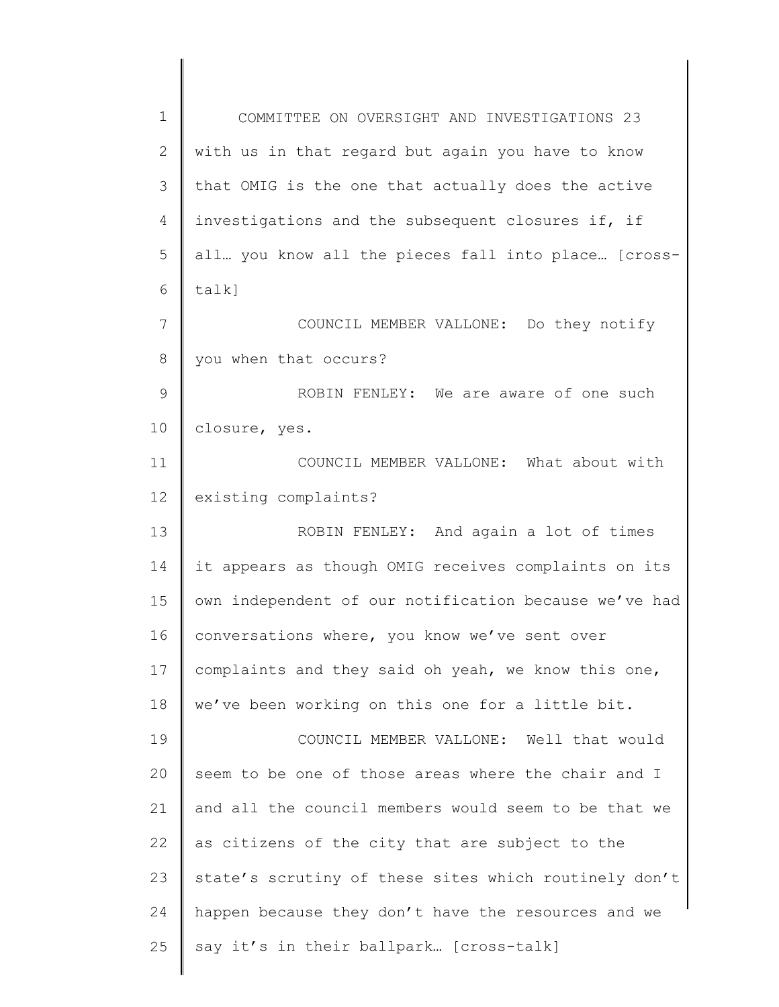| 1  | COMMITTEE ON OVERSIGHT AND INVESTIGATIONS 23          |
|----|-------------------------------------------------------|
| 2  | with us in that regard but again you have to know     |
| 3  | that OMIG is the one that actually does the active    |
| 4  | investigations and the subsequent closures if, if     |
| 5  | all you know all the pieces fall into place [cross-   |
| 6  | $talk$ ]                                              |
| 7  | COUNCIL MEMBER VALLONE: Do they notify                |
| 8  | you when that occurs?                                 |
| 9  | ROBIN FENLEY: We are aware of one such                |
| 10 | closure, yes.                                         |
| 11 | COUNCIL MEMBER VALLONE: What about with               |
| 12 | existing complaints?                                  |
| 13 | ROBIN FENLEY: And again a lot of times                |
| 14 | it appears as though OMIG receives complaints on its  |
| 15 | own independent of our notification because we've had |
| 16 | conversations where, you know we've sent over         |
| 17 | complaints and they said oh yeah, we know this one,   |
| 18 | we've been working on this one for a little bit.      |
| 19 | COUNCIL MEMBER VALLONE: Well that would               |
| 20 | seem to be one of those areas where the chair and I   |
| 21 | and all the council members would seem to be that we  |
| 22 | as citizens of the city that are subject to the       |
| 23 | state's scrutiny of these sites which routinely don't |
| 24 | happen because they don't have the resources and we   |
| 25 | say it's in their ballpark [cross-talk]               |
|    |                                                       |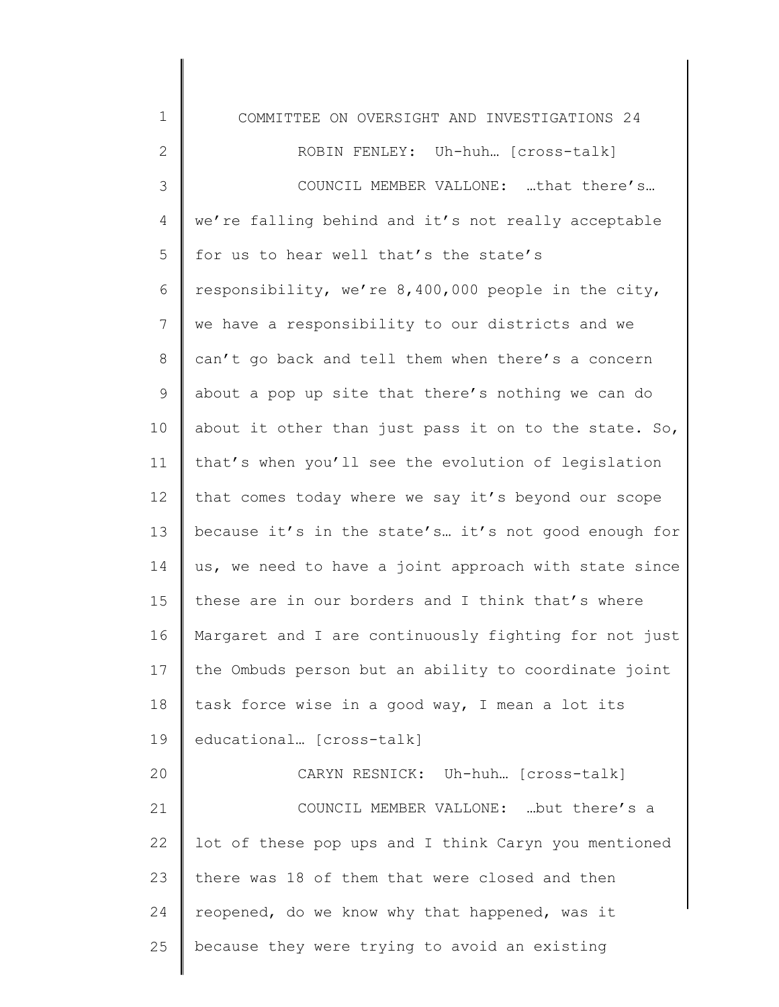1 2 3 4 5 6 7 8 9 10 11 12 13 14 15 16 17 18 19 20 21 22 23 24 25 COMMITTEE ON OVERSIGHT AND INVESTIGATIONS 24 ROBIN FENLEY: Uh-huh… [cross-talk] COUNCIL MEMBER VALLONE: …that there's… we're falling behind and it's not really acceptable for us to hear well that's the state's responsibility, we're 8,400,000 people in the city, we have a responsibility to our districts and we can't go back and tell them when there's a concern about a pop up site that there's nothing we can do about it other than just pass it on to the state. So, that's when you'll see the evolution of legislation that comes today where we say it's beyond our scope because it's in the state's… it's not good enough for us, we need to have a joint approach with state since these are in our borders and I think that's where Margaret and I are continuously fighting for not just the Ombuds person but an ability to coordinate joint task force wise in a good way, I mean a lot its educational… [cross-talk] CARYN RESNICK: Uh-huh… [cross-talk] COUNCIL MEMBER VALLONE: …but there's a lot of these pop ups and I think Caryn you mentioned there was 18 of them that were closed and then reopened, do we know why that happened, was it because they were trying to avoid an existing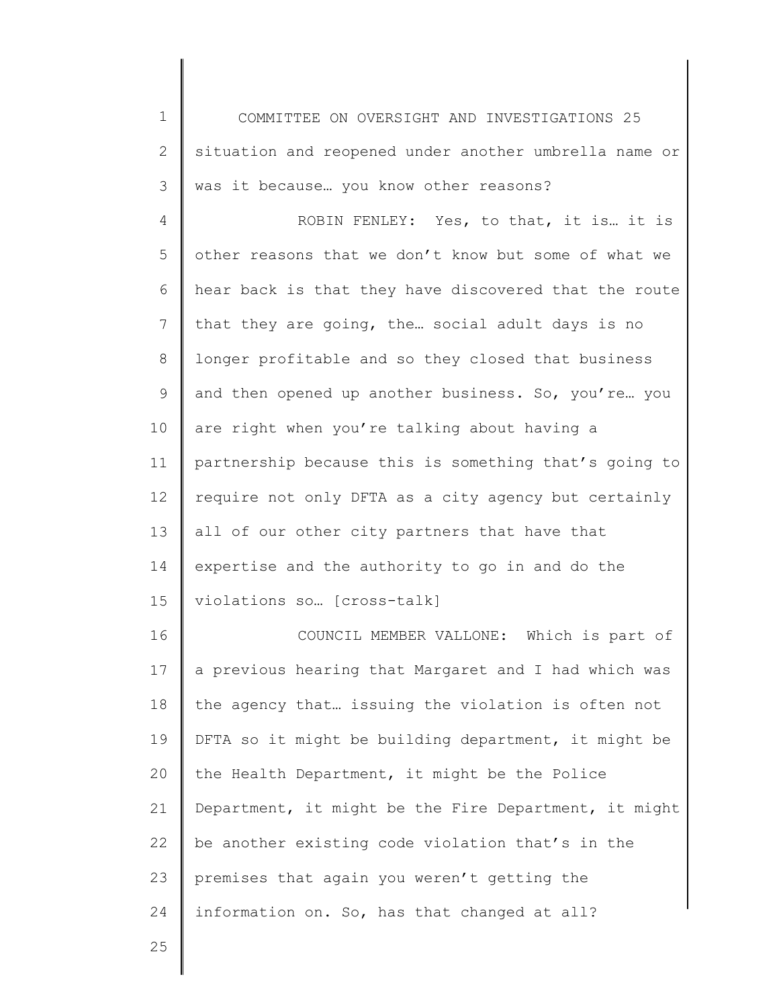1 2 3 COMMITTEE ON OVERSIGHT AND INVESTIGATIONS 25 situation and reopened under another umbrella name or was it because… you know other reasons?

4 5 6 7 8 9 10 11 12 13 14 15 ROBIN FENLEY: Yes, to that, it is… it is other reasons that we don't know but some of what we hear back is that they have discovered that the route that they are going, the… social adult days is no longer profitable and so they closed that business and then opened up another business. So, you're… you are right when you're talking about having a partnership because this is something that's going to require not only DFTA as a city agency but certainly all of our other city partners that have that expertise and the authority to go in and do the violations so… [cross-talk]

16 17 18 19 20 21 22 23 24 COUNCIL MEMBER VALLONE: Which is part of a previous hearing that Margaret and I had which was the agency that… issuing the violation is often not DFTA so it might be building department, it might be the Health Department, it might be the Police Department, it might be the Fire Department, it might be another existing code violation that's in the premises that again you weren't getting the information on. So, has that changed at all?

25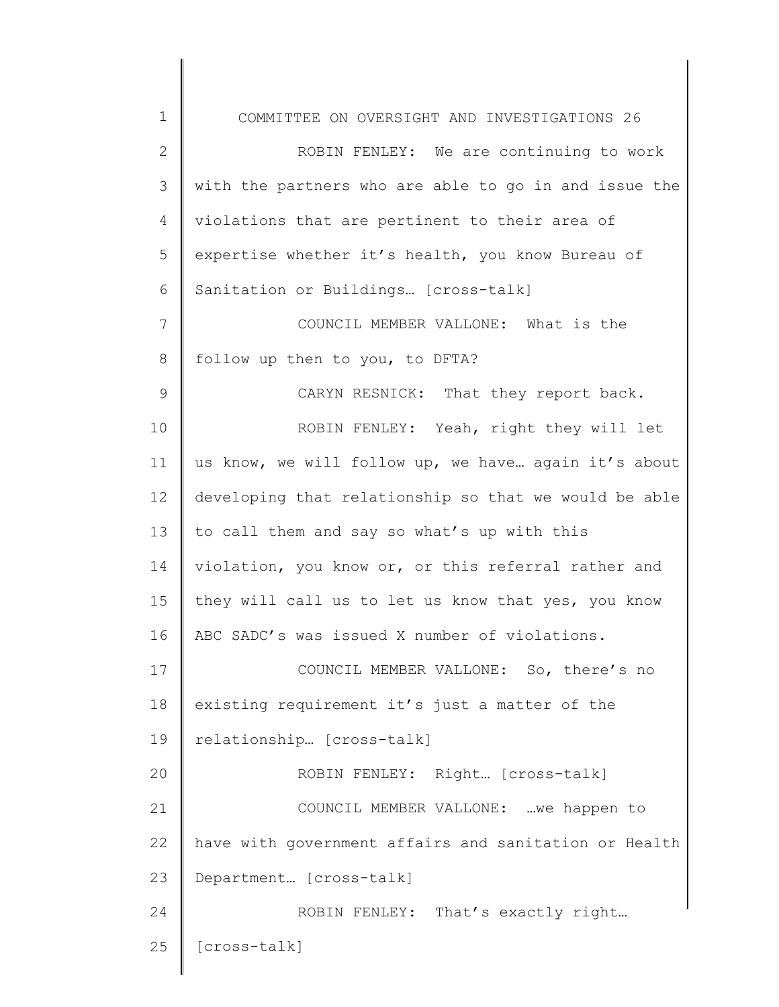1 2 3 4 5 6 7 8 9 10 11 12 13 14 15 16 17 18 19 20 21 22 23 24 25 COMMITTEE ON OVERSIGHT AND INVESTIGATIONS 26 ROBIN FENLEY: We are continuing to work with the partners who are able to go in and issue the violations that are pertinent to their area of expertise whether it's health, you know Bureau of Sanitation or Buildings… [cross-talk] COUNCIL MEMBER VALLONE: What is the follow up then to you, to DFTA? CARYN RESNICK: That they report back. ROBIN FENLEY: Yeah, right they will let us know, we will follow up, we have… again it's about developing that relationship so that we would be able to call them and say so what's up with this violation, you know or, or this referral rather and they will call us to let us know that yes, you know ABC SADC's was issued X number of violations. COUNCIL MEMBER VALLONE: So, there's no existing requirement it's just a matter of the relationship… [cross-talk] ROBIN FENLEY: Right… [cross-talk] COUNCIL MEMBER VALLONE: …we happen to have with government affairs and sanitation or Health Department… [cross-talk] ROBIN FENLEY: That's exactly right… [cross-talk]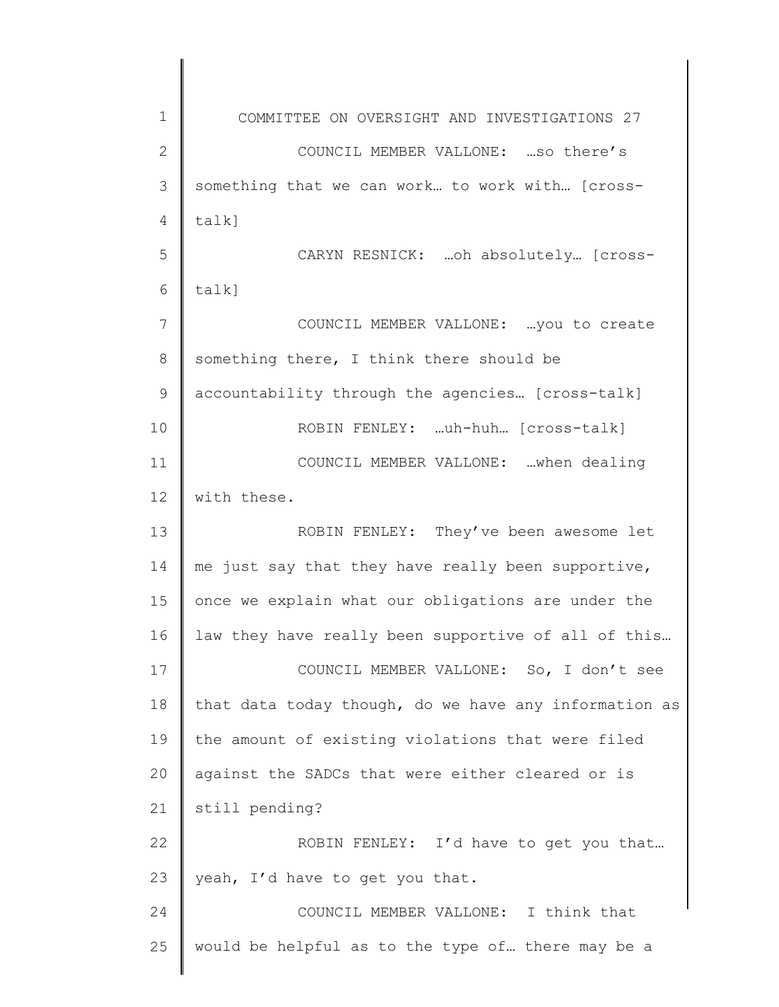1 2 3 4 5 6 7 8 9 10 11 12 13 14 15 16 17 18 19 20 21 22 23 24 25 COMMITTEE ON OVERSIGHT AND INVESTIGATIONS 27 COUNCIL MEMBER VALLONE: …so there's something that we can work… to work with… [crosstalk] CARYN RESNICK: …oh absolutely… [crosstalk] COUNCIL MEMBER VALLONE: …you to create something there, I think there should be accountability through the agencies… [cross-talk] ROBIN FENLEY: …uh-huh… [cross-talk] COUNCIL MEMBER VALLONE: …when dealing with these. ROBIN FENLEY: They've been awesome let me just say that they have really been supportive, once we explain what our obligations are under the law they have really been supportive of all of this… COUNCIL MEMBER VALLONE: So, I don't see that data today though, do we have any information as the amount of existing violations that were filed against the SADCs that were either cleared or is still pending? ROBIN FENLEY: I'd have to get you that… yeah, I'd have to get you that. COUNCIL MEMBER VALLONE: I think that would be helpful as to the type of… there may be a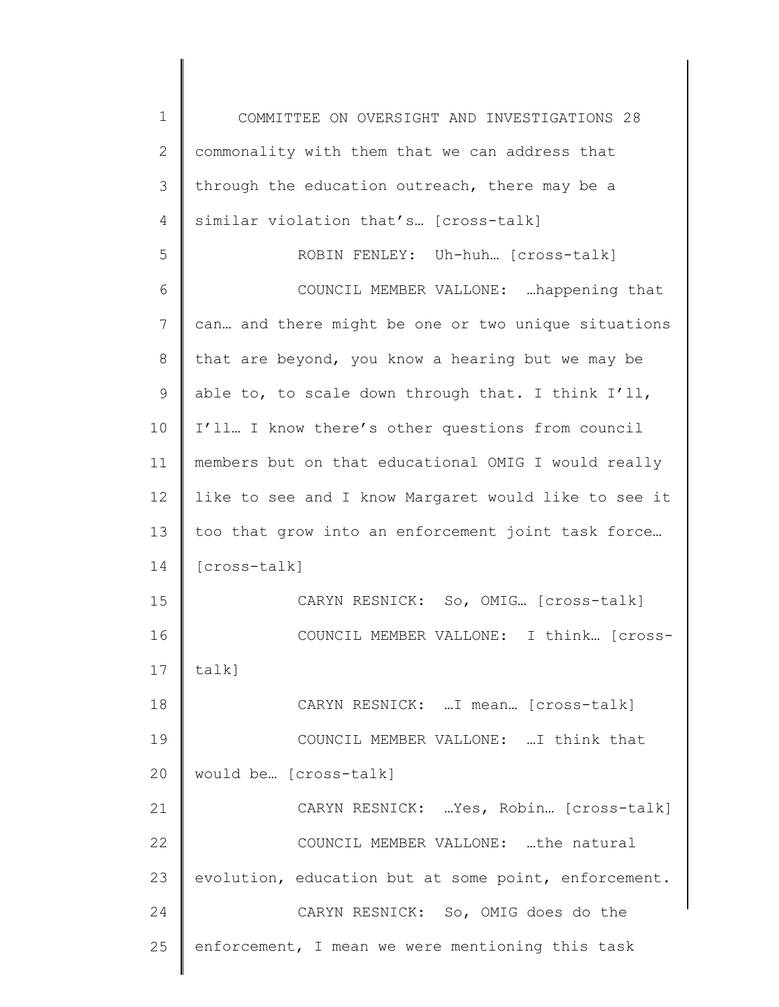| $\mathbf 1$  | COMMITTEE ON OVERSIGHT AND INVESTIGATIONS 28         |
|--------------|------------------------------------------------------|
| $\mathbf{2}$ | commonality with them that we can address that       |
| 3            | through the education outreach, there may be a       |
| 4            | similar violation that's [cross-talk]                |
| 5            | ROBIN FENLEY: Uh-huh [cross-talk]                    |
| 6            | COUNCIL MEMBER VALLONE:  happening that              |
| 7            | can and there might be one or two unique situations  |
| 8            | that are beyond, you know a hearing but we may be    |
| 9            | able to, to scale down through that. I think I'll,   |
| 10           | I'll I know there's other questions from council     |
| 11           | members but on that educational OMIG I would really  |
| 12           | like to see and I know Margaret would like to see it |
| 13           | too that grow into an enforcement joint task force   |
| 14           | [cross-talk]                                         |
| 15           | CARYN RESNICK: So, OMIG [cross-talk]                 |
| 16           | COUNCIL MEMBER VALLONE: I think [cross-              |
| 17           | $talk$ ]                                             |
| 18           | CARYN RESNICK:  I mean [cross-talk]                  |
| 19           | COUNCIL MEMBER VALLONE: I think that                 |
| 20           | would be [cross-talk]                                |
| 21           | CARYN RESNICK:  Yes, Robin [cross-talk]              |
| 22           | COUNCIL MEMBER VALLONE: the natural                  |
| 23           | evolution, education but at some point, enforcement. |
| 24           | CARYN RESNICK: So, OMIG does do the                  |
| 25           | enforcement, I mean we were mentioning this task     |
|              |                                                      |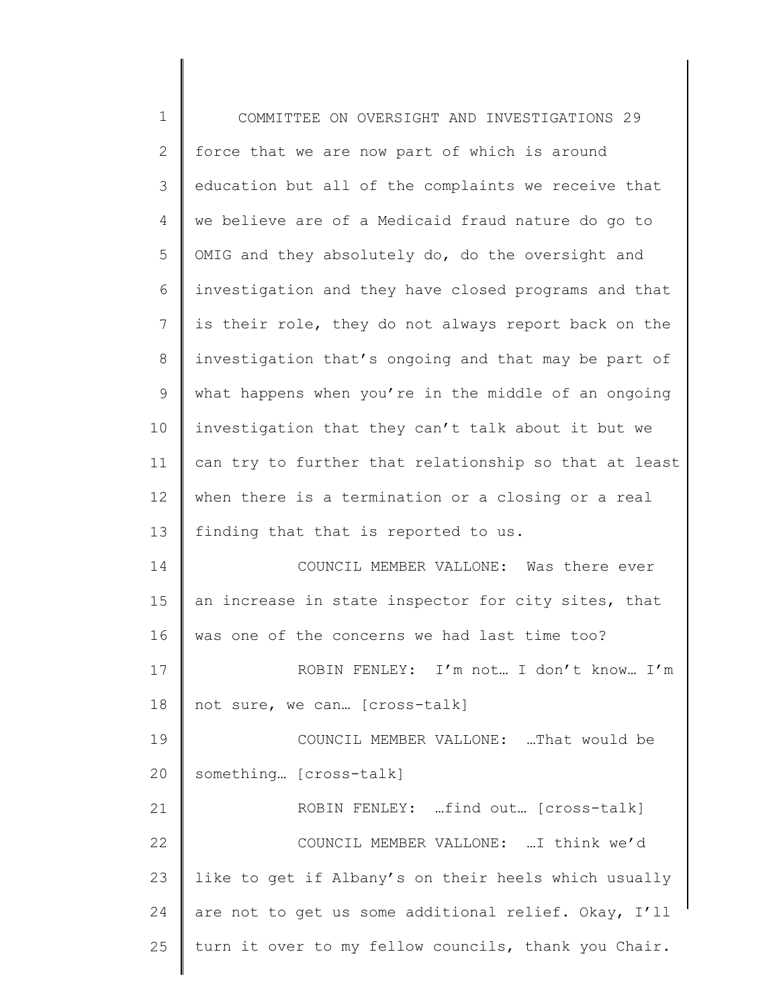| $\mathbf 1$ | COMMITTEE ON OVERSIGHT AND INVESTIGATIONS 29          |
|-------------|-------------------------------------------------------|
| 2           | force that we are now part of which is around         |
| 3           | education but all of the complaints we receive that   |
| 4           | we believe are of a Medicaid fraud nature do go to    |
| 5           | OMIG and they absolutely do, do the oversight and     |
| 6           | investigation and they have closed programs and that  |
| 7           | is their role, they do not always report back on the  |
| 8           | investigation that's ongoing and that may be part of  |
| $\mathsf 9$ | what happens when you're in the middle of an ongoing  |
| 10          | investigation that they can't talk about it but we    |
| 11          | can try to further that relationship so that at least |
| 12          | when there is a termination or a closing or a real    |
| 13          | finding that that is reported to us.                  |
| 14          | COUNCIL MEMBER VALLONE: Was there ever                |
| 15          | an increase in state inspector for city sites, that   |
| 16          | was one of the concerns we had last time too?         |
| 17          | ROBIN FENLEY: I'm not I don't know I'm                |
| 18          | not sure, we can [cross-talk]                         |
| 19          | COUNCIL MEMBER VALLONE: That would be                 |
| 20          | something [cross-talk]                                |
| 21          | ROBIN FENLEY: find out [cross-talk]                   |
| 22          | COUNCIL MEMBER VALLONE:  I think we'd                 |
| 23          | like to get if Albany's on their heels which usually  |
| 24          | are not to get us some additional relief. Okay, I'll  |
| 25          | turn it over to my fellow councils, thank you Chair.  |
|             |                                                       |

║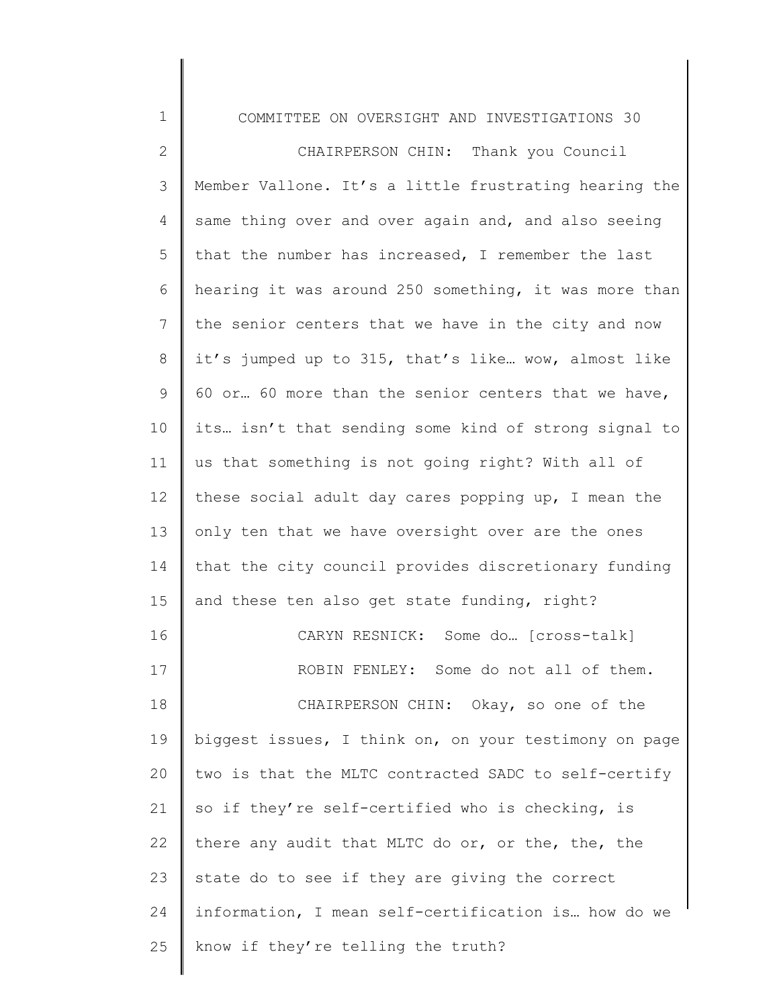| $\mathbf 1$    | COMMITTEE ON OVERSIGHT AND INVESTIGATIONS 30          |
|----------------|-------------------------------------------------------|
| 2              | CHAIRPERSON CHIN: Thank you Council                   |
| 3              | Member Vallone. It's a little frustrating hearing the |
| 4              | same thing over and over again and, and also seeing   |
| 5              | that the number has increased, I remember the last    |
| 6              | hearing it was around 250 something, it was more than |
| $\overline{7}$ | the senior centers that we have in the city and now   |
| 8              | it's jumped up to 315, that's like wow, almost like   |
| 9              | 60 or 60 more than the senior centers that we have,   |
| 10             | its isn't that sending some kind of strong signal to  |
| 11             | us that something is not going right? With all of     |
| 12             | these social adult day cares popping up, I mean the   |
| 13             | only ten that we have oversight over are the ones     |
| 14             | that the city council provides discretionary funding  |
| 15             | and these ten also get state funding, right?          |
| 16             | CARYN RESNICK: Some do [cross-talk]                   |
| 17             | ROBIN FENLEY: Some do not all of them.                |
| 18             | CHAIRPERSON CHIN: Okay, so one of the                 |
| 19             | biggest issues, I think on, on your testimony on page |
| 20             | two is that the MLTC contracted SADC to self-certify  |
| 21             | so if they're self-certified who is checking, is      |
| 22             | there any audit that MLTC do or, or the, the, the     |
| 23             | state do to see if they are giving the correct        |
| 24             | information, I mean self-certification is how do we   |
| 25             | know if they're telling the truth?                    |
|                |                                                       |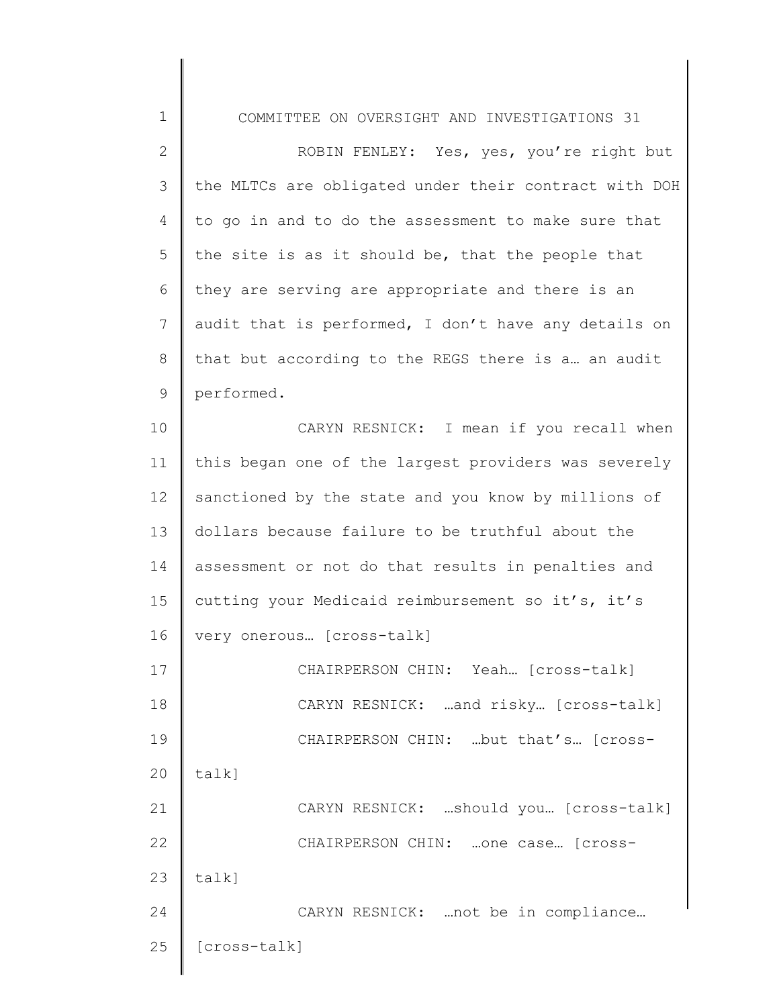1 2 3 4 5 6 7 8 9 10 11 12 13 14 15 16 17 18 19 20 21 22 23 24 COMMITTEE ON OVERSIGHT AND INVESTIGATIONS 31 ROBIN FENLEY: Yes, yes, you're right but the MLTCs are obligated under their contract with DOH to go in and to do the assessment to make sure that the site is as it should be, that the people that they are serving are appropriate and there is an audit that is performed, I don't have any details on that but according to the REGS there is a… an audit performed. CARYN RESNICK: I mean if you recall when this began one of the largest providers was severely sanctioned by the state and you know by millions of dollars because failure to be truthful about the assessment or not do that results in penalties and cutting your Medicaid reimbursement so it's, it's very onerous… [cross-talk] CHAIRPERSON CHIN: Yeah… [cross-talk] CARYN RESNICK: …and risky… [cross-talk] CHAIRPERSON CHIN: …but that's… [crosstalk] CARYN RESNICK: …should you… [cross-talk] CHAIRPERSON CHIN: …one case… [crosstalk] CARYN RESNICK: …not be in compliance…

25

[cross-talk]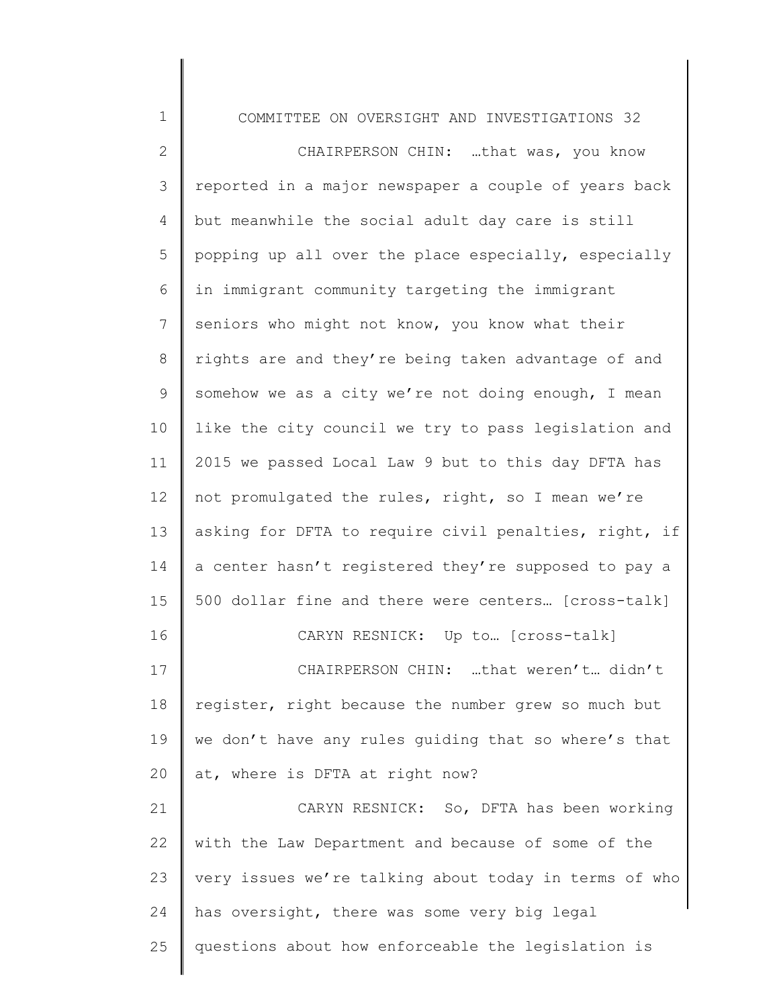| $\mathbf 1$  | COMMITTEE ON OVERSIGHT AND INVESTIGATIONS 32          |
|--------------|-------------------------------------------------------|
| $\mathbf{2}$ | CHAIRPERSON CHIN: that was, you know                  |
| 3            | reported in a major newspaper a couple of years back  |
| 4            | but meanwhile the social adult day care is still      |
| 5            | popping up all over the place especially, especially  |
| 6            | in immigrant community targeting the immigrant        |
| 7            | seniors who might not know, you know what their       |
| 8            | rights are and they're being taken advantage of and   |
| 9            | somehow we as a city we're not doing enough, I mean   |
| 10           | like the city council we try to pass legislation and  |
| 11           | 2015 we passed Local Law 9 but to this day DFTA has   |
| 12           | not promulgated the rules, right, so I mean we're     |
| 13           | asking for DFTA to require civil penalties, right, if |
| 14           | a center hasn't registered they're supposed to pay a  |
| 15           | 500 dollar fine and there were centers [cross-talk]   |
| 16           | CARYN RESNICK: Up to  [cross-talk]                    |
| 17           | CHAIRPERSON CHIN: that weren't didn't                 |
| 18           | register, right because the number grew so much but   |
| 19           | we don't have any rules guiding that so where's that  |
| 20           | at, where is DFTA at right now?                       |
| 21           | CARYN RESNICK: So, DFTA has been working              |
| 22           | with the Law Department and because of some of the    |
| 23           | very issues we're talking about today in terms of who |
| 24           | has oversight, there was some very big legal          |
| 25           | questions about how enforceable the legislation is    |
|              |                                                       |

║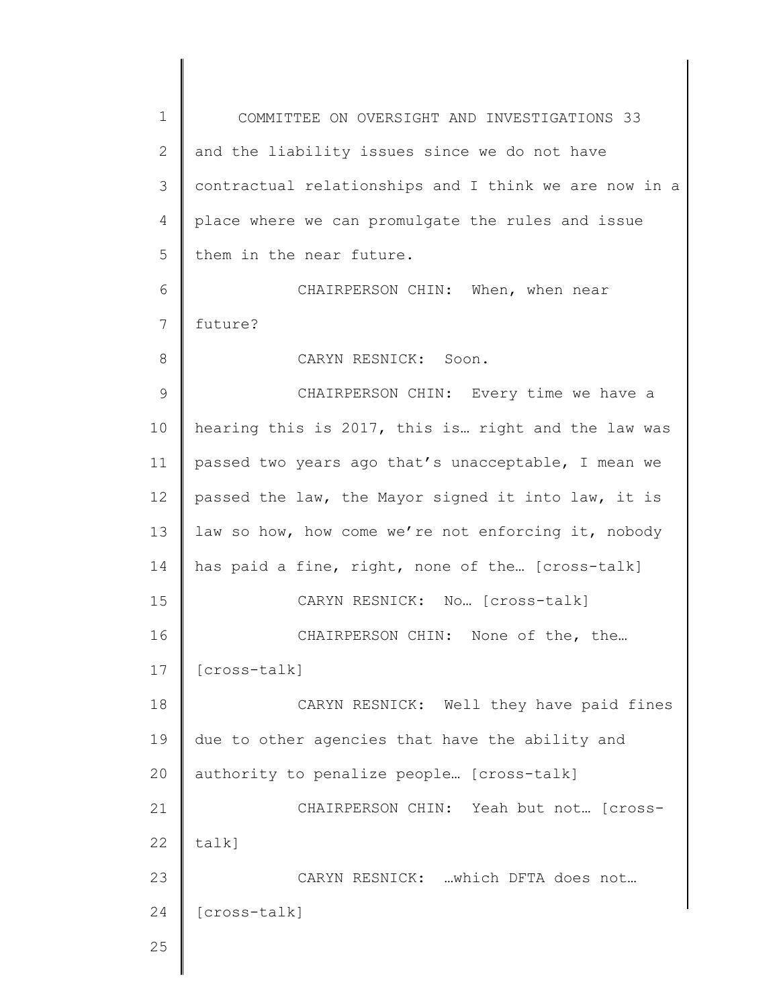1 2 3 4 5 6 7 8 9 10 11 12 13 14 15 16 17 18 19 20 21 22 23 24 25 COMMITTEE ON OVERSIGHT AND INVESTIGATIONS 33 and the liability issues since we do not have contractual relationships and I think we are now in a place where we can promulgate the rules and issue them in the near future. CHAIRPERSON CHIN: When, when near future? CARYN RESNICK: Soon. CHAIRPERSON CHIN: Every time we have a hearing this is 2017, this is… right and the law was passed two years ago that's unacceptable, I mean we passed the law, the Mayor signed it into law, it is law so how, how come we're not enforcing it, nobody has paid a fine, right, none of the… [cross-talk] CARYN RESNICK: No… [cross-talk] CHAIRPERSON CHIN: None of the, the… [cross-talk] CARYN RESNICK: Well they have paid fines due to other agencies that have the ability and authority to penalize people… [cross-talk] CHAIRPERSON CHIN: Yeah but not… [crosstalk] CARYN RESNICK: …which DFTA does not… [cross-talk]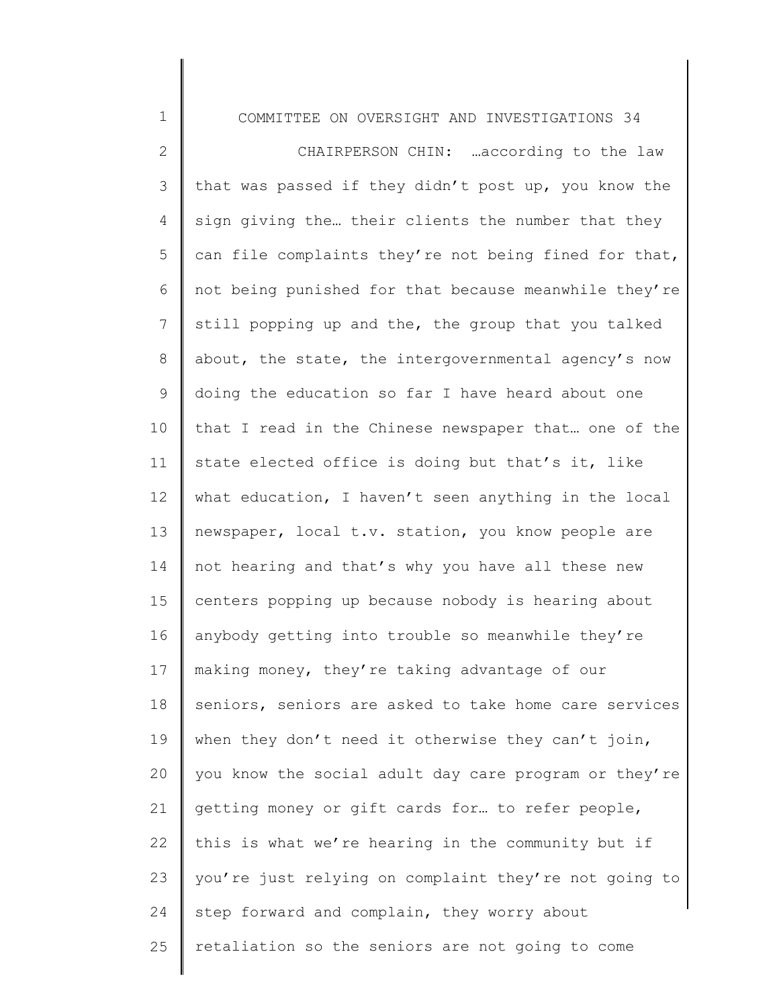COMMITTEE ON OVERSIGHT AND INVESTIGATIONS 34

1

2 3 4 5 6 7 8 9 10 11 12 13 14 15 16 17 18 19 20 21 22 23 24 25 CHAIRPERSON CHIN: …according to the law that was passed if they didn't post up, you know the sign giving the… their clients the number that they can file complaints they're not being fined for that, not being punished for that because meanwhile they're still popping up and the, the group that you talked about, the state, the intergovernmental agency's now doing the education so far I have heard about one that I read in the Chinese newspaper that… one of the state elected office is doing but that's it, like what education, I haven't seen anything in the local newspaper, local t.v. station, you know people are not hearing and that's why you have all these new centers popping up because nobody is hearing about anybody getting into trouble so meanwhile they're making money, they're taking advantage of our seniors, seniors are asked to take home care services when they don't need it otherwise they can't join, you know the social adult day care program or they're getting money or gift cards for… to refer people, this is what we're hearing in the community but if you're just relying on complaint they're not going to step forward and complain, they worry about retaliation so the seniors are not going to come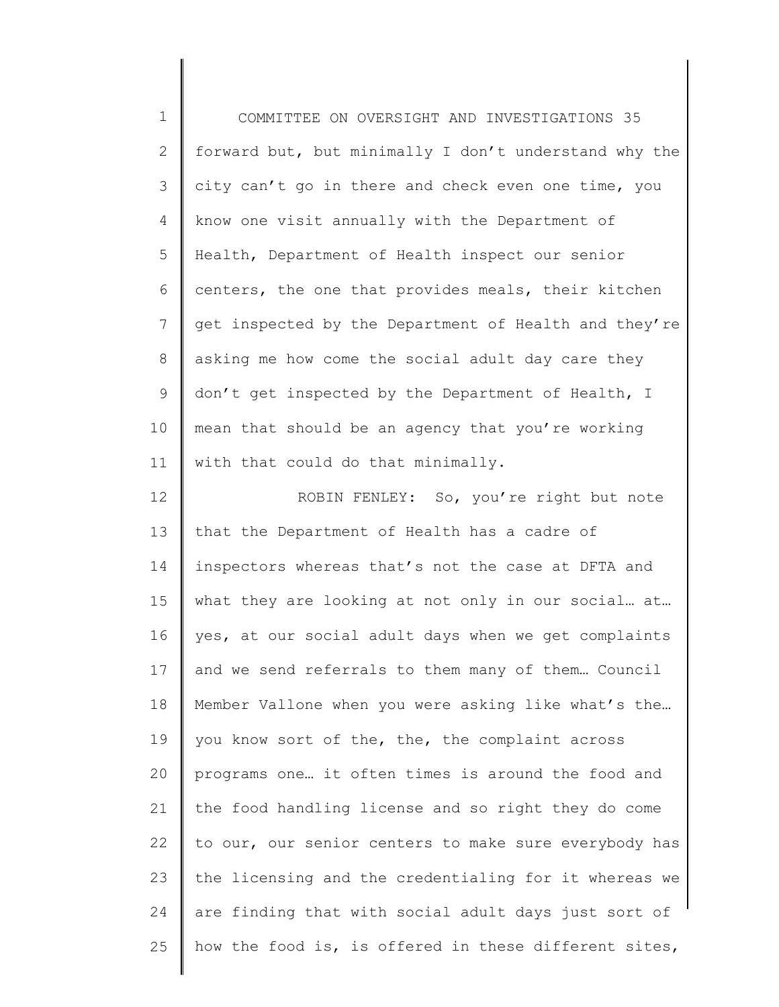| $\mathbf 1$   | COMMITTEE ON OVERSIGHT AND INVESTIGATIONS 35          |
|---------------|-------------------------------------------------------|
| 2             | forward but, but minimally I don't understand why the |
| $\mathcal{S}$ | city can't go in there and check even one time, you   |
| 4             | know one visit annually with the Department of        |
| 5             | Health, Department of Health inspect our senior       |
| 6             | centers, the one that provides meals, their kitchen   |
| 7             | get inspected by the Department of Health and they're |
| 8             | asking me how come the social adult day care they     |
| $\mathsf 9$   | don't get inspected by the Department of Health, I    |
| 10            | mean that should be an agency that you're working     |
| 11            | with that could do that minimally.                    |
| 12            | ROBIN FENLEY: So, you're right but note               |
| 13            | that the Department of Health has a cadre of          |
| 14            | inspectors whereas that's not the case at DFTA and    |
| 15            | what they are looking at not only in our social at    |
| 16            | yes, at our social adult days when we get complaints  |
| 17            | and we send referrals to them many of them Council    |
| 18            | Member Vallone when you were asking like what's the   |
| 19            | you know sort of the, the, the complaint across       |
| 20            | programs one it often times is around the food and    |
| 21            | the food handling license and so right they do come   |
| 22            | to our, our senior centers to make sure everybody has |
| 23            | the licensing and the credentialing for it whereas we |
| 24            | are finding that with social adult days just sort of  |
| 25            | how the food is, is offered in these different sites, |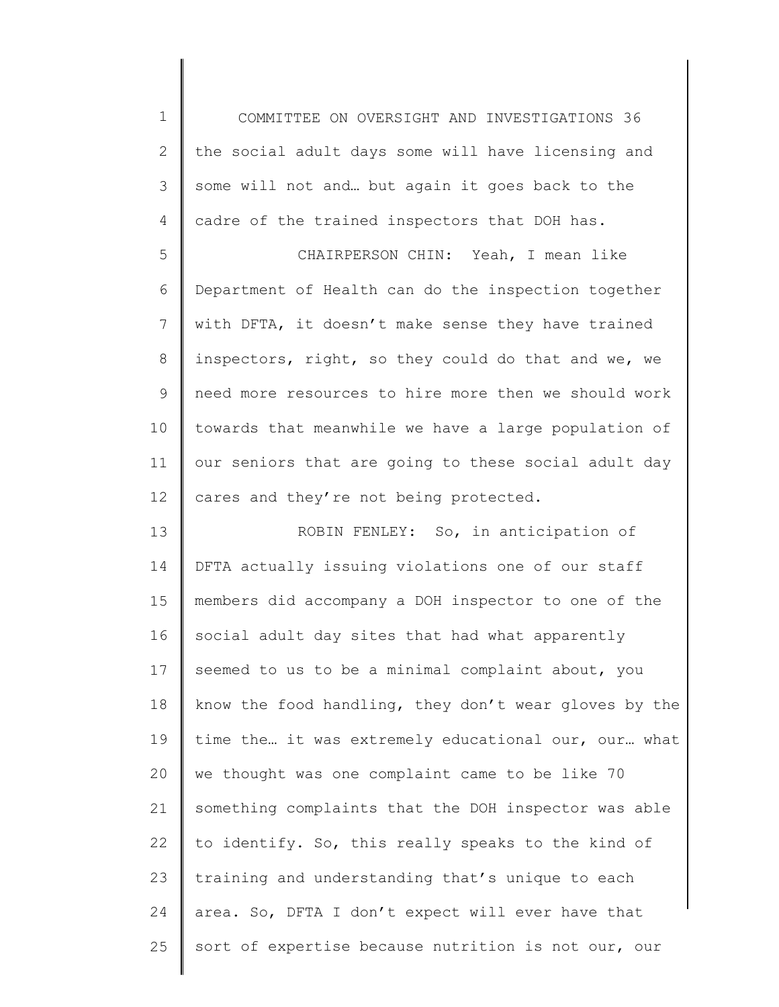1 2 3 4 COMMITTEE ON OVERSIGHT AND INVESTIGATIONS 36 the social adult days some will have licensing and some will not and… but again it goes back to the cadre of the trained inspectors that DOH has.

5 6 7 8 9 10 11 12 CHAIRPERSON CHIN: Yeah, I mean like Department of Health can do the inspection together with DFTA, it doesn't make sense they have trained inspectors, right, so they could do that and we, we need more resources to hire more then we should work towards that meanwhile we have a large population of our seniors that are going to these social adult day cares and they're not being protected.

13 14 15 16 17 18 19 20 21 22 23 24 25 ROBIN FENLEY: So, in anticipation of DFTA actually issuing violations one of our staff members did accompany a DOH inspector to one of the social adult day sites that had what apparently seemed to us to be a minimal complaint about, you know the food handling, they don't wear gloves by the time the… it was extremely educational our, our… what we thought was one complaint came to be like 70 something complaints that the DOH inspector was able to identify. So, this really speaks to the kind of training and understanding that's unique to each area. So, DFTA I don't expect will ever have that sort of expertise because nutrition is not our, our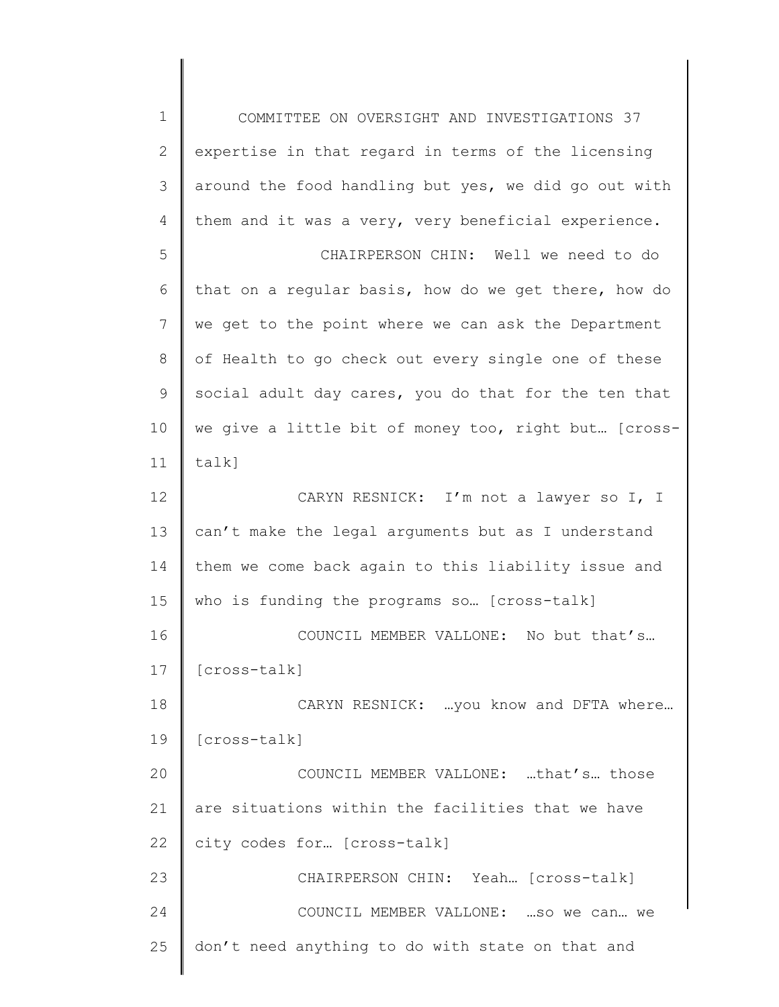1 2 3 4 5 6 7 8 9 10 11 12 13 14 15 16 17 18 19 20 21 22 23 24 25 COMMITTEE ON OVERSIGHT AND INVESTIGATIONS 37 expertise in that regard in terms of the licensing around the food handling but yes, we did go out with them and it was a very, very beneficial experience. CHAIRPERSON CHIN: Well we need to do that on a regular basis, how do we get there, how do we get to the point where we can ask the Department of Health to go check out every single one of these social adult day cares, you do that for the ten that we give a little bit of money too, right but… [crosstalk] CARYN RESNICK: I'm not a lawyer so I, I can't make the legal arguments but as I understand them we come back again to this liability issue and who is funding the programs so… [cross-talk] COUNCIL MEMBER VALLONE: No but that's… [cross-talk] CARYN RESNICK: …you know and DFTA where… [cross-talk] COUNCIL MEMBER VALLONE: …that's… those are situations within the facilities that we have city codes for… [cross-talk] CHAIRPERSON CHIN: Yeah… [cross-talk] COUNCIL MEMBER VALLONE: …so we can… we don't need anything to do with state on that and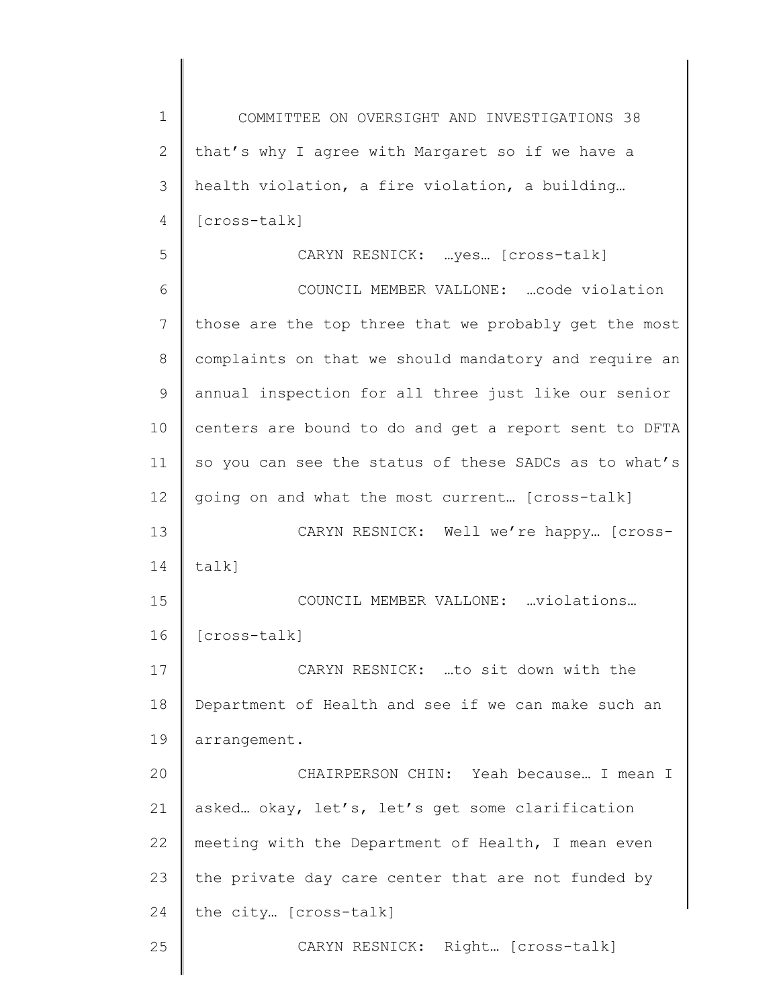1 2 3 4 5 6 7 8 9 10 11 12 13 14 15 16 17 18 19 20 21 22 23 24 25 COMMITTEE ON OVERSIGHT AND INVESTIGATIONS 38 that's why I agree with Margaret so if we have a health violation, a fire violation, a building… [cross-talk] CARYN RESNICK: …yes… [cross-talk] COUNCIL MEMBER VALLONE: …code violation those are the top three that we probably get the most complaints on that we should mandatory and require an annual inspection for all three just like our senior centers are bound to do and get a report sent to DFTA so you can see the status of these SADCs as to what's going on and what the most current… [cross-talk] CARYN RESNICK: Well we're happy… [crosstalk] COUNCIL MEMBER VALLONE: …violations… [cross-talk] CARYN RESNICK: …to sit down with the Department of Health and see if we can make such an arrangement. CHAIRPERSON CHIN: Yeah because… I mean I asked… okay, let's, let's get some clarification meeting with the Department of Health, I mean even the private day care center that are not funded by the city… [cross-talk] CARYN RESNICK: Right… [cross-talk]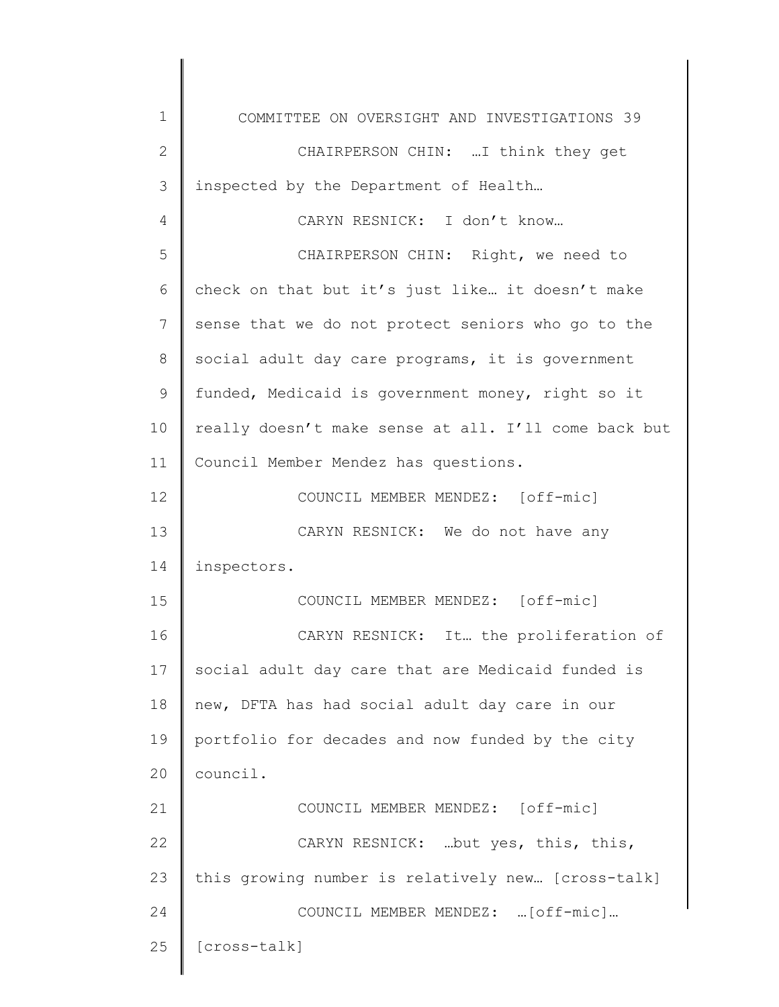| 1  | COMMITTEE ON OVERSIGHT AND INVESTIGATIONS 39         |
|----|------------------------------------------------------|
| 2  | CHAIRPERSON CHIN:  I think they get                  |
| 3  | inspected by the Department of Health                |
| 4  | CARYN RESNICK: I don't know                          |
| 5  | CHAIRPERSON CHIN: Right, we need to                  |
| 6  | check on that but it's just like it doesn't make     |
| 7  | sense that we do not protect seniors who go to the   |
| 8  | social adult day care programs, it is government     |
| 9  | funded, Medicaid is government money, right so it    |
| 10 | really doesn't make sense at all. I'll come back but |
| 11 | Council Member Mendez has questions.                 |
| 12 | COUNCIL MEMBER MENDEZ: [off-mic]                     |
| 13 | CARYN RESNICK: We do not have any                    |
| 14 | inspectors.                                          |
| 15 | COUNCIL MEMBER MENDEZ: [off-mic]                     |
| 16 | CARYN RESNICK: It the proliferation of               |
| 17 | social adult day care that are Medicaid funded is    |
| 18 | new, DFTA has had social adult day care in our       |
| 19 | portfolio for decades and now funded by the city     |
| 20 | council.                                             |
| 21 | COUNCIL MEMBER MENDEZ: [off-mic]                     |
| 22 | CARYN RESNICK:  but yes, this, this,                 |
| 23 | this growing number is relatively new [cross-talk]   |
| 24 | COUNCIL MEMBER MENDEZ:  [off-mic]                    |
| 25 | [cross-talk]                                         |
|    |                                                      |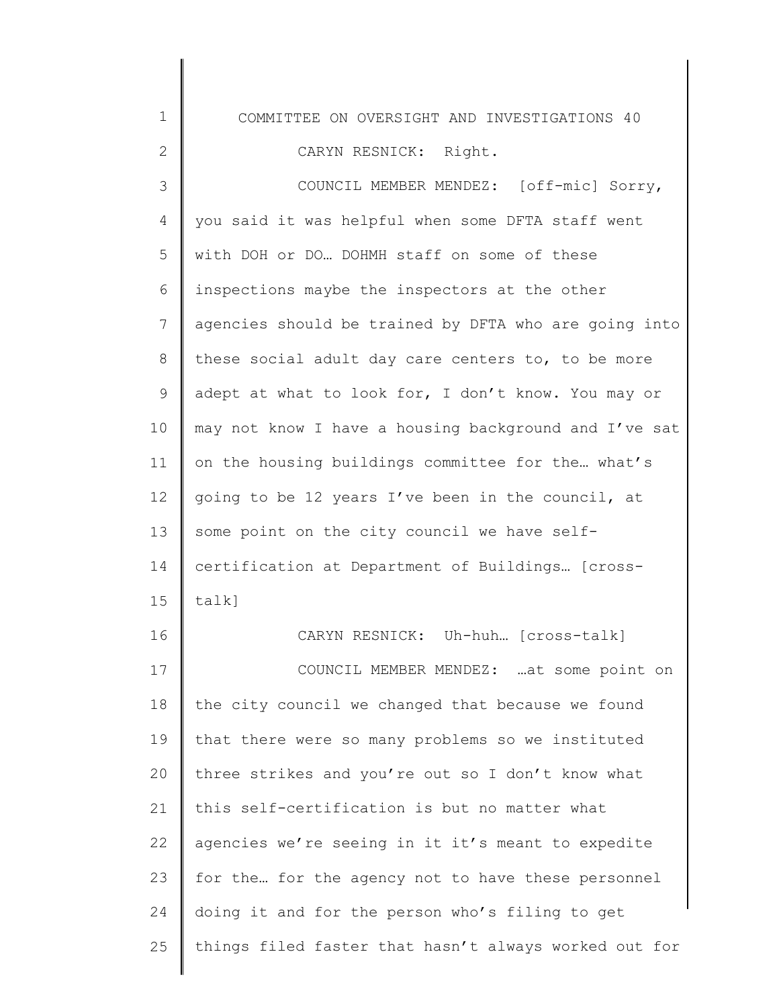1 2 3 4 5 6 7 8 9 10 11 12 13 14 15 16 17 18 19 20 21 22 23 24 25 COMMITTEE ON OVERSIGHT AND INVESTIGATIONS 40 CARYN RESNICK: Right. COUNCIL MEMBER MENDEZ: [off-mic] Sorry, you said it was helpful when some DFTA staff went with DOH or DO… DOHMH staff on some of these inspections maybe the inspectors at the other agencies should be trained by DFTA who are going into these social adult day care centers to, to be more adept at what to look for, I don't know. You may or may not know I have a housing background and I've sat on the housing buildings committee for the… what's going to be 12 years I've been in the council, at some point on the city council we have selfcertification at Department of Buildings… [crosstalk] CARYN RESNICK: Uh-huh… [cross-talk] COUNCIL MEMBER MENDEZ: …at some point on the city council we changed that because we found that there were so many problems so we instituted three strikes and you're out so I don't know what this self-certification is but no matter what agencies we're seeing in it it's meant to expedite for the… for the agency not to have these personnel doing it and for the person who's filing to get things filed faster that hasn't always worked out for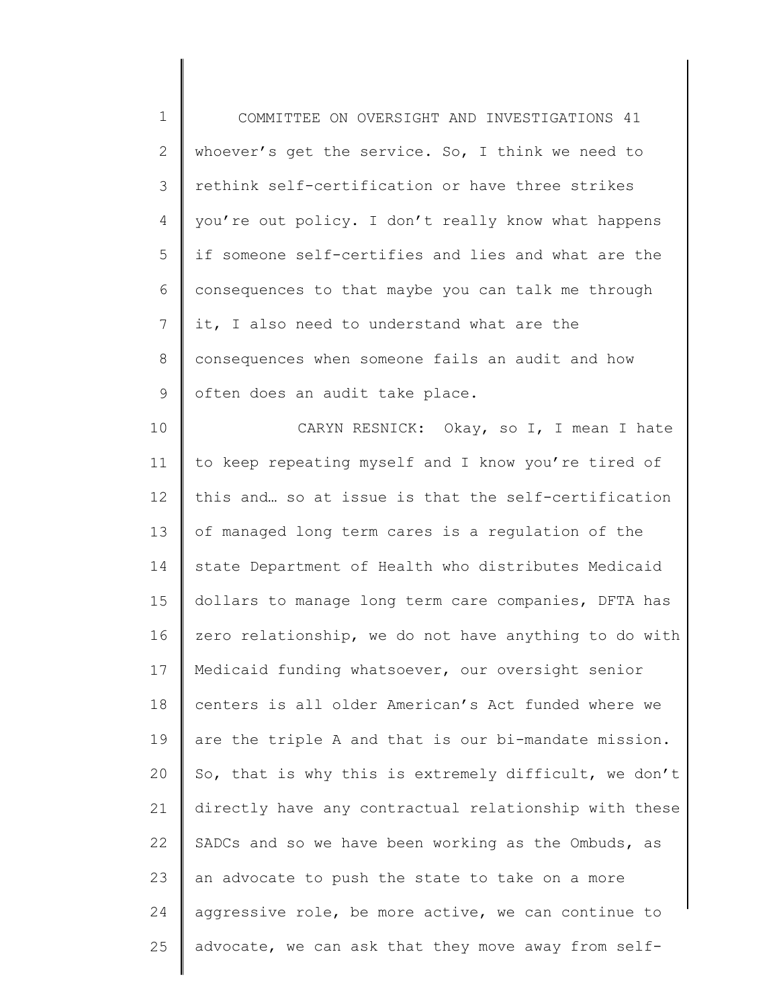1 2 3 4 5 6 7 8 9 10 COMMITTEE ON OVERSIGHT AND INVESTIGATIONS 41 whoever's get the service. So, I think we need to rethink self-certification or have three strikes you're out policy. I don't really know what happens if someone self-certifies and lies and what are the consequences to that maybe you can talk me through it, I also need to understand what are the consequences when someone fails an audit and how often does an audit take place. CARYN RESNICK: Okay, so I, I mean I hate to keep repeating myself and I know you're tired of

11 12 13 14 15 16 17 18 19 20 21 22 23 24 25 this and… so at issue is that the self-certification of managed long term cares is a regulation of the state Department of Health who distributes Medicaid dollars to manage long term care companies, DFTA has zero relationship, we do not have anything to do with Medicaid funding whatsoever, our oversight senior centers is all older American's Act funded where we are the triple A and that is our bi-mandate mission. So, that is why this is extremely difficult, we don't directly have any contractual relationship with these SADCs and so we have been working as the Ombuds, as an advocate to push the state to take on a more aggressive role, be more active, we can continue to advocate, we can ask that they move away from self-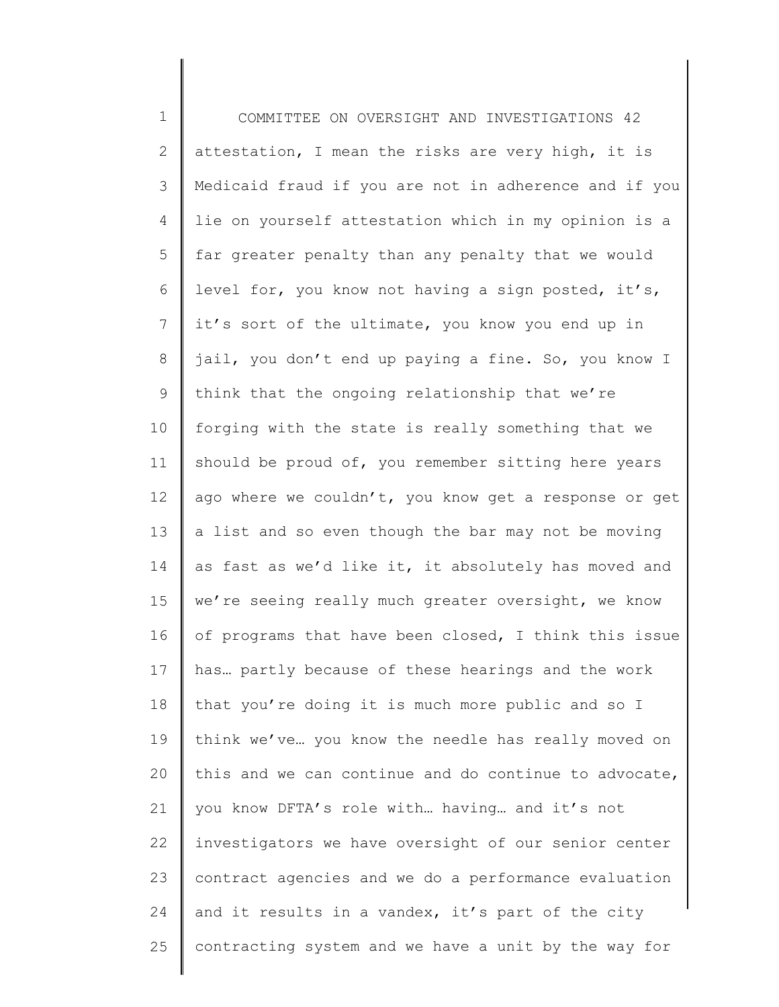1 2 3 4 5 6 7 8 9 10 11 12 13 14 15 16 17 18 19 20 21 22 23 24 25 COMMITTEE ON OVERSIGHT AND INVESTIGATIONS 42 attestation, I mean the risks are very high, it is Medicaid fraud if you are not in adherence and if you lie on yourself attestation which in my opinion is a far greater penalty than any penalty that we would level for, you know not having a sign posted, it's, it's sort of the ultimate, you know you end up in jail, you don't end up paying a fine. So, you know I think that the ongoing relationship that we're forging with the state is really something that we should be proud of, you remember sitting here years ago where we couldn't, you know get a response or get a list and so even though the bar may not be moving as fast as we'd like it, it absolutely has moved and we're seeing really much greater oversight, we know of programs that have been closed, I think this issue has… partly because of these hearings and the work that you're doing it is much more public and so I think we've… you know the needle has really moved on this and we can continue and do continue to advocate, you know DFTA's role with… having… and it's not investigators we have oversight of our senior center contract agencies and we do a performance evaluation and it results in a vandex, it's part of the city contracting system and we have a unit by the way for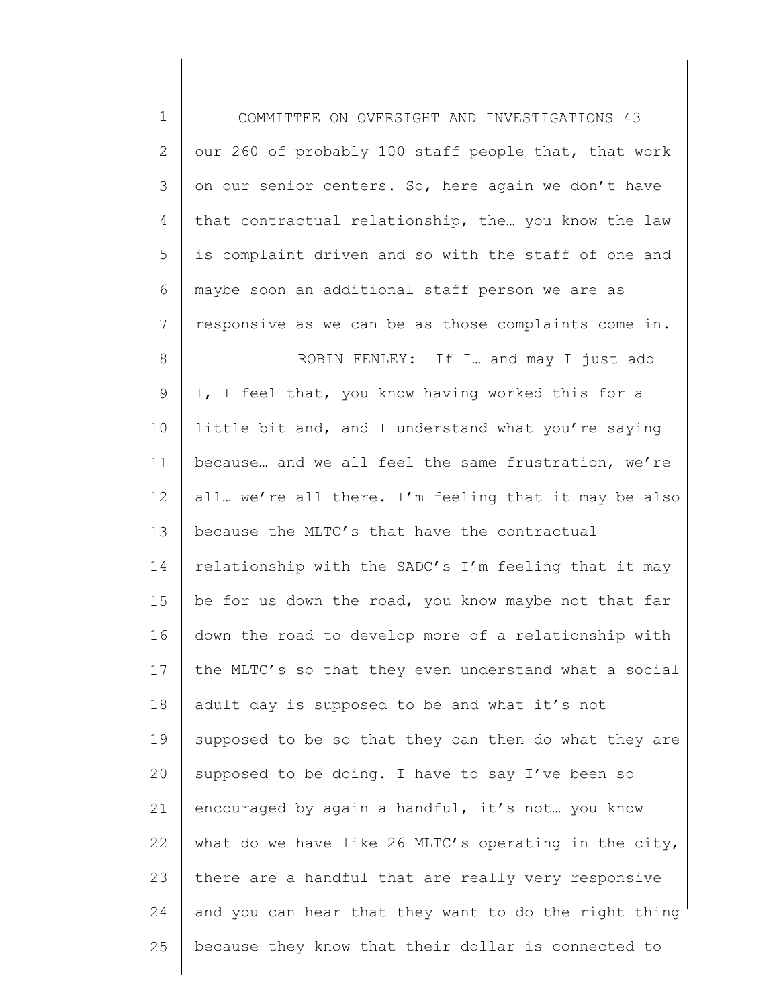1 2 3 4 5 6 7 8 9 10 11 12 13 14 15 16 17 18 19 20 21 22 23 24 25 COMMITTEE ON OVERSIGHT AND INVESTIGATIONS 43 our 260 of probably 100 staff people that, that work on our senior centers. So, here again we don't have that contractual relationship, the… you know the law is complaint driven and so with the staff of one and maybe soon an additional staff person we are as responsive as we can be as those complaints come in. ROBIN FENLEY: If I… and may I just add I, I feel that, you know having worked this for a little bit and, and I understand what you're saying because… and we all feel the same frustration, we're all… we're all there. I'm feeling that it may be also because the MLTC's that have the contractual relationship with the SADC's I'm feeling that it may be for us down the road, you know maybe not that far down the road to develop more of a relationship with the MLTC's so that they even understand what a social adult day is supposed to be and what it's not supposed to be so that they can then do what they are supposed to be doing. I have to say I've been so encouraged by again a handful, it's not... you know what do we have like 26 MLTC's operating in the city, there are a handful that are really very responsive and you can hear that they want to do the right thing because they know that their dollar is connected to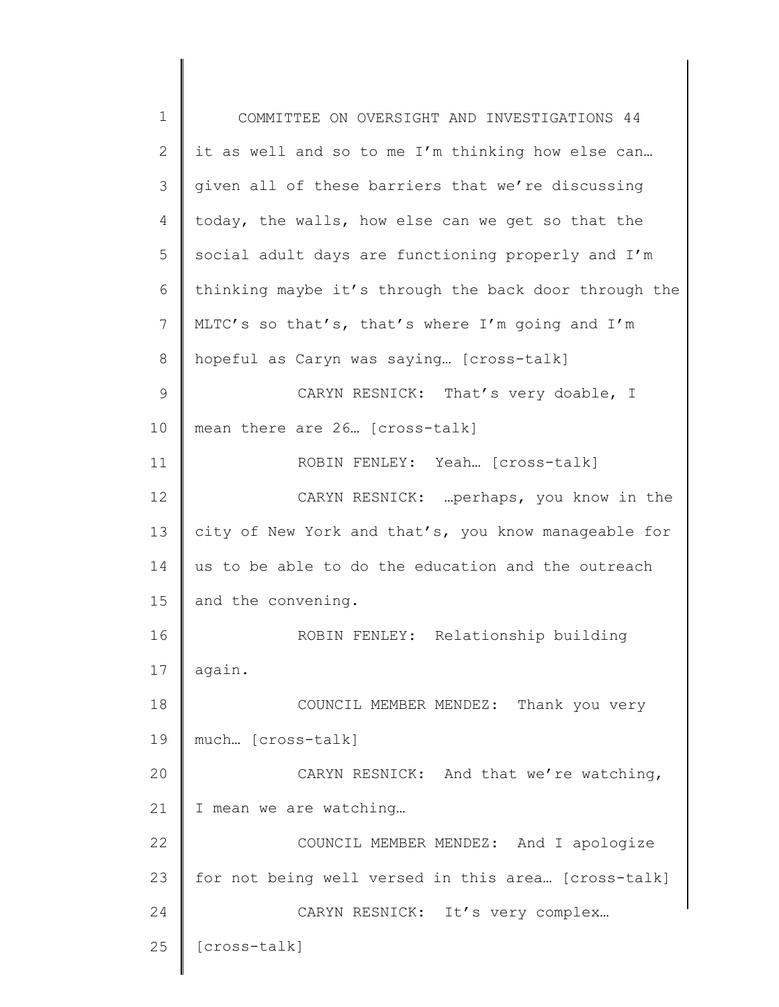1 2 3 4 5 6 7 8 9 10 11 12 13 14 15 16 17 18 19 20 21 22 23 24 25 COMMITTEE ON OVERSIGHT AND INVESTIGATIONS 44 it as well and so to me I'm thinking how else can… given all of these barriers that we're discussing today, the walls, how else can we get so that the social adult days are functioning properly and I'm thinking maybe it's through the back door through the MLTC's so that's, that's where I'm going and I'm hopeful as Caryn was saying… [cross-talk] CARYN RESNICK: That's very doable, I mean there are 26… [cross-talk] ROBIN FENLEY: Yeah… [cross-talk] CARYN RESNICK: …perhaps, you know in the city of New York and that's, you know manageable for us to be able to do the education and the outreach and the convening. ROBIN FENLEY: Relationship building again. COUNCIL MEMBER MENDEZ: Thank you very much… [cross-talk] CARYN RESNICK: And that we're watching, I mean we are watching… COUNCIL MEMBER MENDEZ: And I apologize for not being well versed in this area… [cross-talk] CARYN RESNICK: It's very complex… [cross-talk]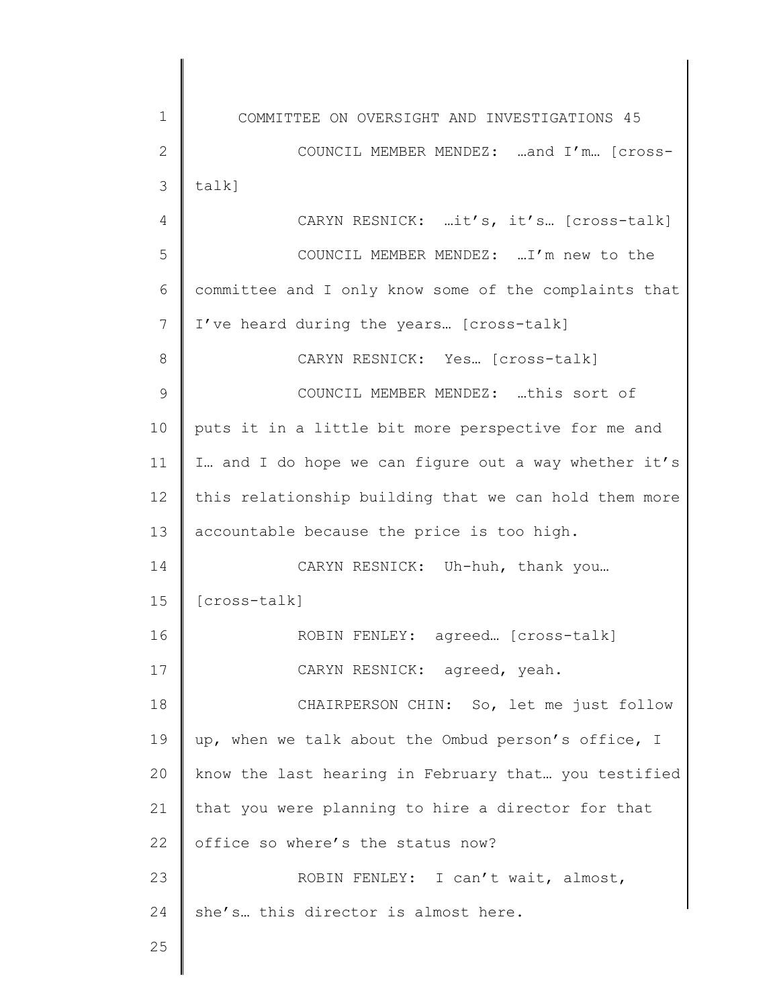1 2 3 4 5 6 7 8 9 10 11 12 13 14 15 16 17 18 19 20 21 22 23 24 25 COMMITTEE ON OVERSIGHT AND INVESTIGATIONS 45 COUNCIL MEMBER MENDEZ: …and I'm… [crosstalk] CARYN RESNICK: …it's, it's… [cross-talk] COUNCIL MEMBER MENDEZ: …I'm new to the committee and I only know some of the complaints that I've heard during the years… [cross-talk] CARYN RESNICK: Yes… [cross-talk] COUNCIL MEMBER MENDEZ: …this sort of puts it in a little bit more perspective for me and I… and I do hope we can figure out a way whether it's this relationship building that we can hold them more accountable because the price is too high. CARYN RESNICK: Uh-huh, thank you… [cross-talk] ROBIN FENLEY: agreed… [cross-talk] CARYN RESNICK: agreed, yeah. CHAIRPERSON CHIN: So, let me just follow up, when we talk about the Ombud person's office, I know the last hearing in February that… you testified that you were planning to hire a director for that office so where's the status now? ROBIN FENLEY: I can't wait, almost, she's… this director is almost here.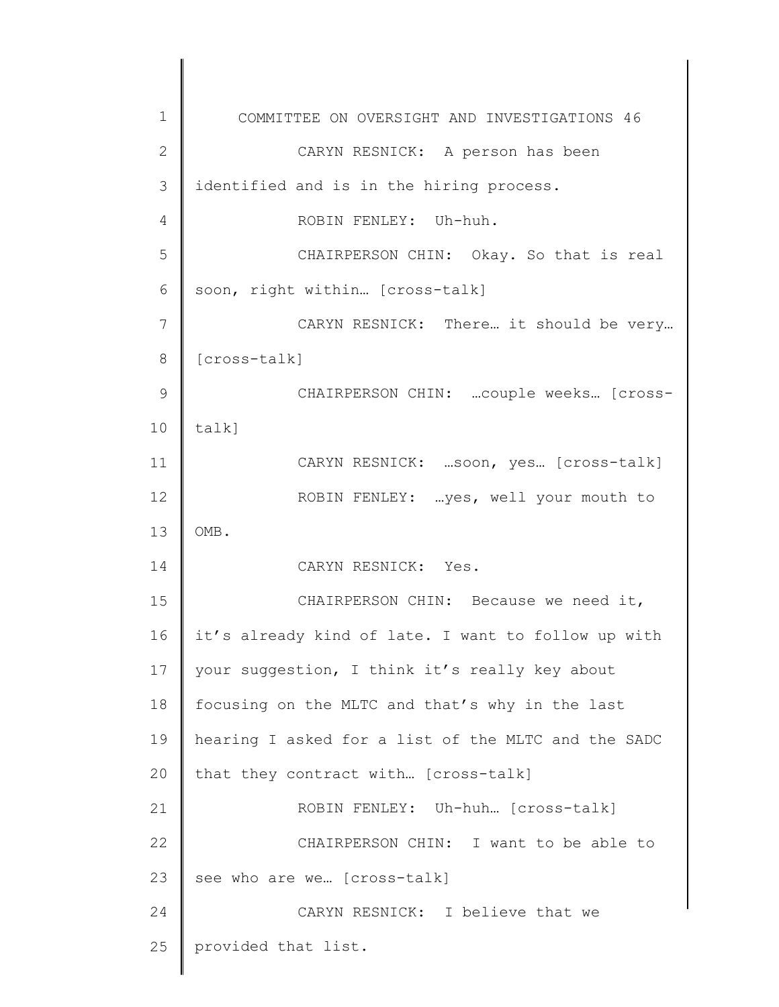1 2 3 4 5 6 7 8 9 10 11 12 13 14 15 16 17 18 19 20 21 22 23 24 25 COMMITTEE ON OVERSIGHT AND INVESTIGATIONS 46 CARYN RESNICK: A person has been identified and is in the hiring process. ROBIN FENLEY: Uh-huh. CHAIRPERSON CHIN: Okay. So that is real soon, right within… [cross-talk] CARYN RESNICK: There… it should be very… [cross-talk] CHAIRPERSON CHIN: …couple weeks… [crosstalk] CARYN RESNICK: …soon, yes… [cross-talk] ROBIN FENLEY: …yes, well your mouth to OMB. CARYN RESNICK: Yes. CHAIRPERSON CHIN: Because we need it, it's already kind of late. I want to follow up with your suggestion, I think it's really key about focusing on the MLTC and that's why in the last hearing I asked for a list of the MLTC and the SADC that they contract with… [cross-talk] ROBIN FENLEY: Uh-huh… [cross-talk] CHAIRPERSON CHIN: I want to be able to see who are we… [cross-talk] CARYN RESNICK: I believe that we provided that list.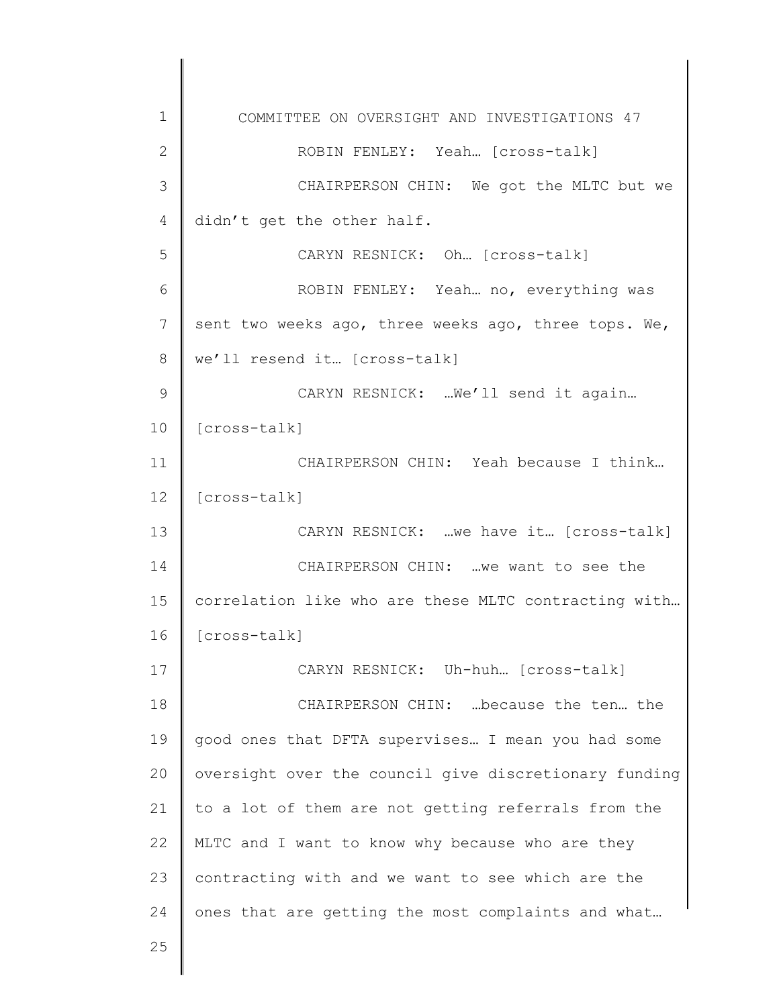1 2 3 4 5 6 7 8 9 10 11 12 13 14 15 16 17 18 19 20 21 22 23 24 25 COMMITTEE ON OVERSIGHT AND INVESTIGATIONS 47 ROBIN FENLEY: Yeah… [cross-talk] CHAIRPERSON CHIN: We got the MLTC but we didn't get the other half. CARYN RESNICK: Oh… [cross-talk] ROBIN FENLEY: Yeah… no, everything was sent two weeks ago, three weeks ago, three tops. We, we'll resend it… [cross-talk] CARYN RESNICK: …We'll send it again… [cross-talk] CHAIRPERSON CHIN: Yeah because I think… [cross-talk] CARYN RESNICK: …we have it… [cross-talk] CHAIRPERSON CHIN: …we want to see the correlation like who are these MLTC contracting with… [cross-talk] CARYN RESNICK: Uh-huh… [cross-talk] CHAIRPERSON CHIN: …because the ten… the good ones that DFTA supervises… I mean you had some oversight over the council give discretionary funding to a lot of them are not getting referrals from the MLTC and I want to know why because who are they contracting with and we want to see which are the ones that are getting the most complaints and what…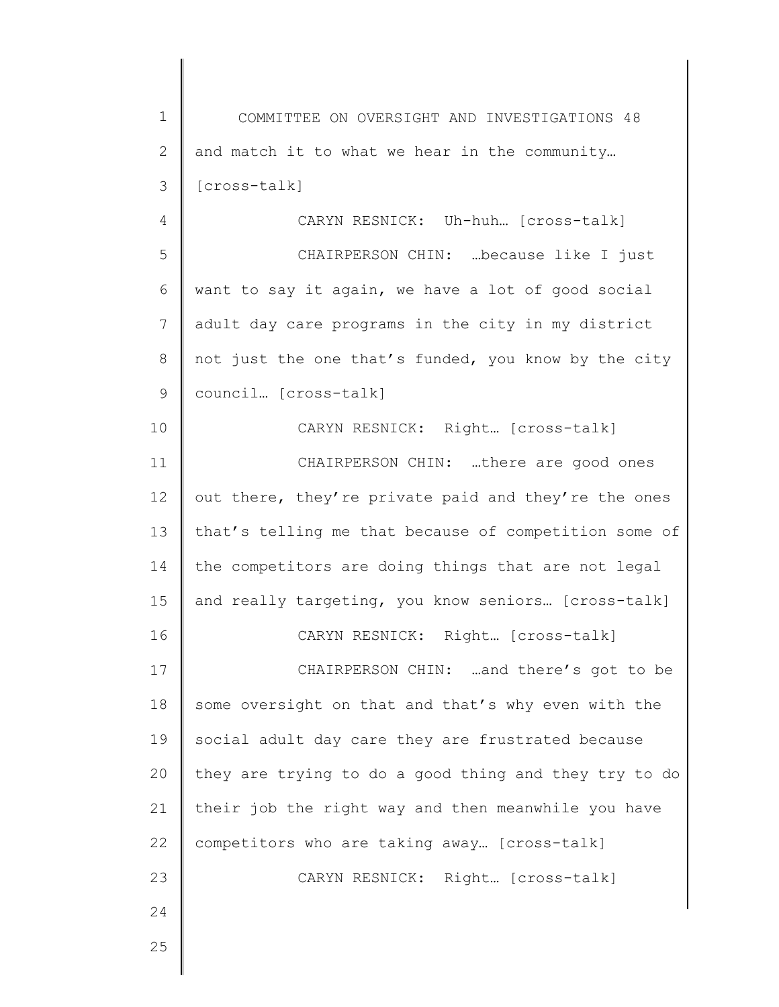1 2 3 4 COMMITTEE ON OVERSIGHT AND INVESTIGATIONS 48 and match it to what we hear in the community… [cross-talk] CARYN RESNICK: Uh-huh… [cross-talk]

5 6 7 8 9 CHAIRPERSON CHIN: …because like I just want to say it again, we have a lot of good social adult day care programs in the city in my district not just the one that's funded, you know by the city council… [cross-talk]

10 11 12 13 14 15 CARYN RESNICK: Right… [cross-talk] CHAIRPERSON CHIN: …there are good ones out there, they're private paid and they're the ones that's telling me that because of competition some of the competitors are doing things that are not legal and really targeting, you know seniors… [cross-talk]

CARYN RESNICK: Right… [cross-talk]

17 18 19 20 21 22 23 CHAIRPERSON CHIN: …and there's got to be some oversight on that and that's why even with the social adult day care they are frustrated because they are trying to do a good thing and they try to do their job the right way and then meanwhile you have competitors who are taking away… [cross-talk] CARYN RESNICK: Right… [cross-talk]

25

24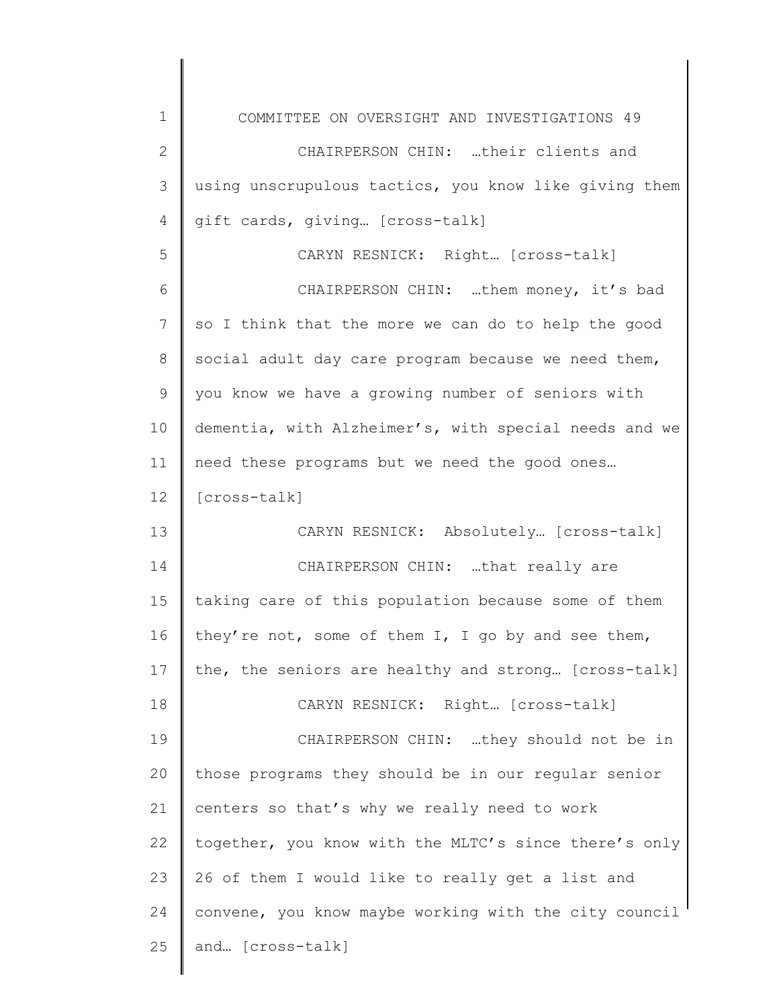| 1            | COMMITTEE ON OVERSIGHT AND INVESTIGATIONS 49          |
|--------------|-------------------------------------------------------|
| $\mathbf{2}$ | CHAIRPERSON CHIN: their clients and                   |
| 3            | using unscrupulous tactics, you know like giving them |
| 4            | gift cards, giving [cross-talk]                       |
| 5            | CARYN RESNICK: Right [cross-talk]                     |
| 6            | CHAIRPERSON CHIN: them money, it's bad                |
| 7            | so I think that the more we can do to help the good   |
| 8            | social adult day care program because we need them,   |
| 9            | you know we have a growing number of seniors with     |
| 10           | dementia, with Alzheimer's, with special needs and we |
| 11           | need these programs but we need the good ones         |
| 12           | [cross-talk]                                          |
| 13           | CARYN RESNICK: Absolutely [cross-talk]                |
| 14           | CHAIRPERSON CHIN: that really are                     |
| 15           | taking care of this population because some of them   |
| 16           | they're not, some of them I, I go by and see them,    |
| 17           | the, the seniors are healthy and strong [cross-talk]  |
| 18           | CARYN RESNICK: Right [cross-talk]                     |
| 19           | CHAIRPERSON CHIN: they should not be in               |
| 20           | those programs they should be in our regular senior   |
| 21           | centers so that's why we really need to work          |
| 22           | together, you know with the MLTC's since there's only |
| 23           | 26 of them I would like to really get a list and      |
| 24           | convene, you know maybe working with the city council |
| 25           | and [cross-talk]                                      |
|              |                                                       |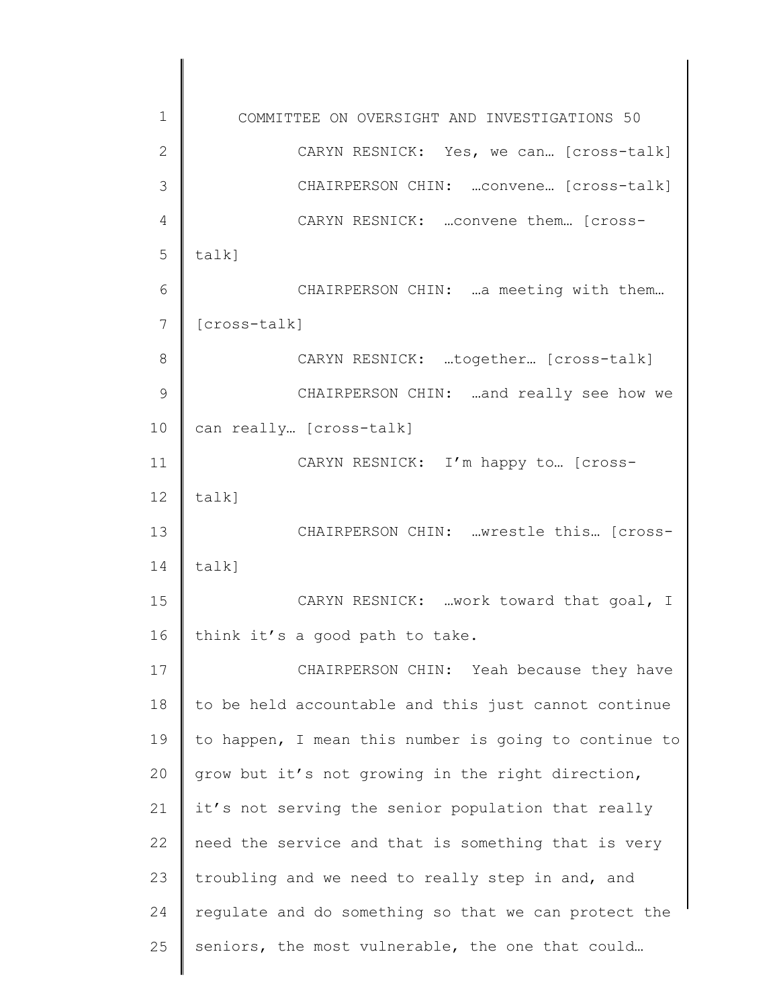1 2 3 4 5 6 7 8 9 10 11 12 13 14 15 16 17 18 19 20 21 22 23 24 25 COMMITTEE ON OVERSIGHT AND INVESTIGATIONS 50 CARYN RESNICK: Yes, we can… [cross-talk] CHAIRPERSON CHIN: …convene… [cross-talk] CARYN RESNICK: …convene them… [crosstalk] CHAIRPERSON CHIN: …a meeting with them… [cross-talk] CARYN RESNICK: …together… [cross-talk] CHAIRPERSON CHIN: …and really see how we can really… [cross-talk] CARYN RESNICK: I'm happy to… [crosstalk] CHAIRPERSON CHIN: …wrestle this… [crosstalk] CARYN RESNICK: …work toward that goal, I think it's a good path to take. CHAIRPERSON CHIN: Yeah because they have to be held accountable and this just cannot continue to happen, I mean this number is going to continue to grow but it's not growing in the right direction, it's not serving the senior population that really need the service and that is something that is very troubling and we need to really step in and, and regulate and do something so that we can protect the seniors, the most vulnerable, the one that could…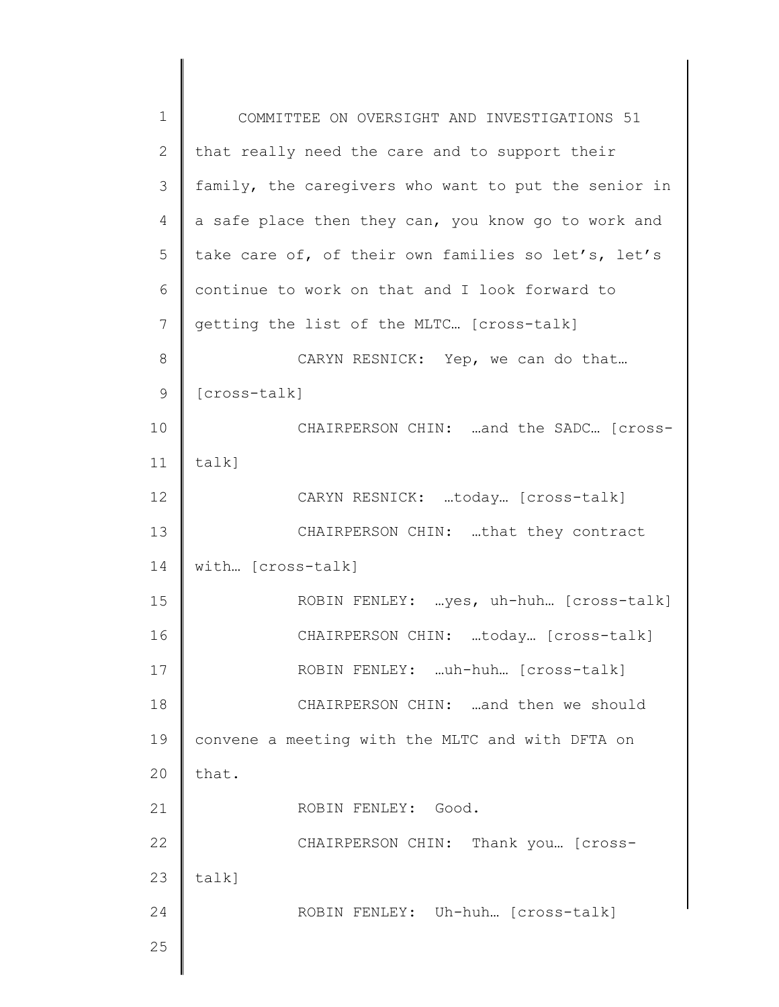| $\mathbf 1$   | COMMITTEE ON OVERSIGHT AND INVESTIGATIONS 51         |
|---------------|------------------------------------------------------|
| $\mathbf{2}$  | that really need the care and to support their       |
| 3             | family, the caregivers who want to put the senior in |
| 4             | a safe place then they can, you know go to work and  |
| 5             | take care of, of their own families so let's, let's  |
| 6             | continue to work on that and I look forward to       |
| 7             | getting the list of the MLTC [cross-talk]            |
| 8             | CARYN RESNICK: Yep, we can do that                   |
| $\mathcal{G}$ | [cross-talk]                                         |
| 10            | CHAIRPERSON CHIN: and the SADC [cross-               |
| 11            | $talk$ ]                                             |
| 12            | CARYN RESNICK: today [cross-talk]                    |
| 13            | CHAIRPERSON CHIN: that they contract                 |
| 14            | with [cross-talk]                                    |
| 15            | ROBIN FENLEY: yes, uh-huh [cross-talk]               |
| 16            | CHAIRPERSON CHIN: today [cross-talk]                 |
| 17            | ROBIN FENLEY: uh-huh [cross-talk]                    |
| 18            | CHAIRPERSON CHIN: and then we should                 |
| 19            | convene a meeting with the MLTC and with DFTA on     |
| 20            | that.                                                |
| 21            | ROBIN FENLEY: Good.                                  |
| 22            | CHAIRPERSON CHIN: Thank you [Cross-                  |
| 23            | $talk$ ]                                             |
| 24            | ROBIN FENLEY: Uh-huh [Cross-talk]                    |
| 25            |                                                      |
|               |                                                      |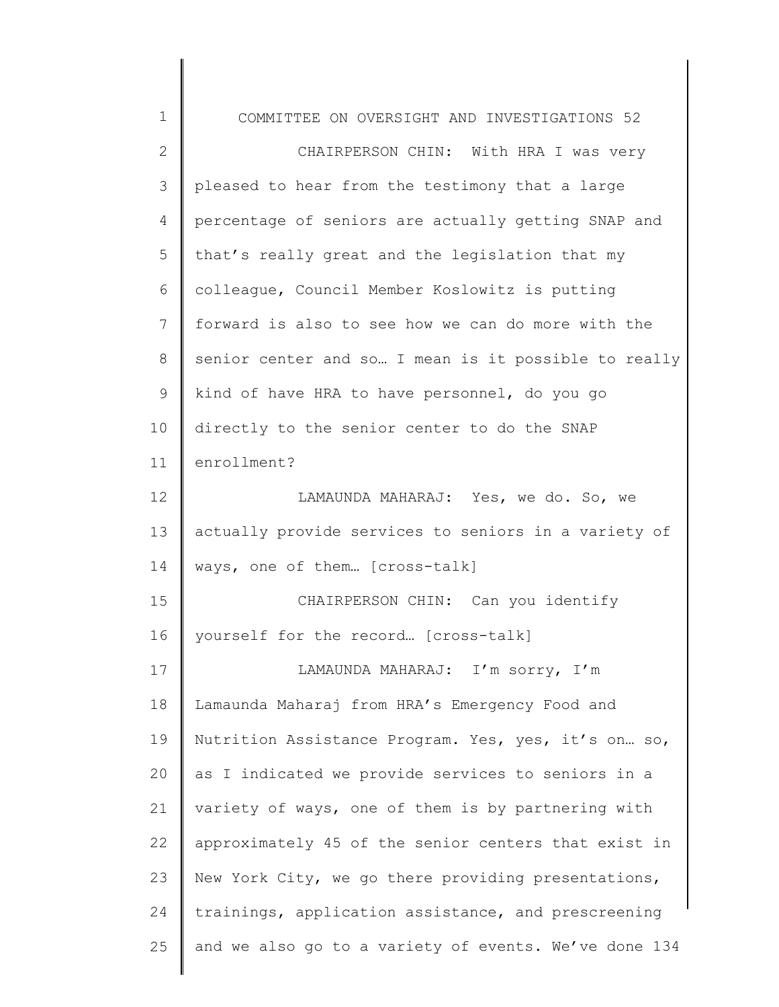| $\mathbf 1$    | COMMITTEE ON OVERSIGHT AND INVESTIGATIONS 52          |
|----------------|-------------------------------------------------------|
| $\mathbf{2}$   | CHAIRPERSON CHIN: With HRA I was very                 |
| 3              | pleased to hear from the testimony that a large       |
| $\overline{4}$ | percentage of seniors are actually getting SNAP and   |
| 5              | that's really great and the legislation that my       |
| 6              | colleague, Council Member Koslowitz is putting        |
| $7\phantom{.}$ | forward is also to see how we can do more with the    |
| 8              | senior center and so I mean is it possible to really  |
| 9              | kind of have HRA to have personnel, do you go         |
| 10             | directly to the senior center to do the SNAP          |
| 11             | enrollment?                                           |
| 12             | LAMAUNDA MAHARAJ: Yes, we do. So, we                  |
| 13             | actually provide services to seniors in a variety of  |
| 14             | ways, one of them [cross-talk]                        |
| 15             | CHAIRPERSON CHIN: Can you identify                    |
| 16             | yourself for the record [cross-talk]                  |
| 17             | LAMAUNDA MAHARAJ: I'm sorry, I'm                      |
| 18             | Lamaunda Maharaj from HRA's Emergency Food and        |
| 19             | Nutrition Assistance Program. Yes, yes, it's on so,   |
| 20             | as I indicated we provide services to seniors in a    |
| 21             | variety of ways, one of them is by partnering with    |
| 22             | approximately 45 of the senior centers that exist in  |
| 23             | New York City, we go there providing presentations,   |
| 24             | trainings, application assistance, and prescreening   |
| 25             | and we also go to a variety of events. We've done 134 |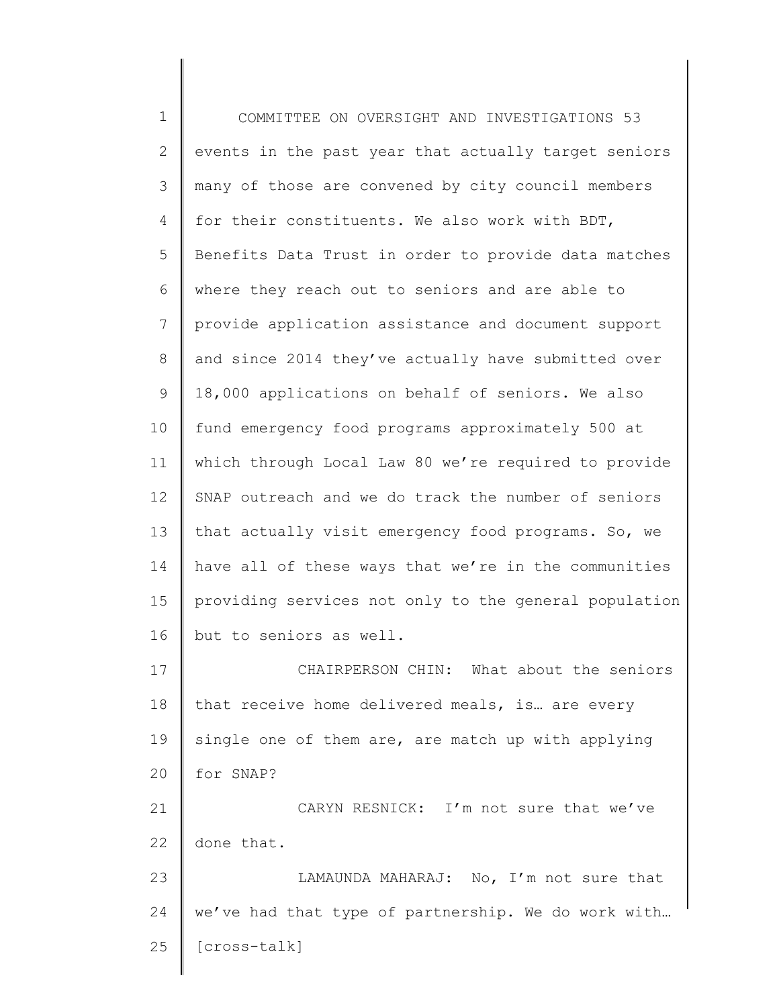1 2 3 4 5 6 7 8 9 10 11 12 13 14 15 16 17 18 19 20 21 22 23 24 25 COMMITTEE ON OVERSIGHT AND INVESTIGATIONS 53 events in the past year that actually target seniors many of those are convened by city council members for their constituents. We also work with BDT, Benefits Data Trust in order to provide data matches where they reach out to seniors and are able to provide application assistance and document support and since 2014 they've actually have submitted over 18,000 applications on behalf of seniors. We also fund emergency food programs approximately 500 at which through Local Law 80 we're required to provide SNAP outreach and we do track the number of seniors that actually visit emergency food programs. So, we have all of these ways that we're in the communities providing services not only to the general population but to seniors as well. CHAIRPERSON CHIN: What about the seniors that receive home delivered meals, is… are every single one of them are, are match up with applying for SNAP? CARYN RESNICK: I'm not sure that we've done that. LAMAUNDA MAHARAJ: No, I'm not sure that we've had that type of partnership. We do work with… [cross-talk]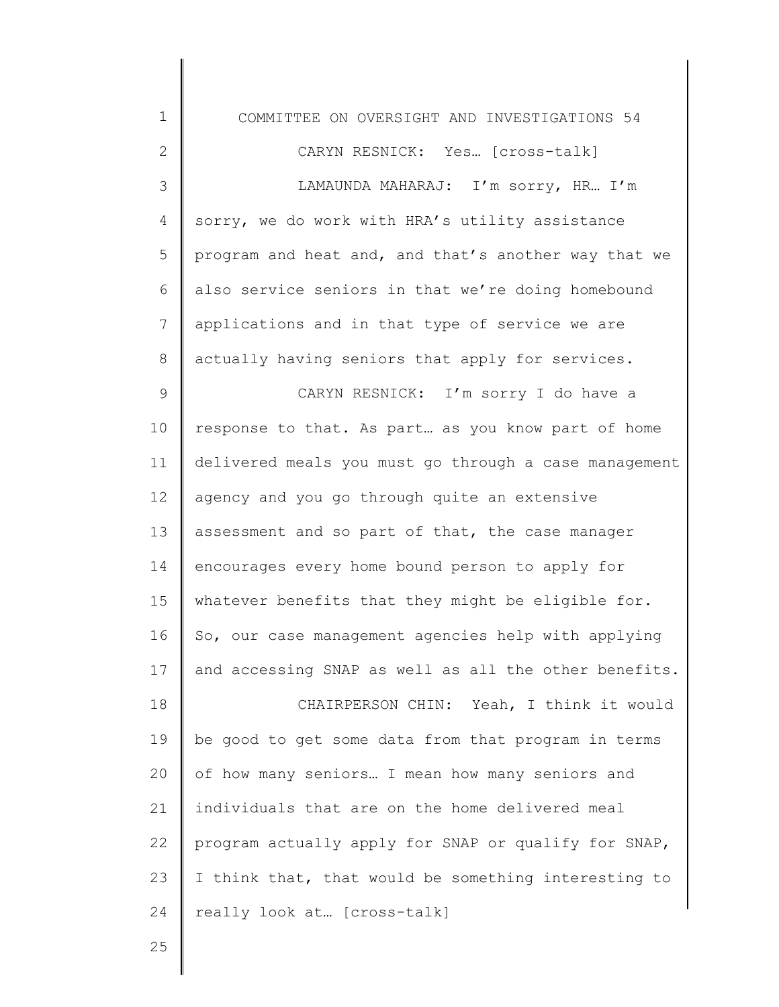| $\mathbf 1$ | COMMITTEE ON OVERSIGHT AND INVESTIGATIONS 54          |
|-------------|-------------------------------------------------------|
| 2           | CARYN RESNICK: Yes [cross-talk]                       |
| 3           | LAMAUNDA MAHARAJ: I'm sorry, HR I'm                   |
| 4           | sorry, we do work with HRA's utility assistance       |
| 5           | program and heat and, and that's another way that we  |
| 6           | also service seniors in that we're doing homebound    |
| 7           | applications and in that type of service we are       |
| 8           | actually having seniors that apply for services.      |
| 9           | CARYN RESNICK: I'm sorry I do have a                  |
| 10          | response to that. As part as you know part of home    |
| 11          | delivered meals you must go through a case management |
| 12          | agency and you go through quite an extensive          |
| 13          | assessment and so part of that, the case manager      |
| 14          | encourages every home bound person to apply for       |
| 15          | whatever benefits that they might be eligible for.    |
| 16          | So, our case management agencies help with applying   |
| 17          | and accessing SNAP as well as all the other benefits  |
| 18          | CHAIRPERSON CHIN: Yeah, I think it would              |
| 19          | be good to get some data from that program in terms   |
| 20          | of how many seniors I mean how many seniors and       |
| 21          | individuals that are on the home delivered meal       |
| 22          | program actually apply for SNAP or qualify for SNAP,  |
| 23          | I think that, that would be something interesting to  |
| 24          | really look at [cross-talk]                           |
|             |                                                       |

25

 $\mathsf I$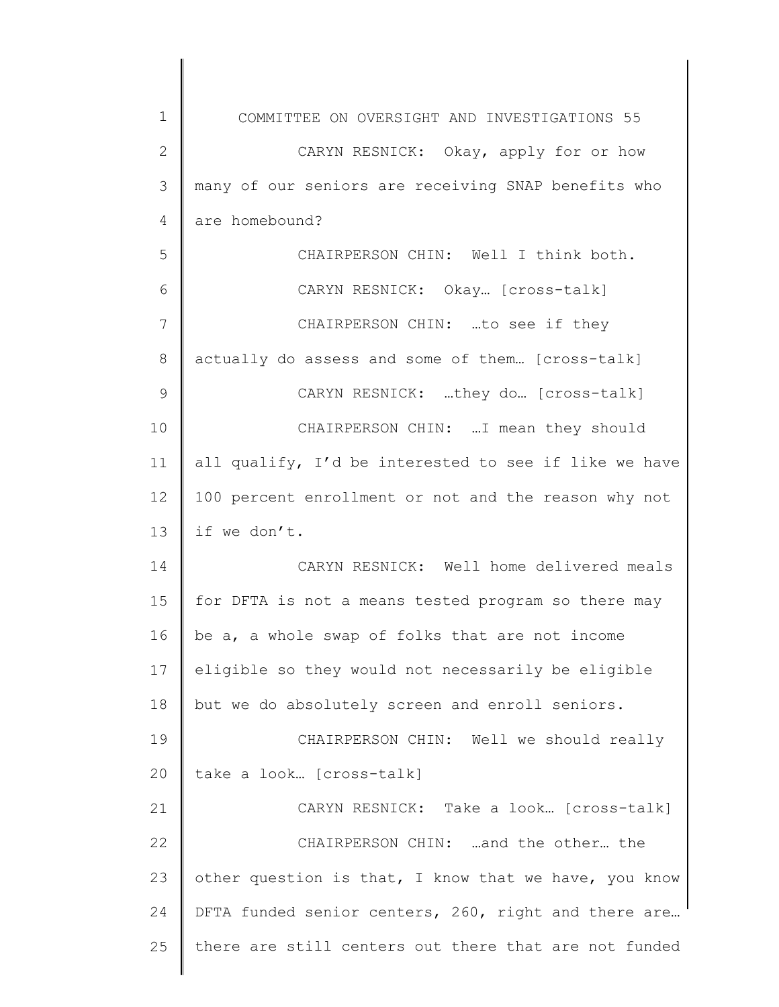| 1            | COMMITTEE ON OVERSIGHT AND INVESTIGATIONS 55          |
|--------------|-------------------------------------------------------|
| $\mathbf{2}$ | CARYN RESNICK: Okay, apply for or how                 |
| 3            | many of our seniors are receiving SNAP benefits who   |
| 4            | are homebound?                                        |
| 5            | CHAIRPERSON CHIN: Well I think both.                  |
| 6            | CARYN RESNICK: Okay [Cross-talk]                      |
| 7            | CHAIRPERSON CHIN: to see if they                      |
| 8            | actually do assess and some of them [cross-talk]      |
| 9            | CARYN RESNICK: they do [cross-talk]                   |
| 10           | CHAIRPERSON CHIN:  I mean they should                 |
| 11           | all qualify, I'd be interested to see if like we have |
| 12           | 100 percent enrollment or not and the reason why not  |
| 13           | if we don't.                                          |
| 14           | CARYN RESNICK: Well home delivered meals              |
| 15           | for DFTA is not a means tested program so there may   |
| 16           | be a, a whole swap of folks that are not income       |
| 17           | eligible so they would not necessarily be eligible    |
| 18           | but we do absolutely screen and enroll seniors.       |
| 19           | CHAIRPERSON CHIN: Well we should really               |
| 20           | take a look [cross-talk]                              |
| 21           | CARYN RESNICK: Take a look [cross-talk]               |
| 22           | CHAIRPERSON CHIN: and the other the                   |
| 23           | other question is that, I know that we have, you know |
| 24           | DFTA funded senior centers, 260, right and there are  |
| 25           | there are still centers out there that are not funded |
|              |                                                       |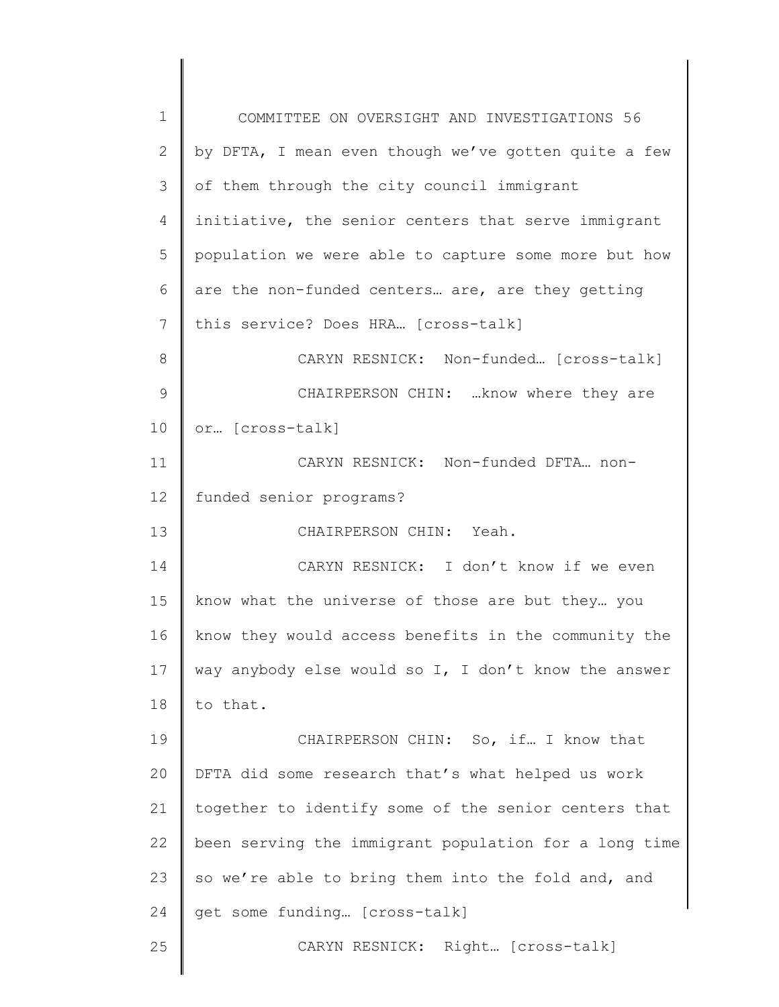| $\mathbf 1$ | COMMITTEE ON OVERSIGHT AND INVESTIGATIONS 56          |
|-------------|-------------------------------------------------------|
| 2           | by DFTA, I mean even though we've gotten quite a few  |
| 3           | of them through the city council immigrant            |
| 4           | initiative, the senior centers that serve immigrant   |
| 5           | population we were able to capture some more but how  |
| 6           | are the non-funded centers are, are they getting      |
| 7           | this service? Does HRA [cross-talk]                   |
| 8           | CARYN RESNICK: Non-funded [cross-talk]                |
| 9           | CHAIRPERSON CHIN:  know where they are                |
| 10          | or [cross-talk]                                       |
| 11          | CARYN RESNICK: Non-funded DFTA non-                   |
| 12          | funded senior programs?                               |
| 13          | CHAIRPERSON CHIN: Yeah.                               |
| 14          | CARYN RESNICK: I don't know if we even                |
| 15          | know what the universe of those are but they you      |
| 16          | know they would access benefits in the community the  |
| 17          | way anybody else would so I, I don't know the answer  |
| 18          | to that.                                              |
| 19          | CHAIRPERSON CHIN: So, if I know that                  |
| 20          | DFTA did some research that's what helped us work     |
| 21          | together to identify some of the senior centers that  |
| 22          | been serving the immigrant population for a long time |
| 23          | so we're able to bring them into the fold and, and    |
| 24          | get some funding [cross-talk]                         |
| 25          | CARYN RESNICK: Right [cross-talk]                     |
|             |                                                       |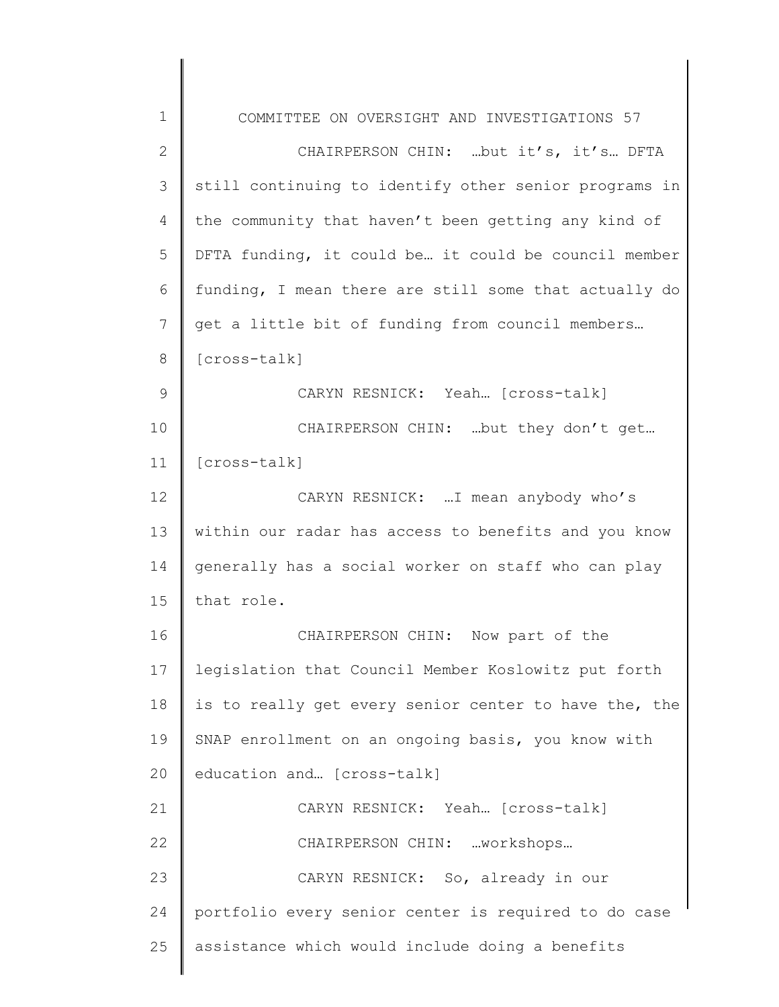| 1             | COMMITTEE ON OVERSIGHT AND INVESTIGATIONS 57          |
|---------------|-------------------------------------------------------|
| $\mathbf{2}$  | CHAIRPERSON CHIN: but it's, it's DFTA                 |
| 3             | still continuing to identify other senior programs in |
| 4             | the community that haven't been getting any kind of   |
| 5             | DFTA funding, it could be it could be council member  |
| 6             | funding, I mean there are still some that actually do |
| 7             | get a little bit of funding from council members      |
| 8             | [cross-talk]                                          |
| $\mathcal{G}$ | CARYN RESNICK: Yeah [cross-talk]                      |
| 10            | CHAIRPERSON CHIN:  but they don't get                 |
| 11            | [cross-talk]                                          |
| 12            | CARYN RESNICK:  I mean anybody who's                  |
| 13            | within our radar has access to benefits and you know  |
| 14            | generally has a social worker on staff who can play   |
| 15            | that role.                                            |
| 16            | CHAIRPERSON CHIN: Now part of the                     |
| 17            | legislation that Council Member Koslowitz put forth   |
| 18            | is to really get every senior center to have the, the |
| 19            | SNAP enrollment on an ongoing basis, you know with    |
| 20            | education and [cross-talk]                            |
| 21            | CARYN RESNICK: Yeah [Cross-talk]                      |
| 22            | CHAIRPERSON CHIN: workshops                           |
| 23            | CARYN RESNICK: So, already in our                     |
| 24            | portfolio every senior center is required to do case  |
| 25            | assistance which would include doing a benefits       |
|               |                                                       |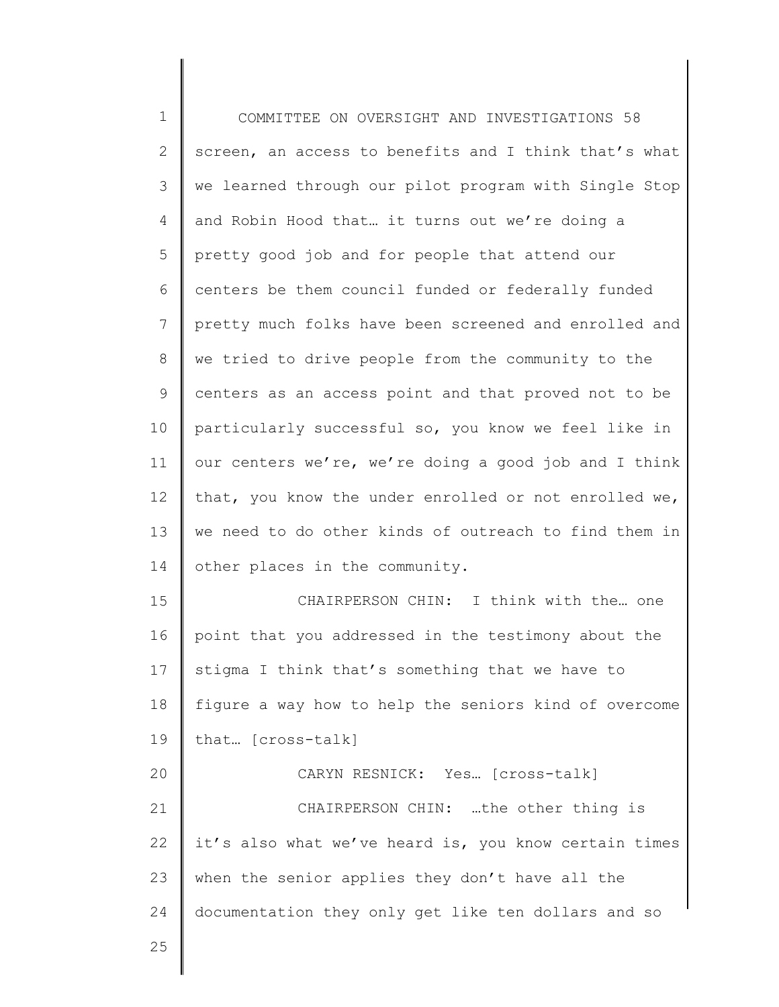1 2 3 4 5 6 7 8 9 10 11 12 13 14 15 16 17 18 19 20 21 22 23 24 25 COMMITTEE ON OVERSIGHT AND INVESTIGATIONS 58 screen, an access to benefits and I think that's what we learned through our pilot program with Single Stop and Robin Hood that… it turns out we're doing a pretty good job and for people that attend our centers be them council funded or federally funded pretty much folks have been screened and enrolled and we tried to drive people from the community to the centers as an access point and that proved not to be particularly successful so, you know we feel like in our centers we're, we're doing a good job and I think that, you know the under enrolled or not enrolled we, we need to do other kinds of outreach to find them in other places in the community. CHAIRPERSON CHIN: I think with the… one point that you addressed in the testimony about the stigma I think that's something that we have to figure a way how to help the seniors kind of overcome that… [cross-talk] CARYN RESNICK: Yes… [cross-talk] CHAIRPERSON CHIN: …the other thing is it's also what we've heard is, you know certain times when the senior applies they don't have all the documentation they only get like ten dollars and so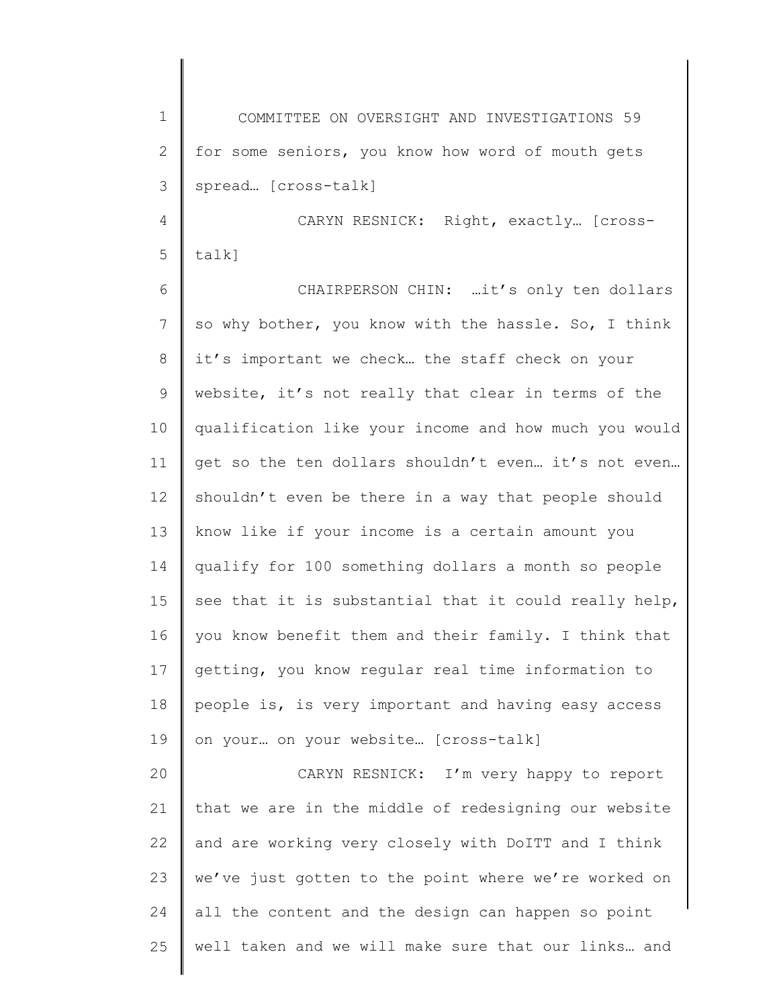1 2 3 4 5 6 7 8 9 10 11 12 13 14 15 16 17 18 19 20 21 22 23 24 25 COMMITTEE ON OVERSIGHT AND INVESTIGATIONS 59 for some seniors, you know how word of mouth gets spread… [cross-talk] CARYN RESNICK: Right, exactly… [crosstalk] CHAIRPERSON CHIN: …it's only ten dollars so why bother, you know with the hassle. So, I think it's important we check… the staff check on your website, it's not really that clear in terms of the qualification like your income and how much you would get so the ten dollars shouldn't even… it's not even… shouldn't even be there in a way that people should know like if your income is a certain amount you qualify for 100 something dollars a month so people see that it is substantial that it could really help, you know benefit them and their family. I think that getting, you know regular real time information to people is, is very important and having easy access on your… on your website… [cross-talk] CARYN RESNICK: I'm very happy to report that we are in the middle of redesigning our website and are working very closely with DoITT and I think we've just gotten to the point where we're worked on all the content and the design can happen so point well taken and we will make sure that our links… and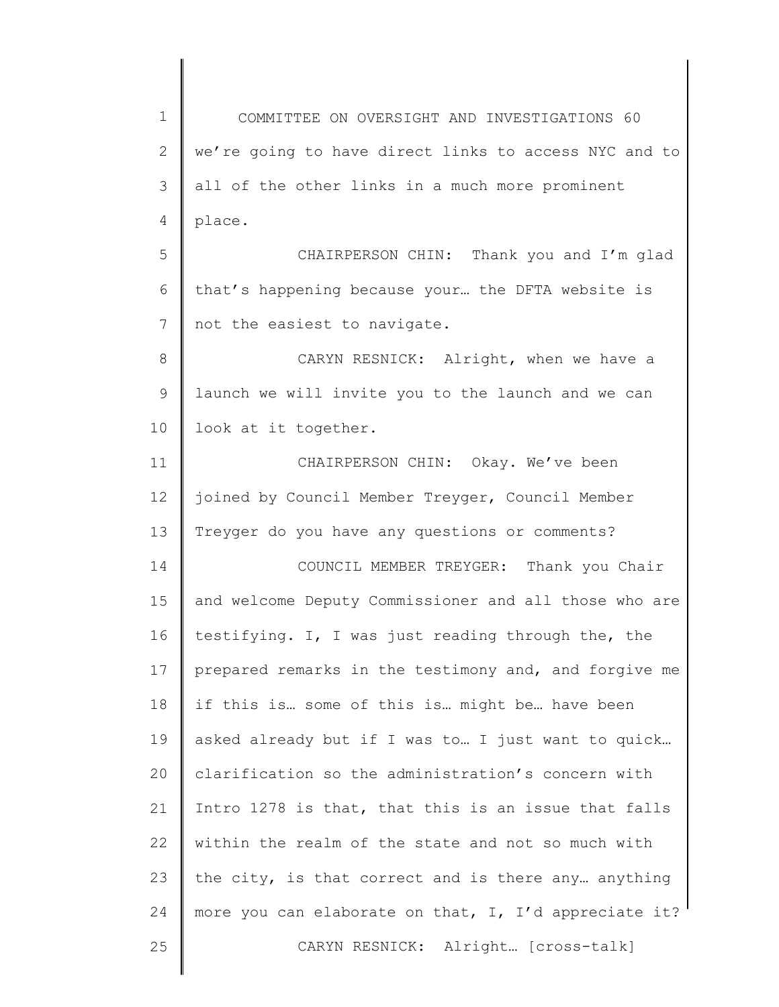1 2 3 4 5 6 7 8 9 10 11 12 13 14 15 16 17 18 19 20 21 22 23 24 25 COMMITTEE ON OVERSIGHT AND INVESTIGATIONS 60 we're going to have direct links to access NYC and to all of the other links in a much more prominent place. CHAIRPERSON CHIN: Thank you and I'm glad that's happening because your… the DFTA website is not the easiest to navigate. CARYN RESNICK: Alright, when we have a launch we will invite you to the launch and we can look at it together. CHAIRPERSON CHIN: Okay. We've been joined by Council Member Treyger, Council Member Treyger do you have any questions or comments? COUNCIL MEMBER TREYGER: Thank you Chair and welcome Deputy Commissioner and all those who are testifying. I, I was just reading through the, the prepared remarks in the testimony and, and forgive me if this is… some of this is… might be… have been asked already but if I was to… I just want to quick… clarification so the administration's concern with Intro 1278 is that, that this is an issue that falls within the realm of the state and not so much with the city, is that correct and is there any… anything more you can elaborate on that, I, I'd appreciate it? CARYN RESNICK: Alright… [cross-talk]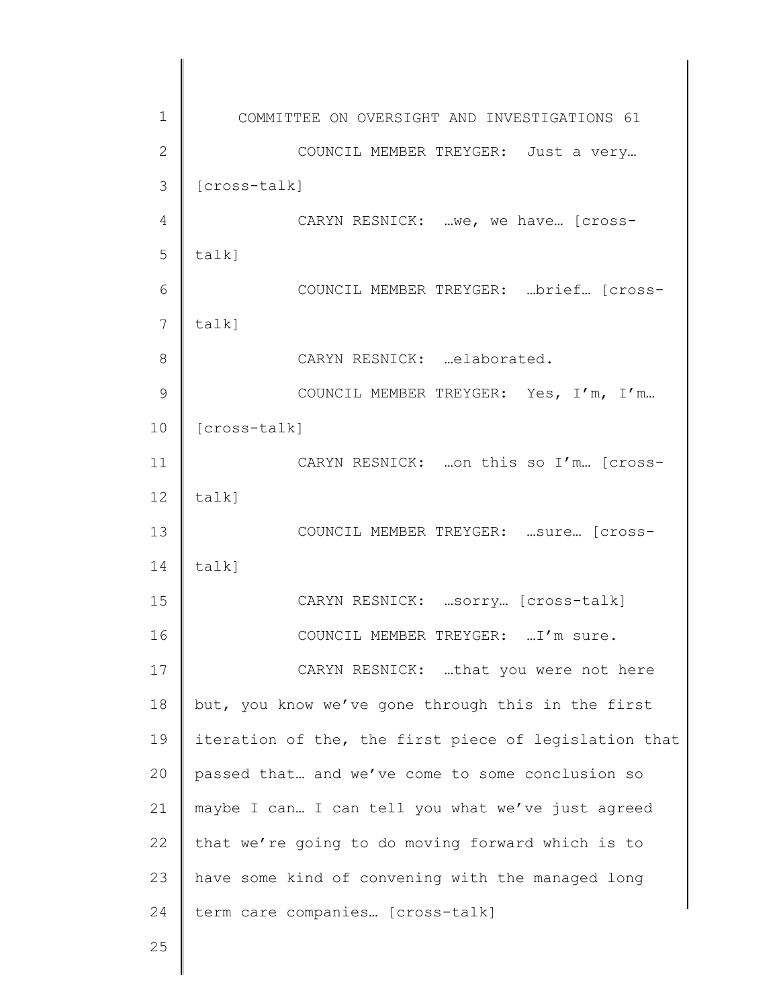| 1  | COMMITTEE ON OVERSIGHT AND INVESTIGATIONS 61          |
|----|-------------------------------------------------------|
| 2  | COUNCIL MEMBER TREYGER: Just a very                   |
| 3  | [cross-talk]                                          |
| 4  | CARYN RESNICK:  we, we have [cross-                   |
| 5  | $talk$ ]                                              |
| 6  | COUNCIL MEMBER TREYGER: brief [cross-                 |
| 7  | $talk$ ]                                              |
| 8  | CARYN RESNICK: elaborated.                            |
| 9  | COUNCIL MEMBER TREYGER: Yes, I'm, I'm                 |
| 10 | [cross-talk]                                          |
| 11 | CARYN RESNICK:  on this so I'm [cross-                |
| 12 | $talk$ ]                                              |
| 13 | COUNCIL MEMBER TREYGER:  sure [Cross-                 |
| 14 | talk]                                                 |
| 15 | CARYN RESNICK:  sorry [cross-talk]                    |
| 16 | COUNCIL MEMBER TREYGER:  I'm sure.                    |
| 17 | CARYN RESNICK: that you were not here                 |
| 18 | but, you know we've gone through this in the first    |
| 19 | iteration of the, the first piece of legislation that |
| 20 | passed that and we've come to some conclusion so      |
| 21 | maybe I can I can tell you what we've just agreed     |
| 22 | that we're going to do moving forward which is to     |
| 23 | have some kind of convening with the managed long     |
| 24 | term care companies [cross-talk]                      |
| 25 |                                                       |
|    |                                                       |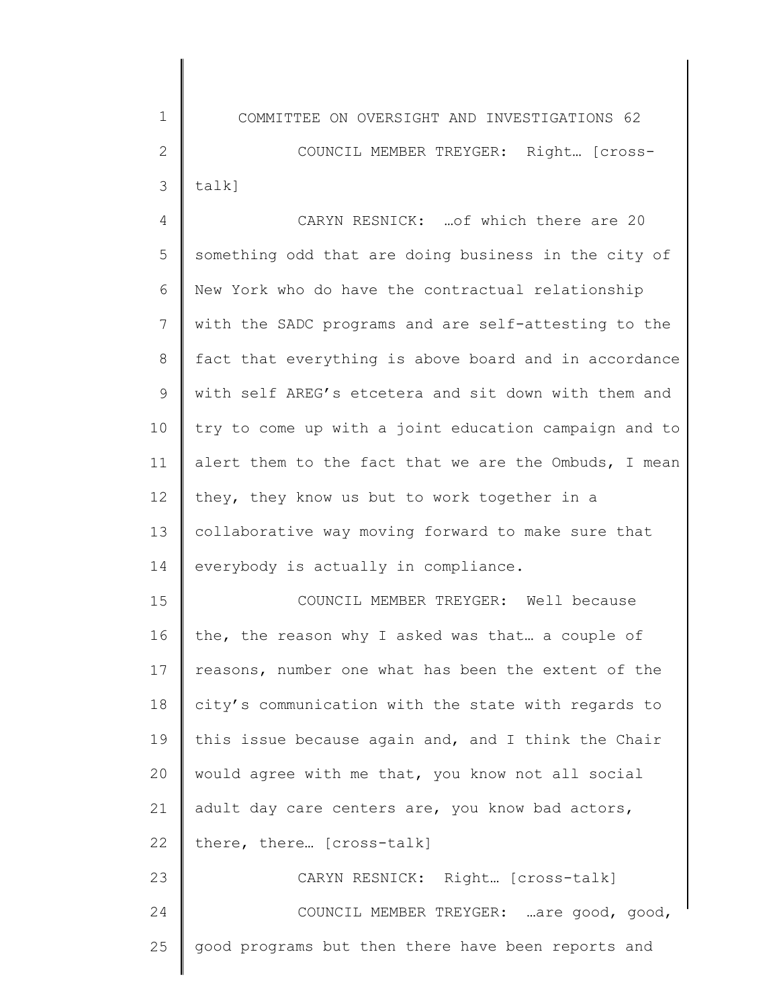COMMITTEE ON OVERSIGHT AND INVESTIGATIONS 62 COUNCIL MEMBER TREYGER: Right… [crosstalk]

4 5 6 7 8 9 10 11 12 13 14 15 16 CARYN RESNICK: …of which there are 20 something odd that are doing business in the city of New York who do have the contractual relationship with the SADC programs and are self-attesting to the fact that everything is above board and in accordance with self AREG's etcetera and sit down with them and try to come up with a joint education campaign and to alert them to the fact that we are the Ombuds, I mean they, they know us but to work together in a collaborative way moving forward to make sure that everybody is actually in compliance. COUNCIL MEMBER TREYGER: Well because the, the reason why I asked was that… a couple of

17 18 19 20 21 22 23 24 reasons, number one what has been the extent of the city's communication with the state with regards to this issue because again and, and I think the Chair would agree with me that, you know not all social adult day care centers are, you know bad actors, there, there… [cross-talk] CARYN RESNICK: Right… [cross-talk] COUNCIL MEMBER TREYGER: …are good, good,

good programs but then there have been reports and

25

1

2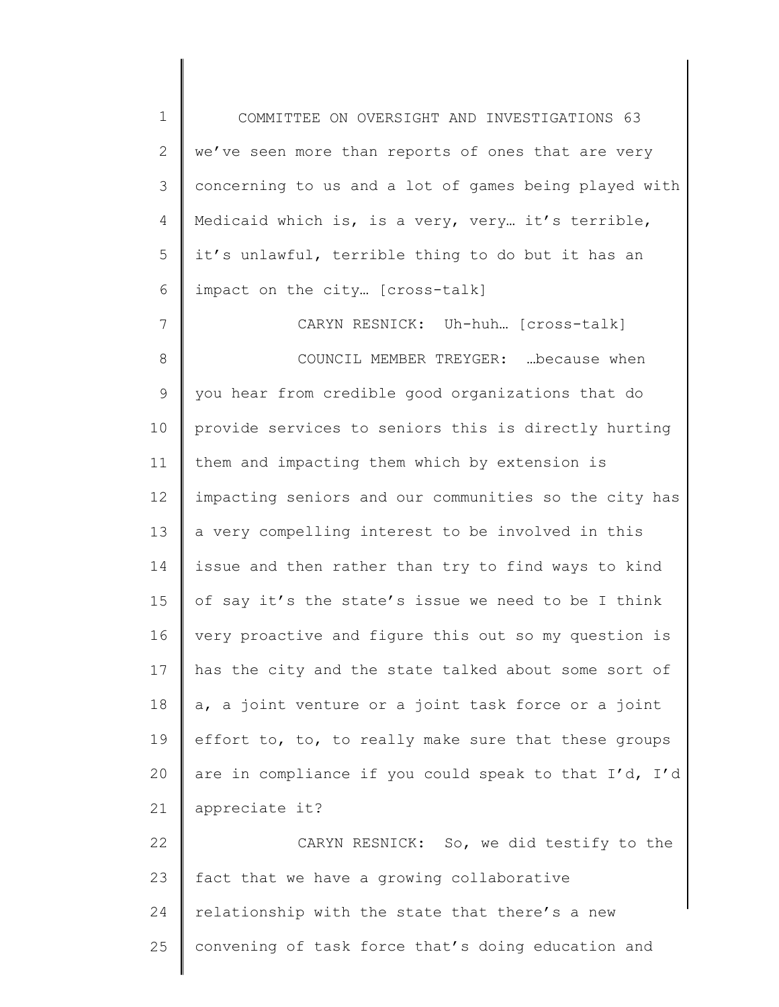1 2 3 4 5 6 COMMITTEE ON OVERSIGHT AND INVESTIGATIONS 63 we've seen more than reports of ones that are very concerning to us and a lot of games being played with Medicaid which is, is a very, very… it's terrible, it's unlawful, terrible thing to do but it has an impact on the city… [cross-talk]

7 8 9 10 11 12 13 14 15 16 17 18 19 20 21 CARYN RESNICK: Uh-huh… [cross-talk] COUNCIL MEMBER TREYGER: …because when you hear from credible good organizations that do provide services to seniors this is directly hurting them and impacting them which by extension is impacting seniors and our communities so the city has a very compelling interest to be involved in this issue and then rather than try to find ways to kind of say it's the state's issue we need to be I think very proactive and figure this out so my question is has the city and the state talked about some sort of a, a joint venture or a joint task force or a joint effort to, to, to really make sure that these groups are in compliance if you could speak to that I'd, I'd appreciate it?

22 23 24 25 CARYN RESNICK: So, we did testify to the fact that we have a growing collaborative relationship with the state that there's a new convening of task force that's doing education and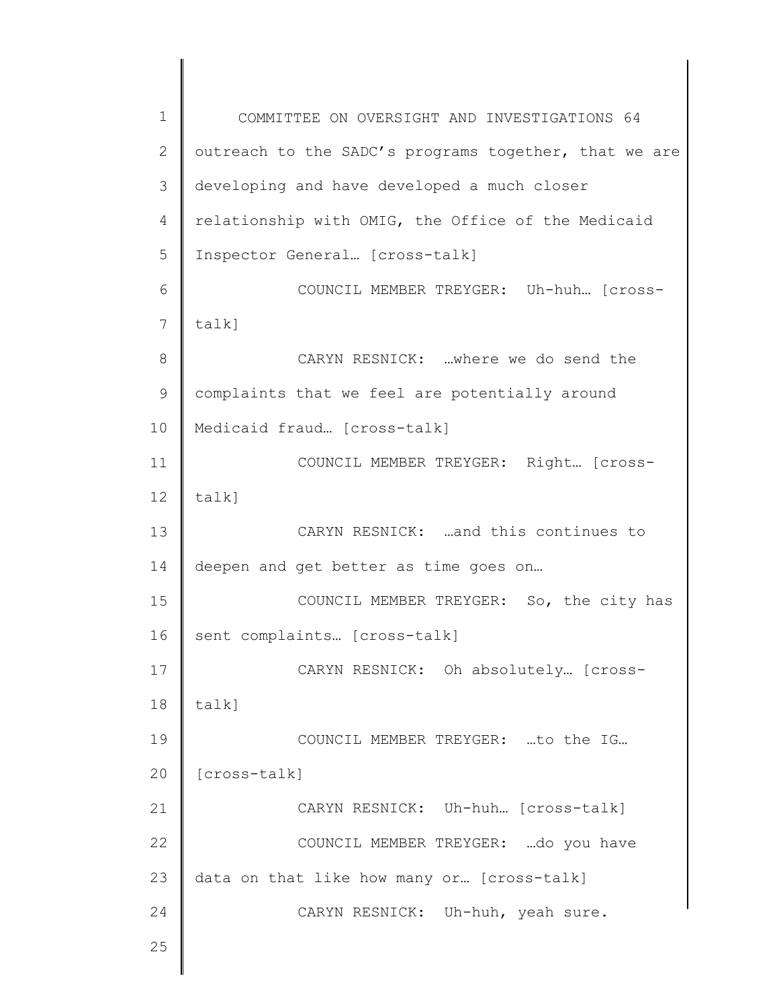1 2 3 4 5 6 7 8 9 10 11 12 13 14 15 16 17 18 19 20 21 22 23 24 25 COMMITTEE ON OVERSIGHT AND INVESTIGATIONS 64 outreach to the SADC's programs together, that we are developing and have developed a much closer relationship with OMIG, the Office of the Medicaid Inspector General… [cross-talk] COUNCIL MEMBER TREYGER: Uh-huh… [crosstalk] CARYN RESNICK: …where we do send the complaints that we feel are potentially around Medicaid fraud… [cross-talk] COUNCIL MEMBER TREYGER: Right… [crosstalk] CARYN RESNICK: …and this continues to deepen and get better as time goes on… COUNCIL MEMBER TREYGER: So, the city has sent complaints… [cross-talk] CARYN RESNICK: Oh absolutely… [crosstalk] COUNCIL MEMBER TREYGER: …to the IG… [cross-talk] CARYN RESNICK: Uh-huh… [cross-talk] COUNCIL MEMBER TREYGER: …do you have data on that like how many or… [cross-talk] CARYN RESNICK: Uh-huh, yeah sure.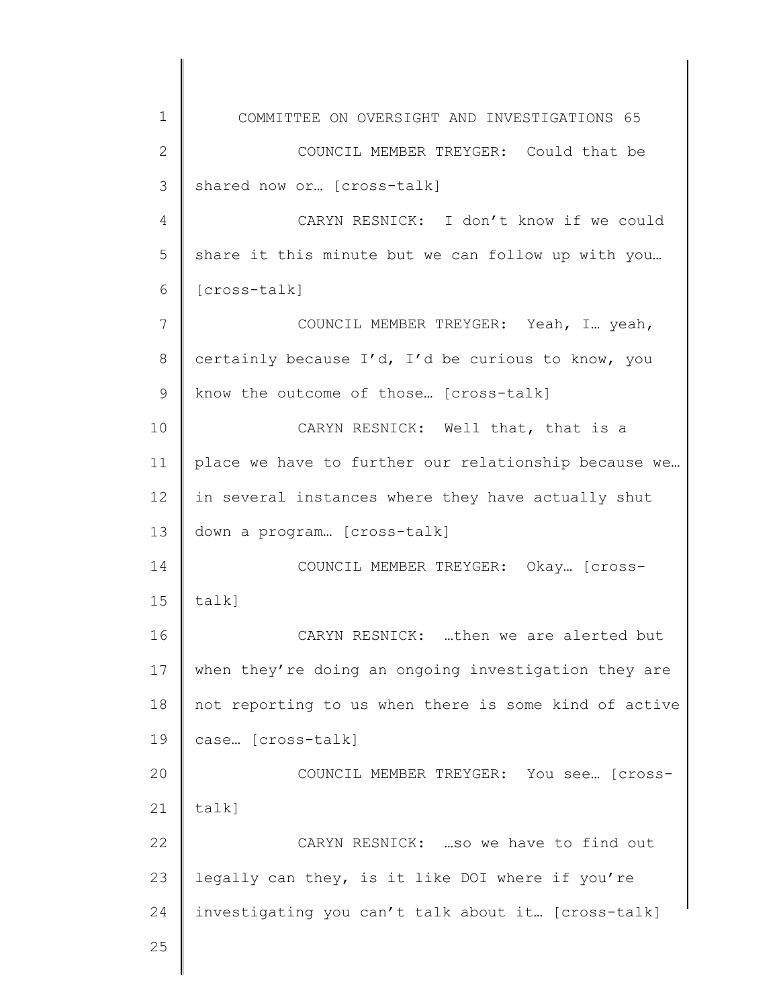1 2 3 4 5 6 7 8 9 10 11 12 13 14 15 16 17 18 19 20 21 22 23 24 25 COMMITTEE ON OVERSIGHT AND INVESTIGATIONS 65 COUNCIL MEMBER TREYGER: Could that be shared now or… [cross-talk] CARYN RESNICK: I don't know if we could share it this minute but we can follow up with you… [cross-talk] COUNCIL MEMBER TREYGER: Yeah, I… yeah, certainly because I'd, I'd be curious to know, you know the outcome of those… [cross-talk] CARYN RESNICK: Well that, that is a place we have to further our relationship because we… in several instances where they have actually shut down a program… [cross-talk] COUNCIL MEMBER TREYGER: Okay… [crosstalk] CARYN RESNICK: …then we are alerted but when they're doing an ongoing investigation they are not reporting to us when there is some kind of active case… [cross-talk] COUNCIL MEMBER TREYGER: You see… [crosstalk] CARYN RESNICK: …so we have to find out legally can they, is it like DOI where if you're investigating you can't talk about it… [cross-talk]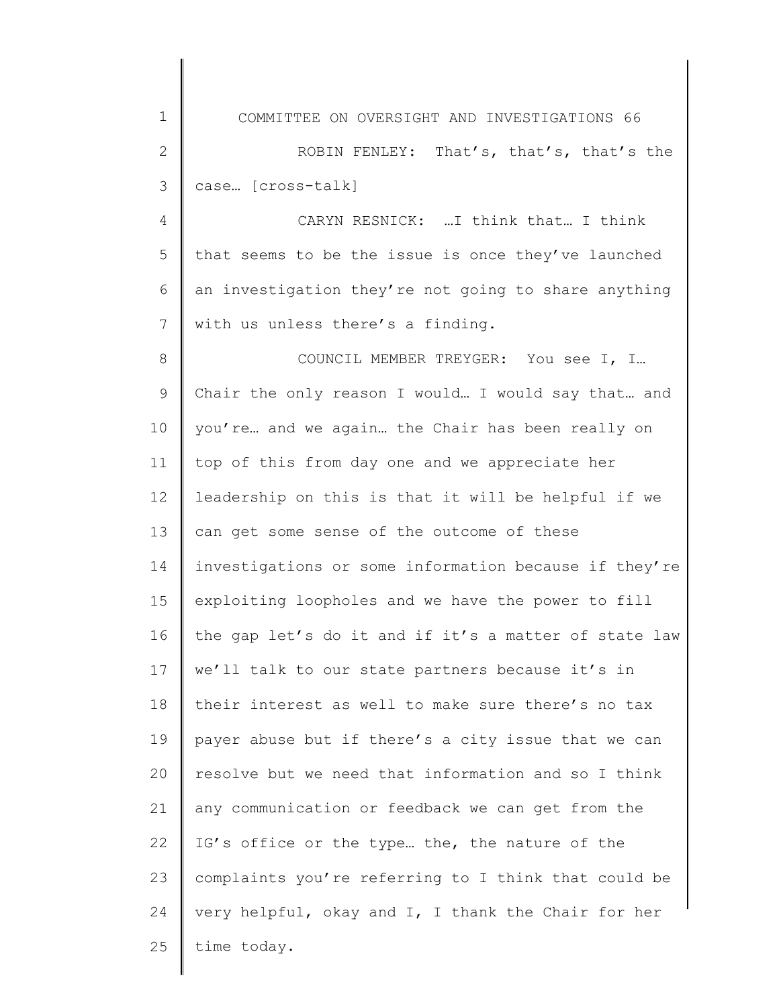1 2 3 4 5 6 7 8 9 10 11 12 13 14 15 16 17 18 19 20 21 22 23 24 25 COMMITTEE ON OVERSIGHT AND INVESTIGATIONS 66 ROBIN FENLEY: That's, that's, that's the case… [cross-talk] CARYN RESNICK: …I think that… I think that seems to be the issue is once they've launched an investigation they're not going to share anything with us unless there's a finding. COUNCIL MEMBER TREYGER: You see I, I… Chair the only reason I would… I would say that… and you're… and we again… the Chair has been really on top of this from day one and we appreciate her leadership on this is that it will be helpful if we can get some sense of the outcome of these investigations or some information because if they're exploiting loopholes and we have the power to fill the gap let's do it and if it's a matter of state law we'll talk to our state partners because it's in their interest as well to make sure there's no tax payer abuse but if there's a city issue that we can resolve but we need that information and so I think any communication or feedback we can get from the IG's office or the type… the, the nature of the complaints you're referring to I think that could be very helpful, okay and I, I thank the Chair for her time today.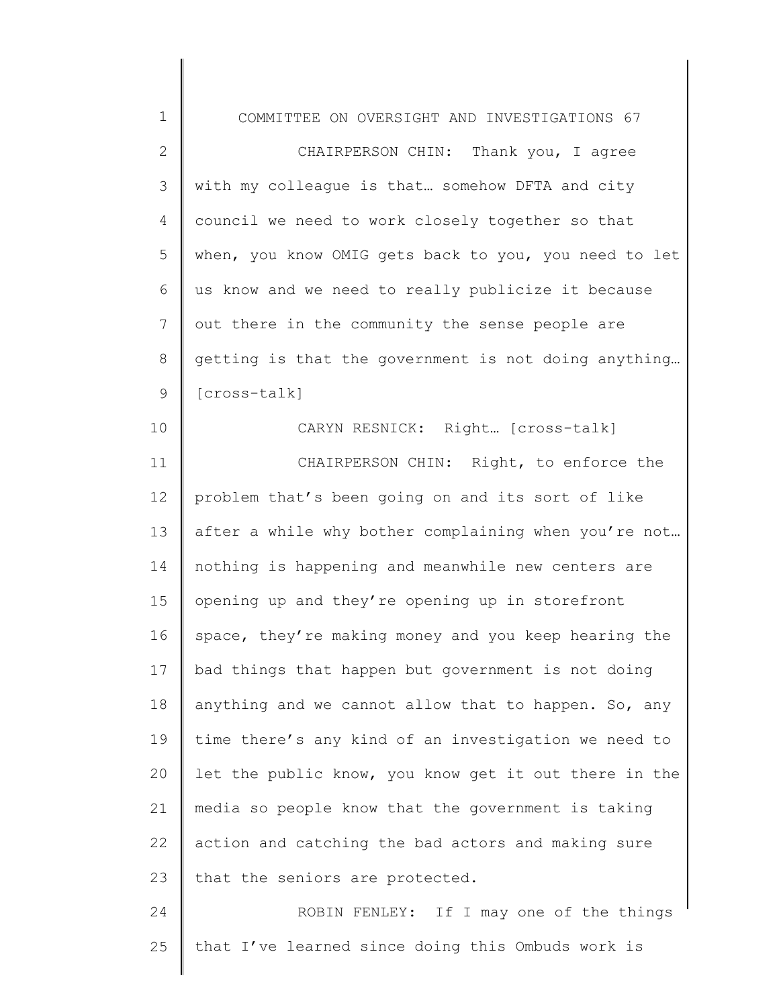| $1\,$          | COMMITTEE ON OVERSIGHT AND INVESTIGATIONS 67          |
|----------------|-------------------------------------------------------|
| $\mathbf{2}$   | CHAIRPERSON CHIN: Thank you, I agree                  |
| 3              | with my colleague is that somehow DFTA and city       |
| 4              | council we need to work closely together so that      |
| 5              | when, you know OMIG gets back to you, you need to let |
| 6              | us know and we need to really publicize it because    |
| $\overline{7}$ | out there in the community the sense people are       |
| $8\,$          | getting is that the government is not doing anything  |
| $\mathsf 9$    | [cross-talk]                                          |
| 10             | CARYN RESNICK: Right [cross-talk]                     |
| 11             | CHAIRPERSON CHIN: Right, to enforce the               |
| 12             | problem that's been going on and its sort of like     |
| 13             | after a while why bother complaining when you're not  |
| 14             | nothing is happening and meanwhile new centers are    |
| 15             | opening up and they're opening up in storefront       |
| 16             | space, they're making money and you keep hearing the  |
| 17             | bad things that happen but government is not doing    |
| 18             | anything and we cannot allow that to happen. So, any  |
| 19             | time there's any kind of an investigation we need to  |
| 20             | let the public know, you know get it out there in the |
| 21             | media so people know that the government is taking    |
| 22             | action and catching the bad actors and making sure    |
| 23             | that the seniors are protected.                       |
| 24             | ROBIN FENLEY: If I may one of the things              |
| 25             | that I've learned since doing this Ombuds work is     |
|                |                                                       |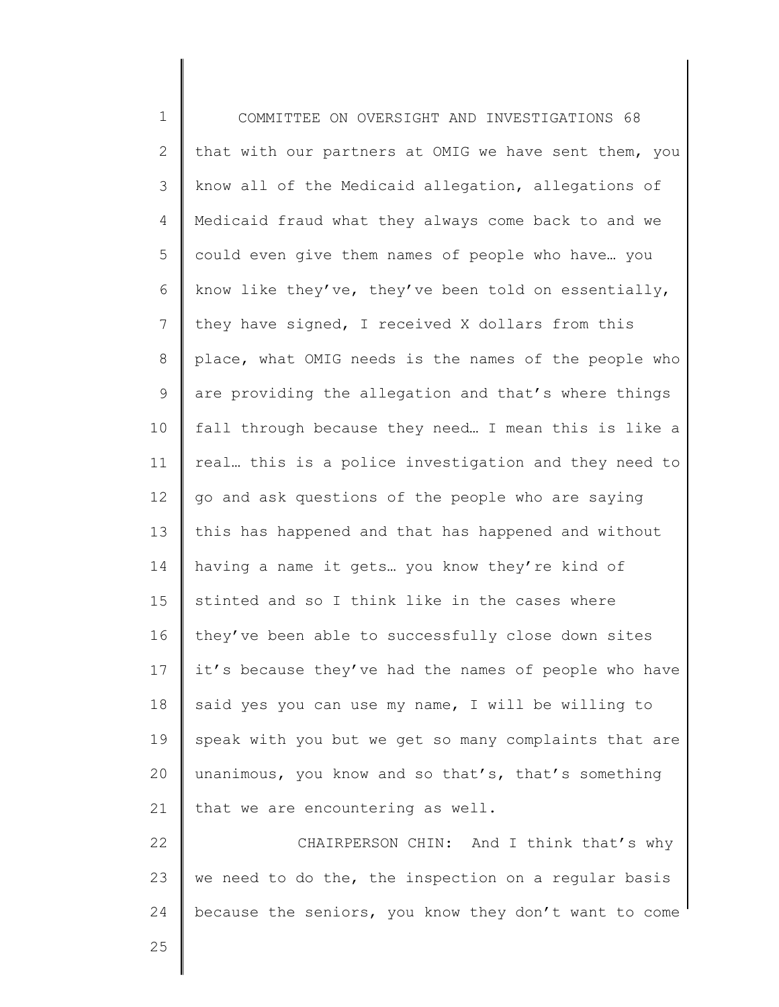1 2 3 4 5 6 7 8 9 10 11 12 13 14 15 16 17 18 19 20 21 22 23 COMMITTEE ON OVERSIGHT AND INVESTIGATIONS 68 that with our partners at OMIG we have sent them, you know all of the Medicaid allegation, allegations of Medicaid fraud what they always come back to and we could even give them names of people who have… you know like they've, they've been told on essentially, they have signed, I received X dollars from this place, what OMIG needs is the names of the people who are providing the allegation and that's where things fall through because they need… I mean this is like a real… this is a police investigation and they need to go and ask questions of the people who are saying this has happened and that has happened and without having a name it gets… you know they're kind of stinted and so I think like in the cases where they've been able to successfully close down sites it's because they've had the names of people who have said yes you can use my name, I will be willing to speak with you but we get so many complaints that are unanimous, you know and so that's, that's something that we are encountering as well. CHAIRPERSON CHIN: And I think that's why we need to do the, the inspection on a regular basis

because the seniors, you know they don't want to come

25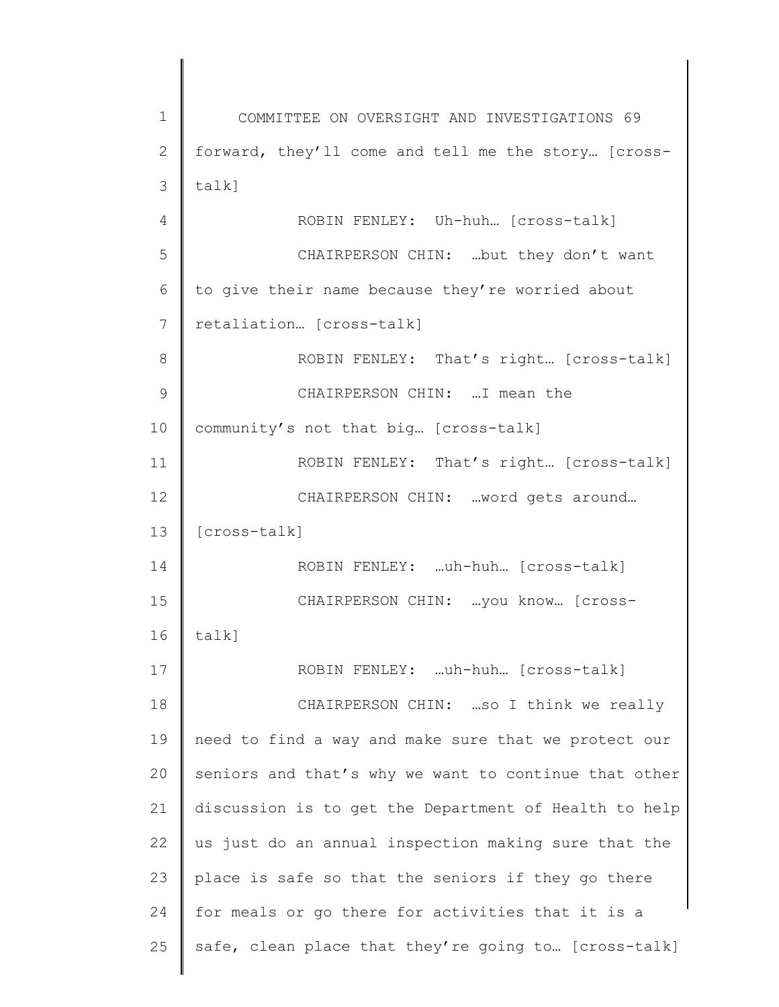1 2 3 4 5 6 7 8 9 10 11 12 13 14 15 16 17 18 19 20 21 22 23 24 25 COMMITTEE ON OVERSIGHT AND INVESTIGATIONS 69 forward, they'll come and tell me the story… [crosstalk] ROBIN FENLEY: Uh-huh… [cross-talk] CHAIRPERSON CHIN: …but they don't want to give their name because they're worried about retaliation… [cross-talk] ROBIN FENLEY: That's right… [cross-talk] CHAIRPERSON CHIN: …I mean the community's not that big… [cross-talk] ROBIN FENLEY: That's right… [cross-talk] CHAIRPERSON CHIN: …word gets around… [cross-talk] ROBIN FENLEY: …uh-huh… [cross-talk] CHAIRPERSON CHIN: …you know… [crosstalk] ROBIN FENLEY: …uh-huh… [cross-talk] CHAIRPERSON CHIN: …so I think we really need to find a way and make sure that we protect our seniors and that's why we want to continue that other discussion is to get the Department of Health to help us just do an annual inspection making sure that the place is safe so that the seniors if they go there for meals or go there for activities that it is a safe, clean place that they're going to… [cross-talk]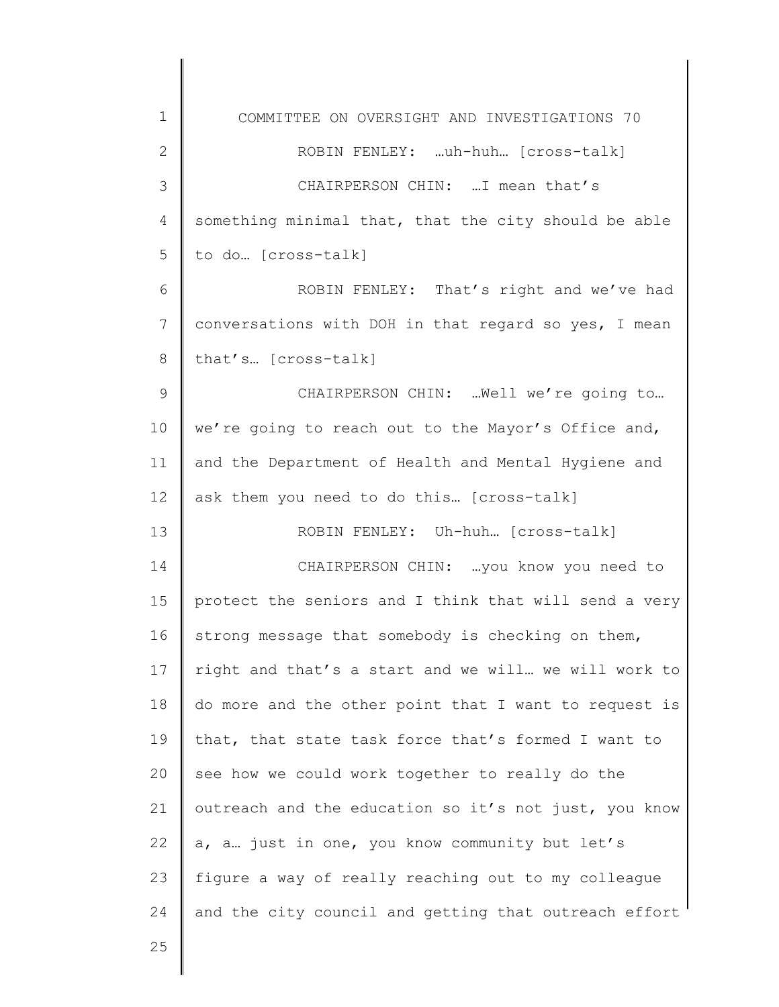| $\mathbf 1$   | COMMITTEE ON OVERSIGHT AND INVESTIGATIONS 70          |
|---------------|-------------------------------------------------------|
| $\mathbf{2}$  | ROBIN FENLEY: uh-huh [cross-talk]                     |
| 3             | CHAIRPERSON CHIN:  I mean that's                      |
| 4             | something minimal that, that the city should be able  |
| 5             | to do [cross-talk]                                    |
| 6             | ROBIN FENLEY: That's right and we've had              |
| 7             | conversations with DOH in that regard so yes, I mean  |
| 8             | that's [cross-talk]                                   |
| $\mathcal{G}$ | CHAIRPERSON CHIN:  Well we're going to                |
| 10            | we're going to reach out to the Mayor's Office and,   |
| 11            | and the Department of Health and Mental Hygiene and   |
| 12            | ask them you need to do this [cross-talk]             |
| 13            | ROBIN FENLEY: Uh-huh [cross-talk]                     |
| 14            | CHAIRPERSON CHIN:  you know you need to               |
| 15            | protect the seniors and I think that will send a very |
| 16            | strong message that somebody is checking on them,     |
| 17            | right and that's a start and we will we will work to  |
| 18            | do more and the other point that I want to request is |
| 19            | that, that state task force that's formed I want to   |
| 20            | see how we could work together to really do the       |
| 21            | outreach and the education so it's not just, you know |
| 22            | a, a. just in one, you know community but let's       |
| 23            | figure a way of really reaching out to my colleague   |
| 24            | and the city council and getting that outreach effort |
| 25            |                                                       |
|               |                                                       |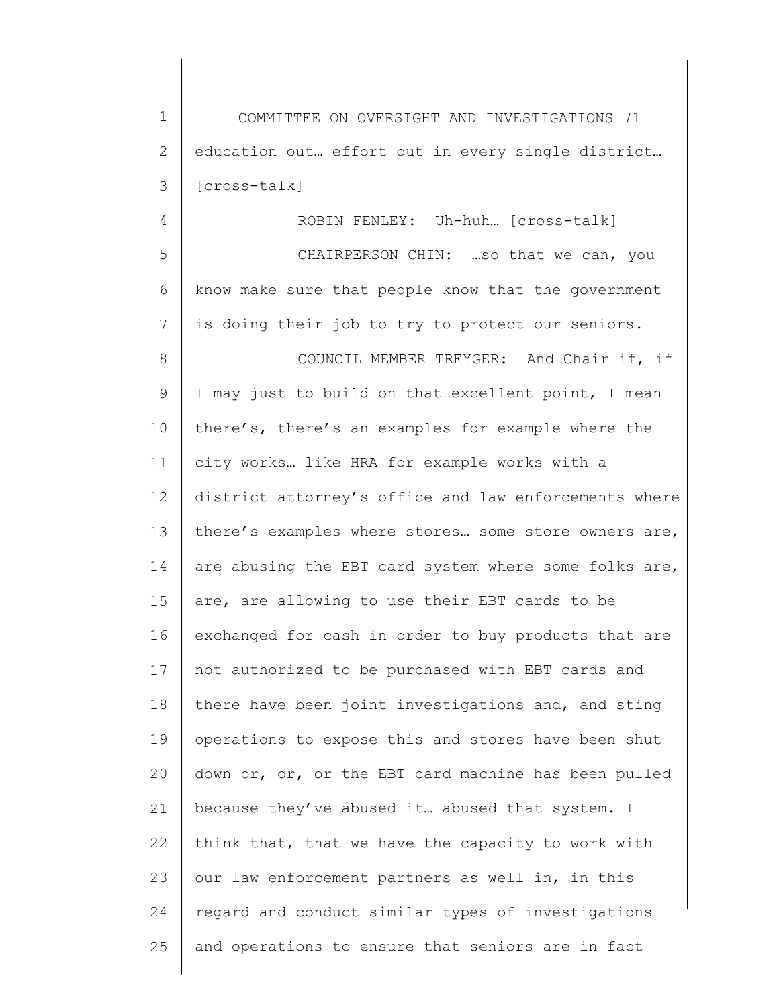1 2 3 COMMITTEE ON OVERSIGHT AND INVESTIGATIONS 71 education out… effort out in every single district… [cross-talk]

4

ROBIN FENLEY: Uh-huh… [cross-talk]

5 6 7 CHAIRPERSON CHIN: …so that we can, you know make sure that people know that the government is doing their job to try to protect our seniors.

8 9 10 11 12 13 14 15 16 17 18 19 20 21 22 23 24 25 COUNCIL MEMBER TREYGER: And Chair if, if I may just to build on that excellent point, I mean there's, there's an examples for example where the city works… like HRA for example works with a district attorney's office and law enforcements where there's examples where stores… some store owners are, are abusing the EBT card system where some folks are, are, are allowing to use their EBT cards to be exchanged for cash in order to buy products that are not authorized to be purchased with EBT cards and there have been joint investigations and, and sting operations to expose this and stores have been shut down or, or, or the EBT card machine has been pulled because they've abused it… abused that system. I think that, that we have the capacity to work with our law enforcement partners as well in, in this regard and conduct similar types of investigations and operations to ensure that seniors are in fact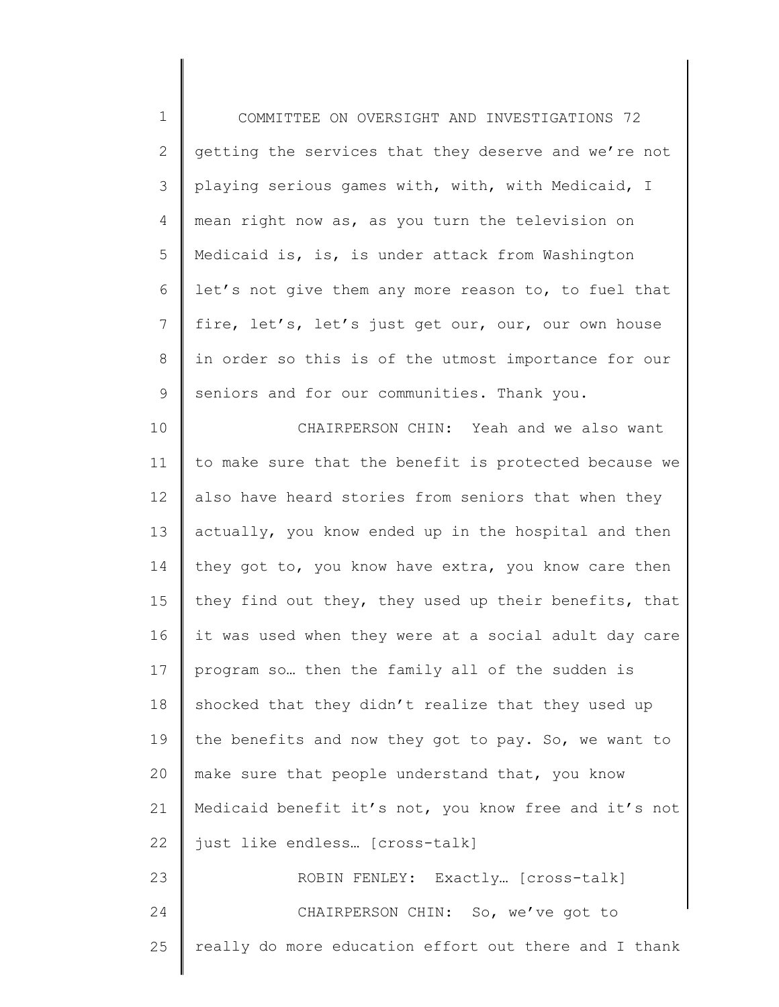1 2 3 4 5 6 7 8 9 COMMITTEE ON OVERSIGHT AND INVESTIGATIONS 72 getting the services that they deserve and we're not playing serious games with, with, with Medicaid, I mean right now as, as you turn the television on Medicaid is, is, is under attack from Washington let's not give them any more reason to, to fuel that fire, let's, let's just get our, our, our own house in order so this is of the utmost importance for our seniors and for our communities. Thank you.

10 11 12 13 14 15 16 17 18 19 20 21 22 23 24 CHAIRPERSON CHIN: Yeah and we also want to make sure that the benefit is protected because we also have heard stories from seniors that when they actually, you know ended up in the hospital and then they got to, you know have extra, you know care then they find out they, they used up their benefits, that it was used when they were at a social adult day care program so… then the family all of the sudden is shocked that they didn't realize that they used up the benefits and now they got to pay. So, we want to make sure that people understand that, you know Medicaid benefit it's not, you know free and it's not just like endless… [cross-talk] ROBIN FENLEY: Exactly… [cross-talk] CHAIRPERSON CHIN: So, we've got to

25 really do more education effort out there and I thank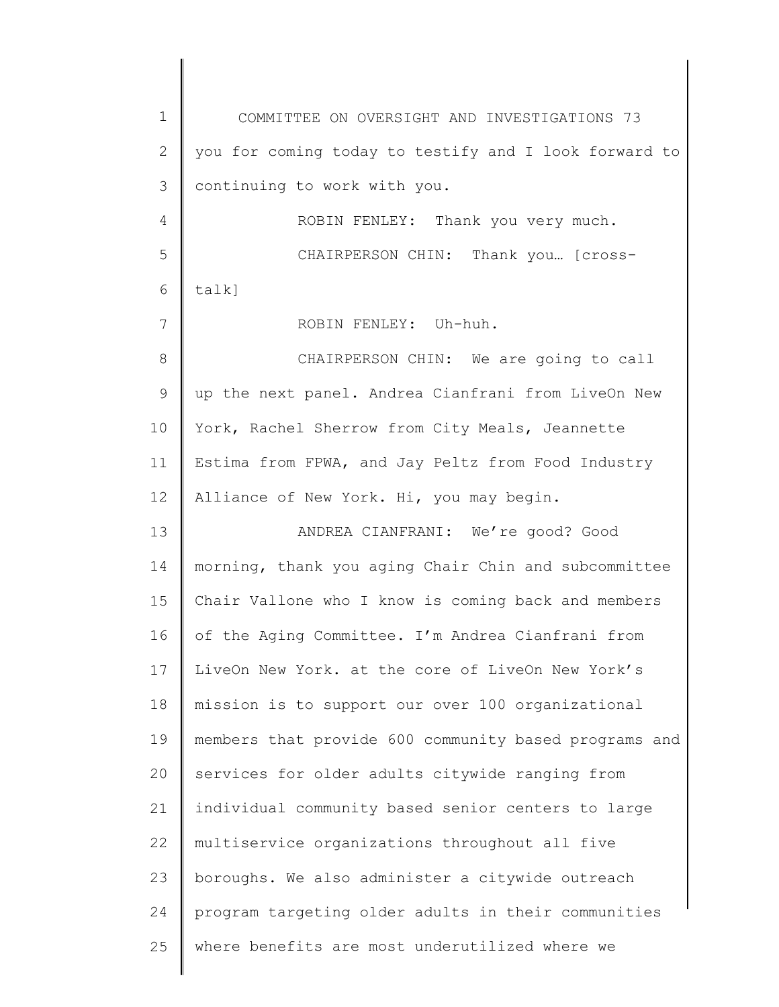1 2 3 4 5 6 7 8 9 10 11 12 13 14 15 16 17 18 19 20 21 22 23 24 25 COMMITTEE ON OVERSIGHT AND INVESTIGATIONS 73 you for coming today to testify and I look forward to continuing to work with you. ROBIN FENLEY: Thank you very much. CHAIRPERSON CHIN: Thank you… [crosstalk] ROBIN FENLEY: Uh-huh. CHAIRPERSON CHIN: We are going to call up the next panel. Andrea Cianfrani from LiveOn New York, Rachel Sherrow from City Meals, Jeannette Estima from FPWA, and Jay Peltz from Food Industry Alliance of New York. Hi, you may begin. ANDREA CIANFRANI: We're good? Good morning, thank you aging Chair Chin and subcommittee Chair Vallone who I know is coming back and members of the Aging Committee. I'm Andrea Cianfrani from LiveOn New York. at the core of LiveOn New York's mission is to support our over 100 organizational members that provide 600 community based programs and services for older adults citywide ranging from individual community based senior centers to large multiservice organizations throughout all five boroughs. We also administer a citywide outreach program targeting older adults in their communities where benefits are most underutilized where we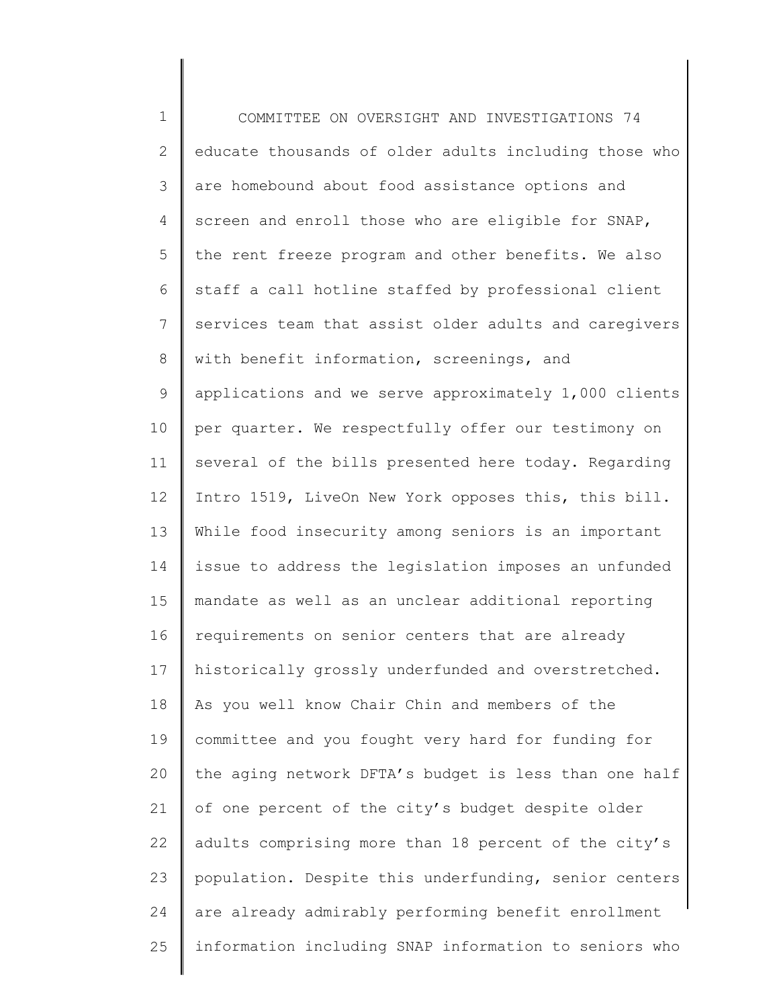1 2 3 4 5 6 7 8 9 10 11 12 13 14 15 16 17 18 19 20 21 22 23 24 25 COMMITTEE ON OVERSIGHT AND INVESTIGATIONS 74 educate thousands of older adults including those who are homebound about food assistance options and screen and enroll those who are eligible for SNAP, the rent freeze program and other benefits. We also staff a call hotline staffed by professional client services team that assist older adults and caregivers with benefit information, screenings, and applications and we serve approximately 1,000 clients per quarter. We respectfully offer our testimony on several of the bills presented here today. Regarding Intro 1519, LiveOn New York opposes this, this bill. While food insecurity among seniors is an important issue to address the legislation imposes an unfunded mandate as well as an unclear additional reporting requirements on senior centers that are already historically grossly underfunded and overstretched. As you well know Chair Chin and members of the committee and you fought very hard for funding for the aging network DFTA's budget is less than one half of one percent of the city's budget despite older adults comprising more than 18 percent of the city's population. Despite this underfunding, senior centers are already admirably performing benefit enrollment information including SNAP information to seniors who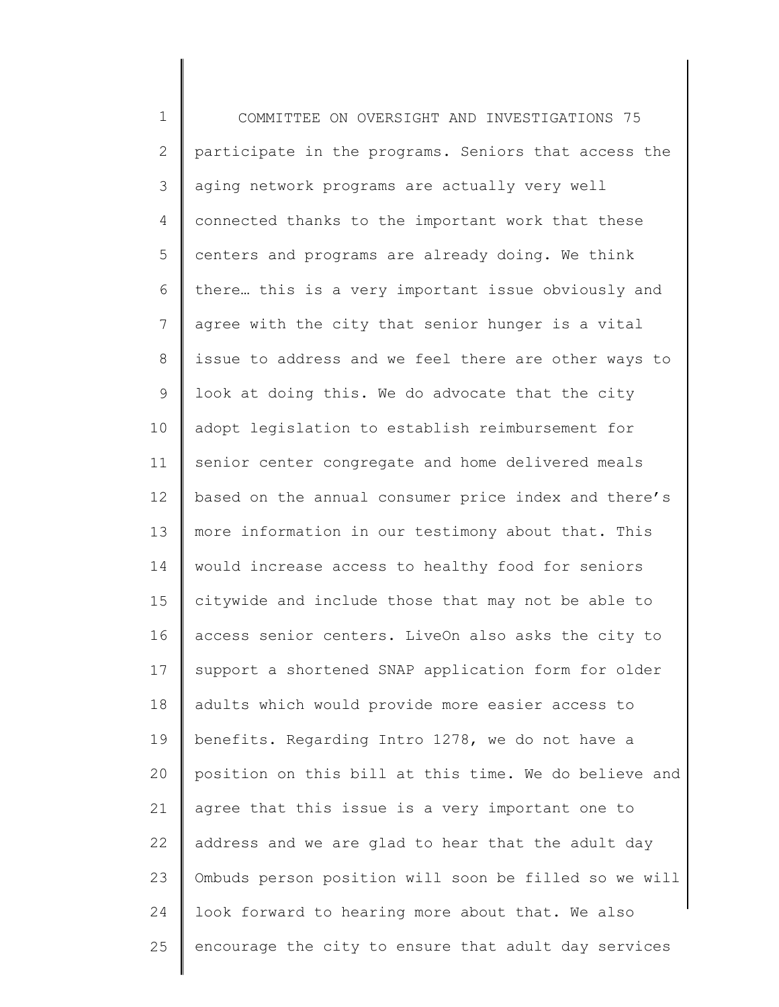1 2 3 4 5 6 7 8 9 10 11 12 13 14 15 16 17 18 19 20 21 22 23 24 25 COMMITTEE ON OVERSIGHT AND INVESTIGATIONS 75 participate in the programs. Seniors that access the aging network programs are actually very well connected thanks to the important work that these centers and programs are already doing. We think there… this is a very important issue obviously and agree with the city that senior hunger is a vital issue to address and we feel there are other ways to look at doing this. We do advocate that the city adopt legislation to establish reimbursement for senior center congregate and home delivered meals based on the annual consumer price index and there's more information in our testimony about that. This would increase access to healthy food for seniors citywide and include those that may not be able to access senior centers. LiveOn also asks the city to support a shortened SNAP application form for older adults which would provide more easier access to benefits. Regarding Intro 1278, we do not have a position on this bill at this time. We do believe and agree that this issue is a very important one to address and we are glad to hear that the adult day Ombuds person position will soon be filled so we will look forward to hearing more about that. We also encourage the city to ensure that adult day services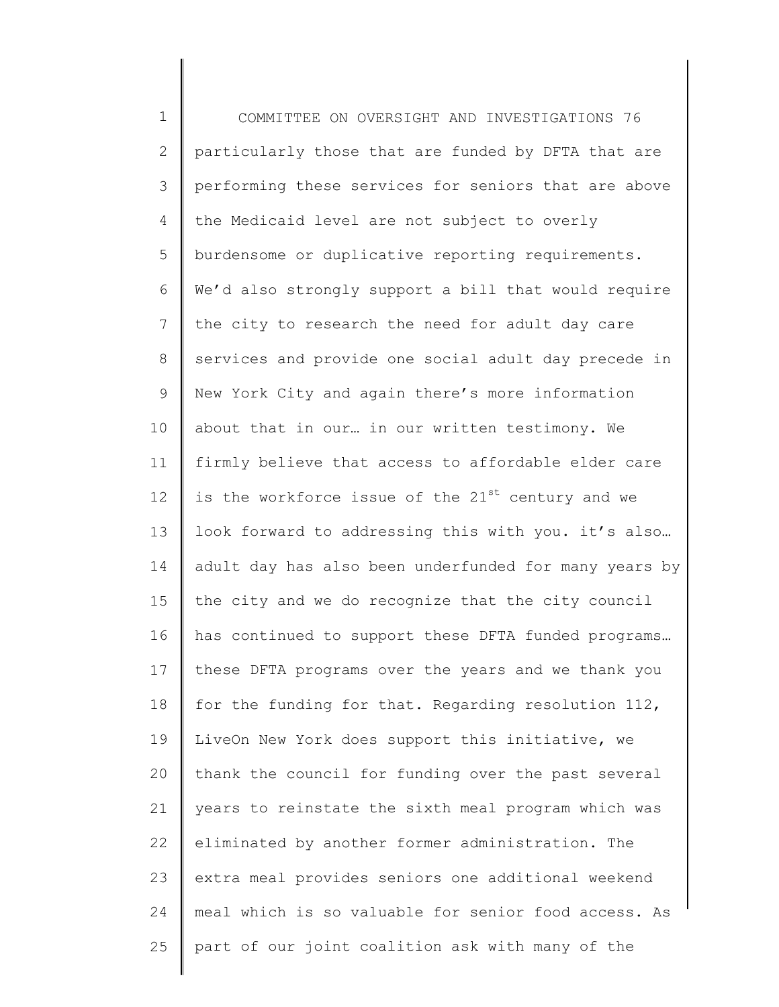1 2 3 4 5 6 7 8 9 10 11 12 13 14 15 16 17 18 19 20 21 22 23 24 25 COMMITTEE ON OVERSIGHT AND INVESTIGATIONS 76 particularly those that are funded by DFTA that are performing these services for seniors that are above the Medicaid level are not subject to overly burdensome or duplicative reporting requirements. We'd also strongly support a bill that would require the city to research the need for adult day care services and provide one social adult day precede in New York City and again there's more information about that in our… in our written testimony. We firmly believe that access to affordable elder care is the workforce issue of the  $21^{st}$  century and we look forward to addressing this with you. it's also… adult day has also been underfunded for many years by the city and we do recognize that the city council has continued to support these DFTA funded programs… these DFTA programs over the years and we thank you for the funding for that. Regarding resolution 112, LiveOn New York does support this initiative, we thank the council for funding over the past several years to reinstate the sixth meal program which was eliminated by another former administration. The extra meal provides seniors one additional weekend meal which is so valuable for senior food access. As part of our joint coalition ask with many of the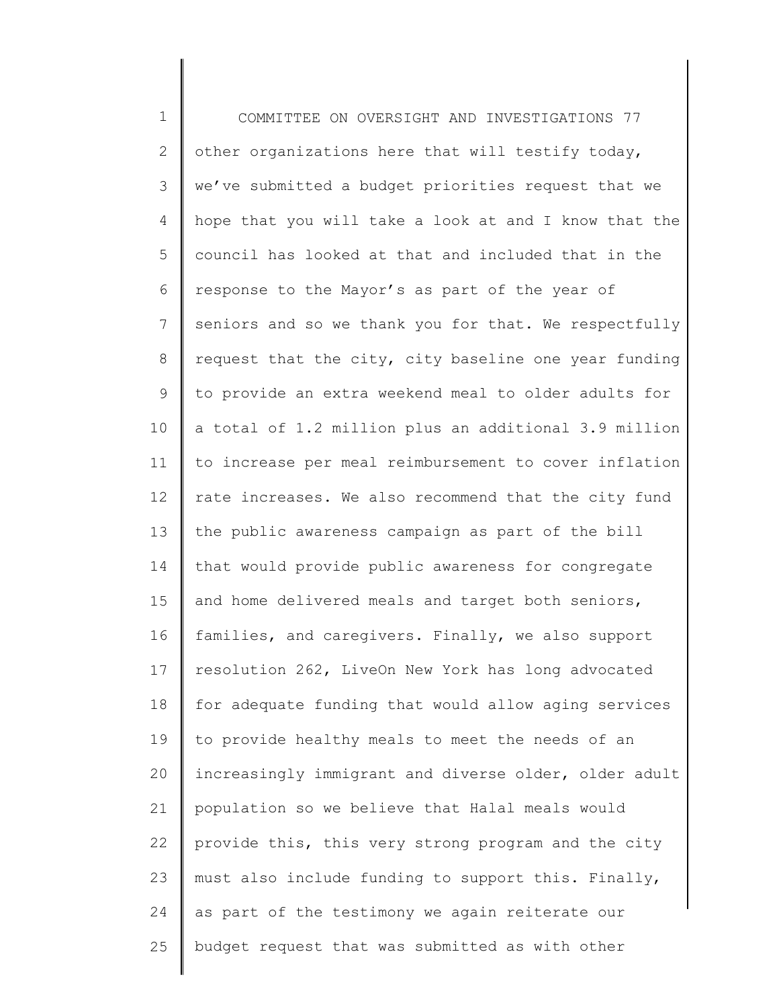1 2 3 4 5 6 7 8 9 10 11 12 13 14 15 16 17 18 19 20 21 22 23 24 25 COMMITTEE ON OVERSIGHT AND INVESTIGATIONS 77 other organizations here that will testify today, we've submitted a budget priorities request that we hope that you will take a look at and I know that the council has looked at that and included that in the response to the Mayor's as part of the year of seniors and so we thank you for that. We respectfully request that the city, city baseline one year funding to provide an extra weekend meal to older adults for a total of 1.2 million plus an additional 3.9 million to increase per meal reimbursement to cover inflation rate increases. We also recommend that the city fund the public awareness campaign as part of the bill that would provide public awareness for congregate and home delivered meals and target both seniors, families, and caregivers. Finally, we also support resolution 262, LiveOn New York has long advocated for adequate funding that would allow aging services to provide healthy meals to meet the needs of an increasingly immigrant and diverse older, older adult population so we believe that Halal meals would provide this, this very strong program and the city must also include funding to support this. Finally, as part of the testimony we again reiterate our budget request that was submitted as with other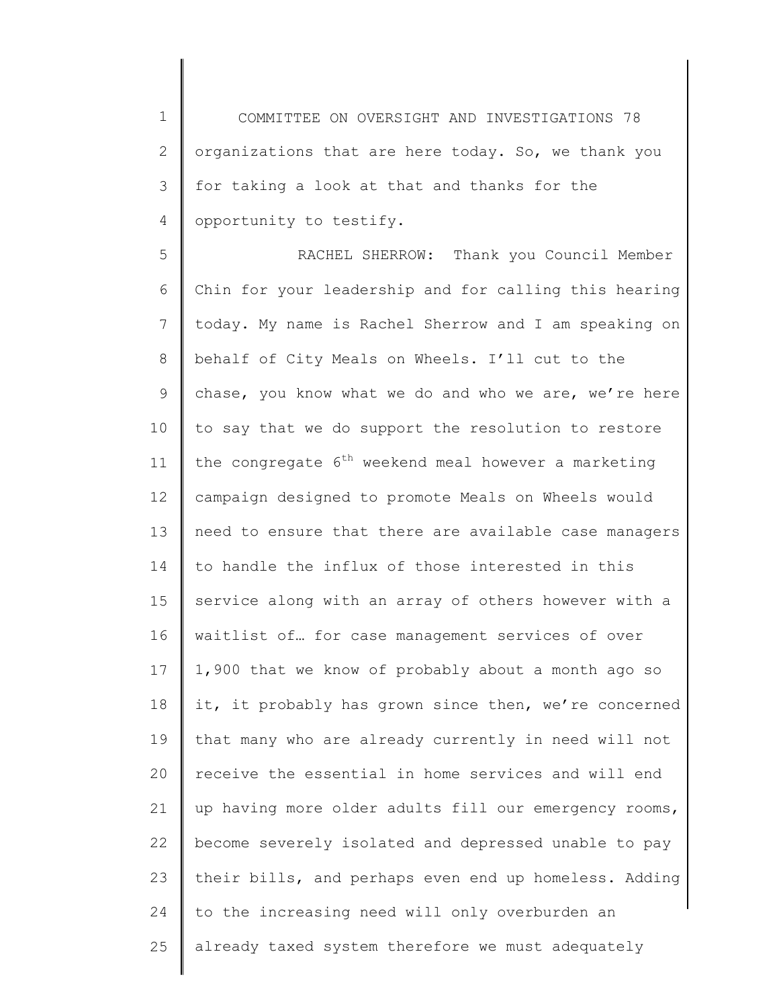1 2 3 4 COMMITTEE ON OVERSIGHT AND INVESTIGATIONS 78 organizations that are here today. So, we thank you for taking a look at that and thanks for the opportunity to testify.

5 6 7 8 9 10 11 12 13 14 15 16 17 18 19 20 21 22 23 24 25 RACHEL SHERROW: Thank you Council Member Chin for your leadership and for calling this hearing today. My name is Rachel Sherrow and I am speaking on behalf of City Meals on Wheels. I'll cut to the chase, you know what we do and who we are, we're here to say that we do support the resolution to restore the congregate 6<sup>th</sup> weekend meal however a marketing campaign designed to promote Meals on Wheels would need to ensure that there are available case managers to handle the influx of those interested in this service along with an array of others however with a waitlist of… for case management services of over 1,900 that we know of probably about a month ago so it, it probably has grown since then, we're concerned that many who are already currently in need will not receive the essential in home services and will end up having more older adults fill our emergency rooms, become severely isolated and depressed unable to pay their bills, and perhaps even end up homeless. Adding to the increasing need will only overburden an already taxed system therefore we must adequately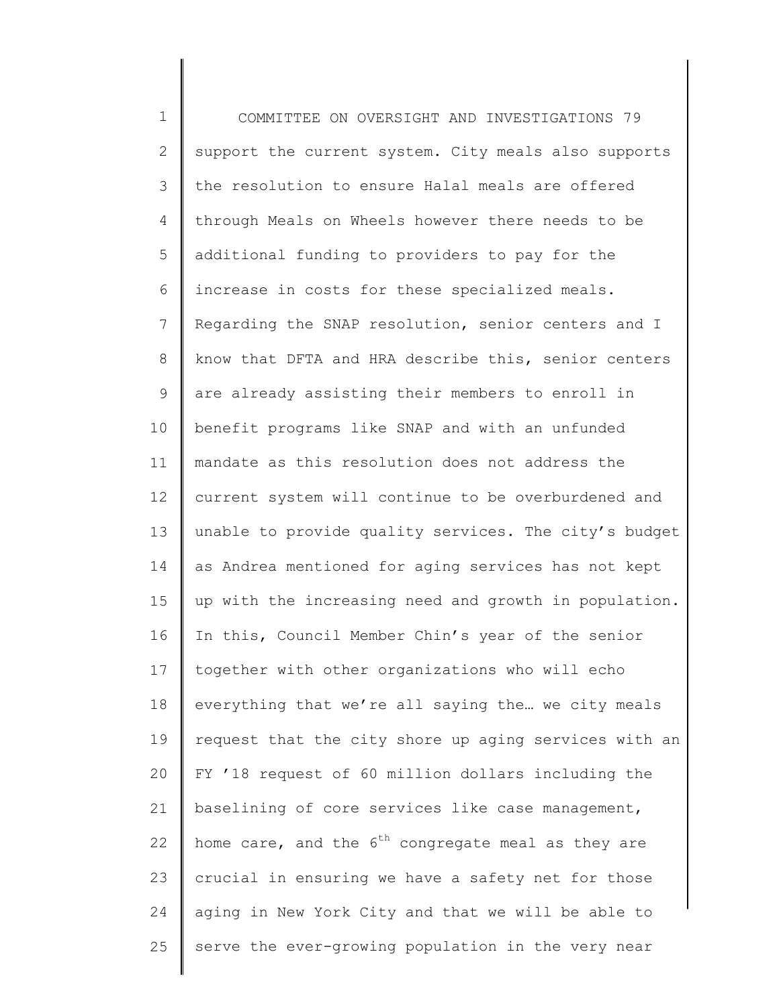1 2 3 4 5 6 7 8 9 10 11 12 13 14 15 16 17 18 19 20 21 22 23 24 25 COMMITTEE ON OVERSIGHT AND INVESTIGATIONS 79 support the current system. City meals also supports the resolution to ensure Halal meals are offered through Meals on Wheels however there needs to be additional funding to providers to pay for the increase in costs for these specialized meals. Regarding the SNAP resolution, senior centers and I know that DFTA and HRA describe this, senior centers are already assisting their members to enroll in benefit programs like SNAP and with an unfunded mandate as this resolution does not address the current system will continue to be overburdened and unable to provide quality services. The city's budget as Andrea mentioned for aging services has not kept up with the increasing need and growth in population. In this, Council Member Chin's year of the senior together with other organizations who will echo everything that we're all saying the… we city meals request that the city shore up aging services with an FY '18 request of 60 million dollars including the baselining of core services like case management, home care, and the  $6<sup>th</sup>$  congregate meal as they are crucial in ensuring we have a safety net for those aging in New York City and that we will be able to serve the ever-growing population in the very near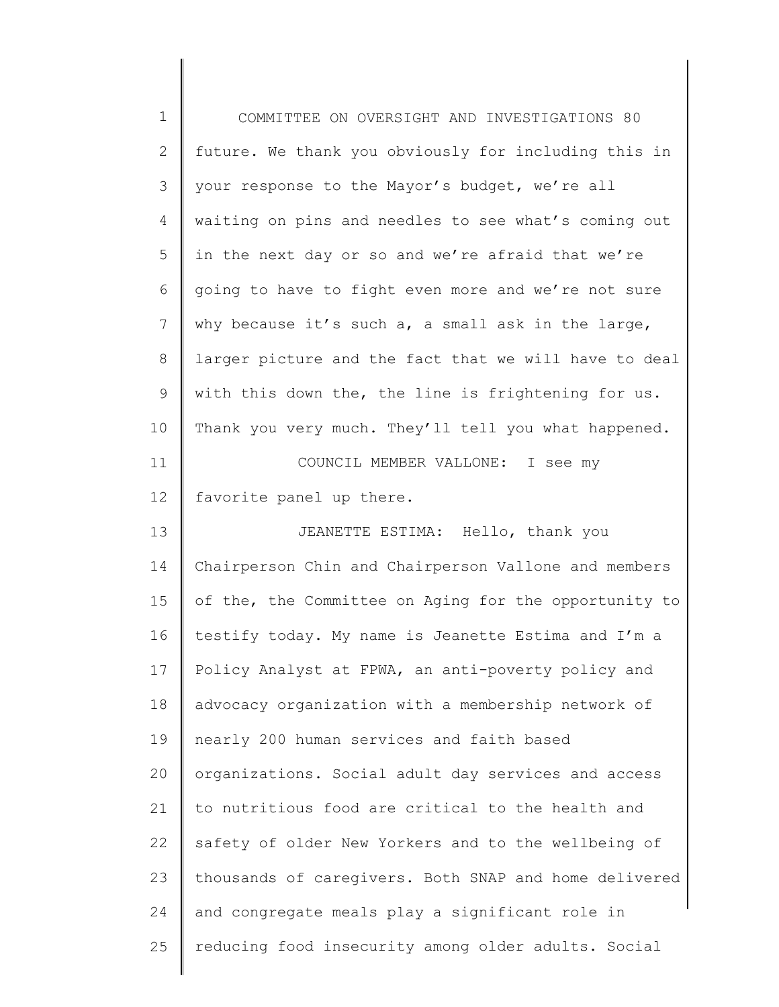| 1  | COMMITTEE ON OVERSIGHT AND INVESTIGATIONS 80          |
|----|-------------------------------------------------------|
| 2  | future. We thank you obviously for including this in  |
| 3  | your response to the Mayor's budget, we're all        |
| 4  | waiting on pins and needles to see what's coming out  |
| 5  | in the next day or so and we're afraid that we're     |
| 6  | going to have to fight even more and we're not sure   |
| 7  | why because it's such a, a small ask in the large,    |
| 8  | larger picture and the fact that we will have to deal |
| 9  | with this down the, the line is frightening for us.   |
| 10 | Thank you very much. They'll tell you what happened.  |
| 11 | COUNCIL MEMBER VALLONE: I see my                      |
| 12 | favorite panel up there.                              |
| 13 | JEANETTE ESTIMA: Hello, thank you                     |
| 14 | Chairperson Chin and Chairperson Vallone and members  |
| 15 | of the, the Committee on Aging for the opportunity to |
| 16 | testify today. My name is Jeanette Estima and I'm a   |
| 17 | Policy Analyst at FPWA, an anti-poverty policy and    |
| 18 | advocacy organization with a membership network of    |
| 19 | nearly 200 human services and faith based             |
| 20 | organizations. Social adult day services and access   |
| 21 | to nutritious food are critical to the health and     |
| 22 | safety of older New Yorkers and to the wellbeing of   |
| 23 | thousands of caregivers. Both SNAP and home delivered |
| 24 | and congregate meals play a significant role in       |
| 25 | reducing food insecurity among older adults. Social   |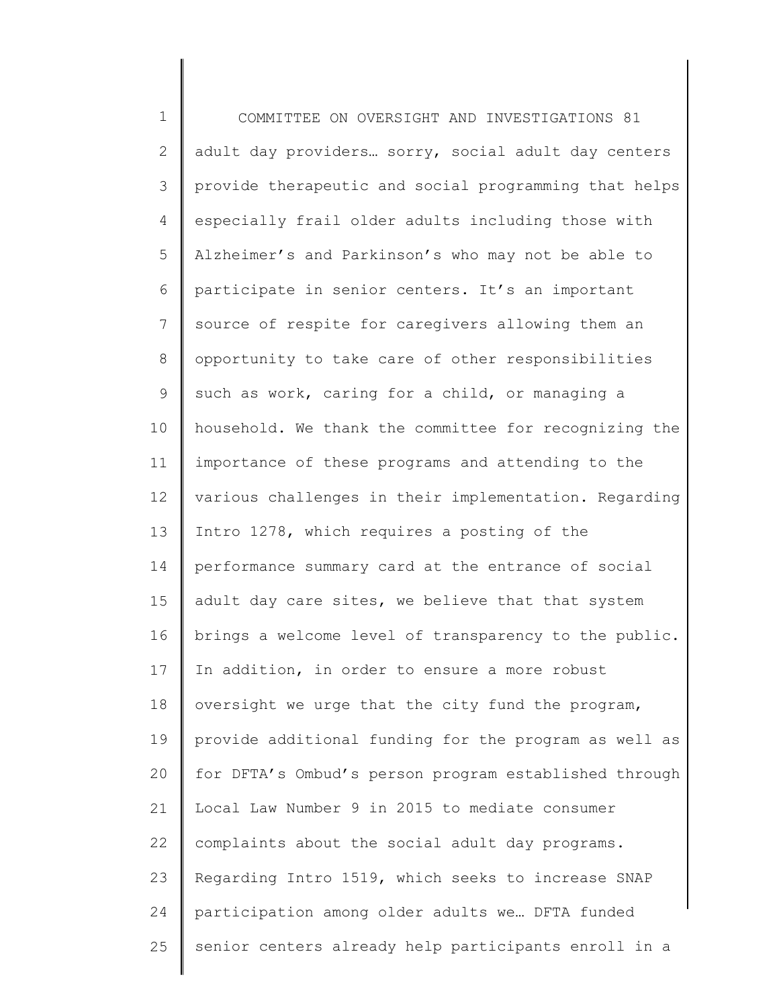1 2 3 4 5 6 7 8 9 10 11 12 13 14 15 16 17 18 19 20 21 22 23 24 25 COMMITTEE ON OVERSIGHT AND INVESTIGATIONS 81 adult day providers… sorry, social adult day centers provide therapeutic and social programming that helps especially frail older adults including those with Alzheimer's and Parkinson's who may not be able to participate in senior centers. It's an important source of respite for caregivers allowing them an opportunity to take care of other responsibilities such as work, caring for a child, or managing a household. We thank the committee for recognizing the importance of these programs and attending to the various challenges in their implementation. Regarding Intro 1278, which requires a posting of the performance summary card at the entrance of social adult day care sites, we believe that that system brings a welcome level of transparency to the public. In addition, in order to ensure a more robust oversight we urge that the city fund the program, provide additional funding for the program as well as for DFTA's Ombud's person program established through Local Law Number 9 in 2015 to mediate consumer complaints about the social adult day programs. Regarding Intro 1519, which seeks to increase SNAP participation among older adults we… DFTA funded senior centers already help participants enroll in a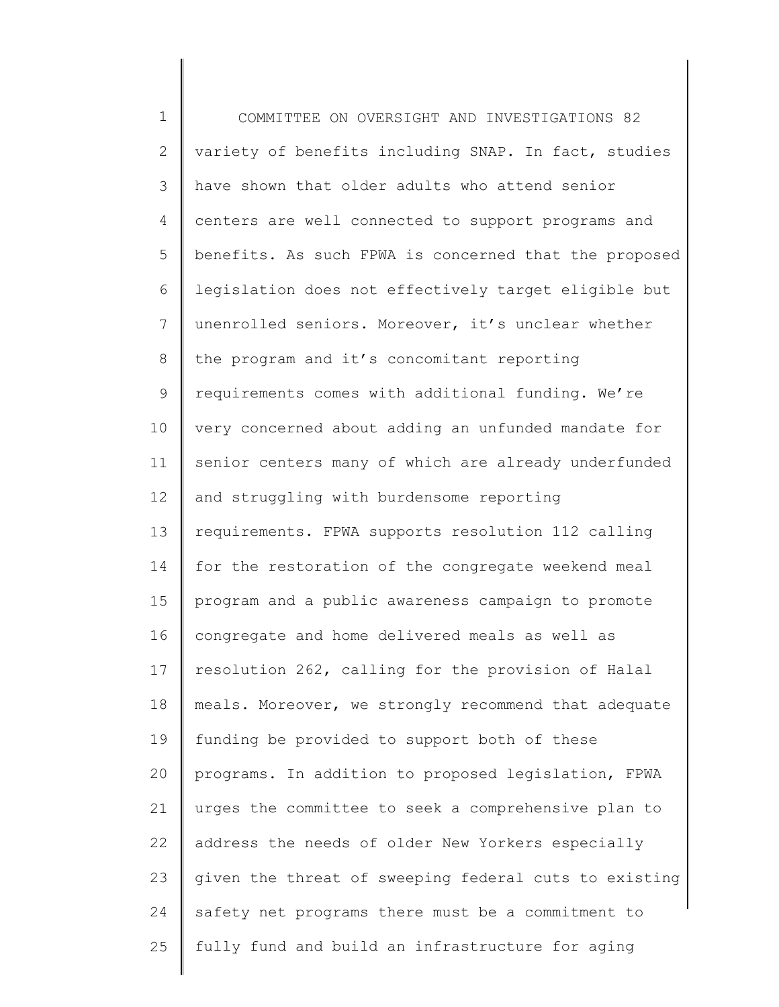1 2 3 4 5 6 7 8 9 10 11 12 13 14 15 16 17 18 19 20 21 22 23 24 25 COMMITTEE ON OVERSIGHT AND INVESTIGATIONS 82 variety of benefits including SNAP. In fact, studies have shown that older adults who attend senior centers are well connected to support programs and benefits. As such FPWA is concerned that the proposed legislation does not effectively target eligible but unenrolled seniors. Moreover, it's unclear whether the program and it's concomitant reporting requirements comes with additional funding. We're very concerned about adding an unfunded mandate for senior centers many of which are already underfunded and struggling with burdensome reporting requirements. FPWA supports resolution 112 calling for the restoration of the congregate weekend meal program and a public awareness campaign to promote congregate and home delivered meals as well as resolution 262, calling for the provision of Halal meals. Moreover, we strongly recommend that adequate funding be provided to support both of these programs. In addition to proposed legislation, FPWA urges the committee to seek a comprehensive plan to address the needs of older New Yorkers especially given the threat of sweeping federal cuts to existing safety net programs there must be a commitment to fully fund and build an infrastructure for aging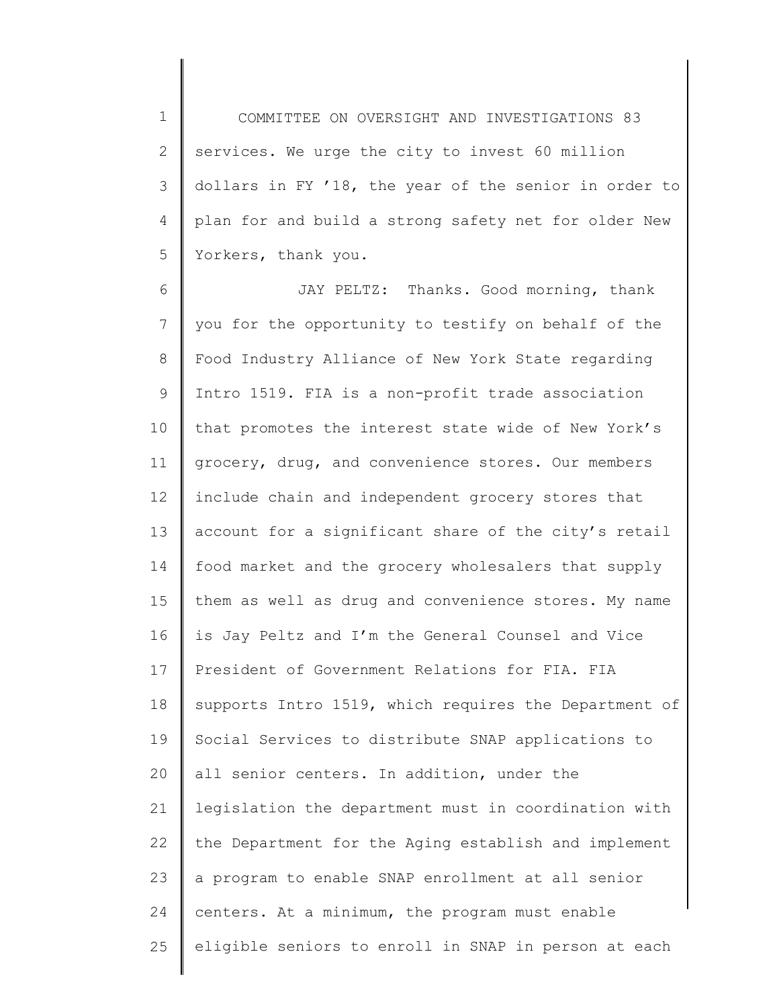1 2 3 4 5 COMMITTEE ON OVERSIGHT AND INVESTIGATIONS 83 services. We urge the city to invest 60 million dollars in FY '18, the year of the senior in order to plan for and build a strong safety net for older New Yorkers, thank you.

6 7 8 9 10 11 12 13 14 15 16 17 18 19 20 21 22 23 24 25 JAY PELTZ: Thanks. Good morning, thank you for the opportunity to testify on behalf of the Food Industry Alliance of New York State regarding Intro 1519. FIA is a non-profit trade association that promotes the interest state wide of New York's grocery, drug, and convenience stores. Our members include chain and independent grocery stores that account for a significant share of the city's retail food market and the grocery wholesalers that supply them as well as drug and convenience stores. My name is Jay Peltz and I'm the General Counsel and Vice President of Government Relations for FIA. FIA supports Intro 1519, which requires the Department of Social Services to distribute SNAP applications to all senior centers. In addition, under the legislation the department must in coordination with the Department for the Aging establish and implement a program to enable SNAP enrollment at all senior centers. At a minimum, the program must enable eligible seniors to enroll in SNAP in person at each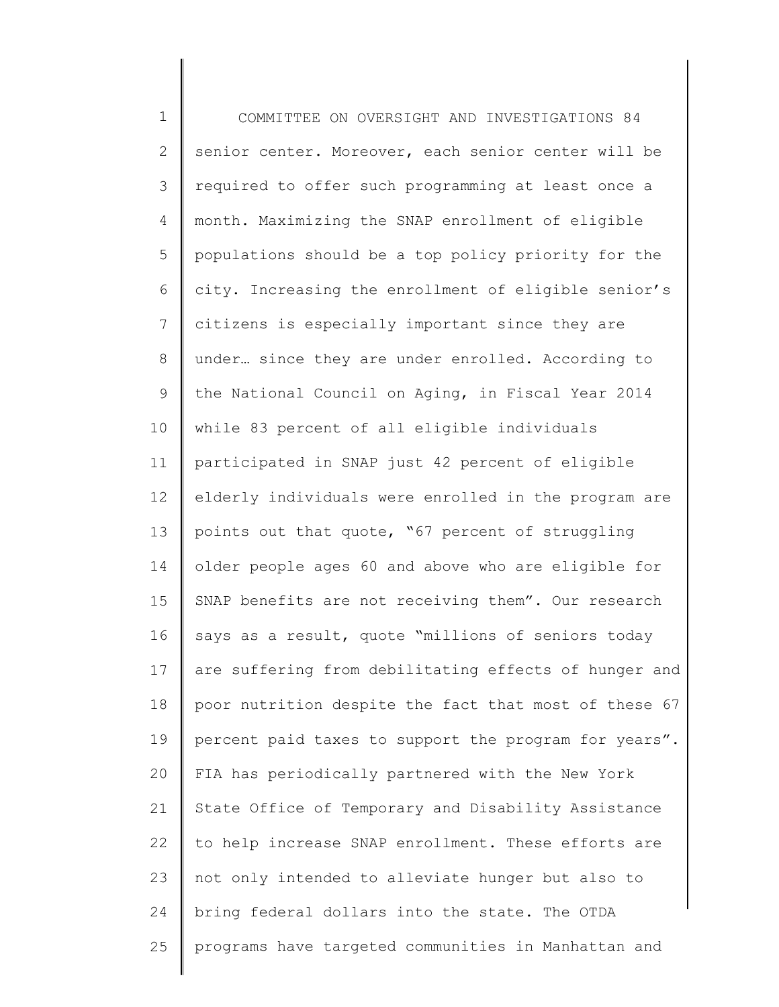1 2 3 4 5 6 7 8 9 10 11 12 13 14 15 16 17 18 19 20 21 22 23 24 25 COMMITTEE ON OVERSIGHT AND INVESTIGATIONS 84 senior center. Moreover, each senior center will be required to offer such programming at least once a month. Maximizing the SNAP enrollment of eligible populations should be a top policy priority for the city. Increasing the enrollment of eligible senior's citizens is especially important since they are under… since they are under enrolled. According to the National Council on Aging, in Fiscal Year 2014 while 83 percent of all eligible individuals participated in SNAP just 42 percent of eligible elderly individuals were enrolled in the program are points out that quote, "67 percent of struggling older people ages 60 and above who are eligible for SNAP benefits are not receiving them". Our research says as a result, quote "millions of seniors today are suffering from debilitating effects of hunger and poor nutrition despite the fact that most of these 67 percent paid taxes to support the program for years". FIA has periodically partnered with the New York State Office of Temporary and Disability Assistance to help increase SNAP enrollment. These efforts are not only intended to alleviate hunger but also to bring federal dollars into the state. The OTDA programs have targeted communities in Manhattan and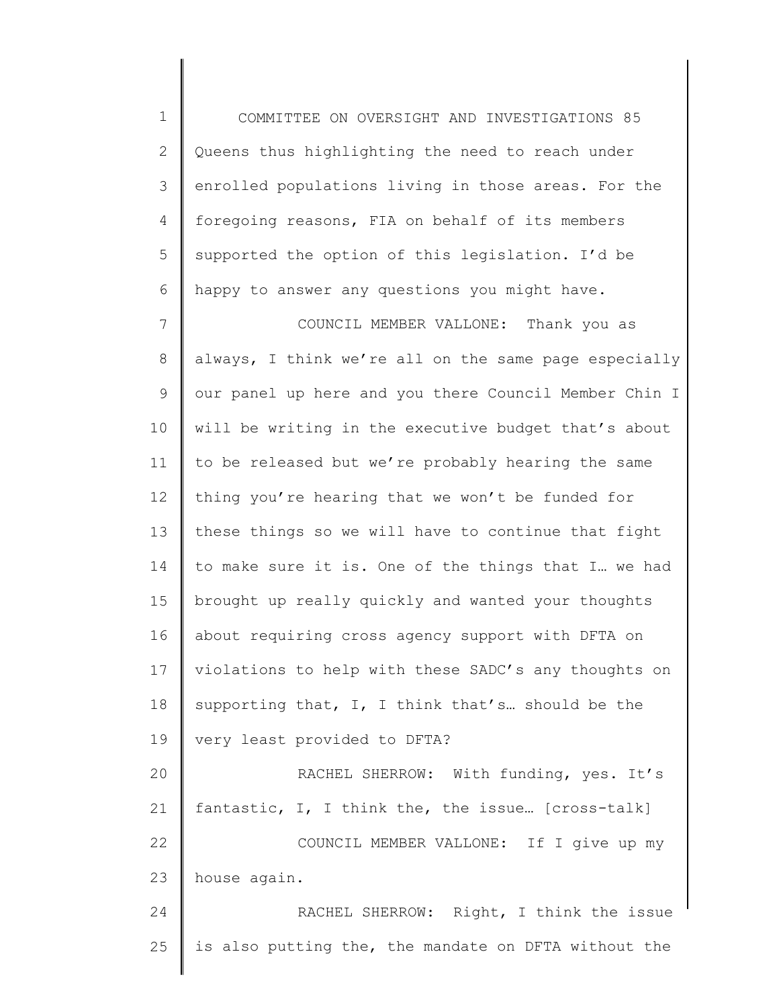1 2 3 4 5 6 COMMITTEE ON OVERSIGHT AND INVESTIGATIONS 85 Queens thus highlighting the need to reach under enrolled populations living in those areas. For the foregoing reasons, FIA on behalf of its members supported the option of this legislation. I'd be happy to answer any questions you might have.

7 8 9 10 11 12 13 14 15 16 17 18 19 20 21 22 23 COUNCIL MEMBER VALLONE: Thank you as always, I think we're all on the same page especially our panel up here and you there Council Member Chin I will be writing in the executive budget that's about to be released but we're probably hearing the same thing you're hearing that we won't be funded for these things so we will have to continue that fight to make sure it is. One of the things that I… we had brought up really quickly and wanted your thoughts about requiring cross agency support with DFTA on violations to help with these SADC's any thoughts on supporting that, I, I think that's… should be the very least provided to DFTA? RACHEL SHERROW: With funding, yes. It's fantastic, I, I think the, the issue… [cross-talk] COUNCIL MEMBER VALLONE: If I give up my house again.

24 25 RACHEL SHERROW: Right, I think the issue is also putting the, the mandate on DFTA without the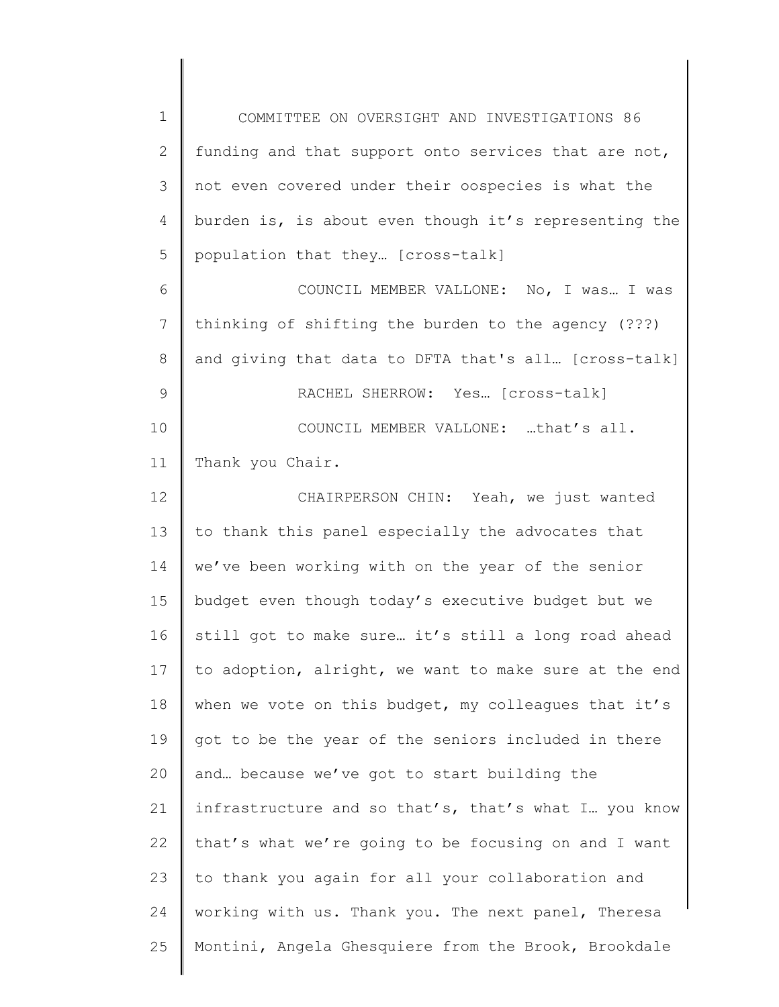1 2 3 4 5 6 7 8 9 10 11 12 13 14 15 16 17 18 19 20 21 22 23 24 25 COMMITTEE ON OVERSIGHT AND INVESTIGATIONS 86 funding and that support onto services that are not, not even covered under their oospecies is what the burden is, is about even though it's representing the population that they… [cross-talk] COUNCIL MEMBER VALLONE: No, I was… I was thinking of shifting the burden to the agency (???) and giving that data to DFTA that's all… [cross-talk] RACHEL SHERROW: Yes… [cross-talk] COUNCIL MEMBER VALLONE: …that's all. Thank you Chair. CHAIRPERSON CHIN: Yeah, we just wanted to thank this panel especially the advocates that we've been working with on the year of the senior budget even though today's executive budget but we still got to make sure… it's still a long road ahead to adoption, alright, we want to make sure at the end when we vote on this budget, my colleagues that it's got to be the year of the seniors included in there and… because we've got to start building the infrastructure and so that's, that's what I… you know that's what we're going to be focusing on and I want to thank you again for all your collaboration and working with us. Thank you. The next panel, Theresa Montini, Angela Ghesquiere from the Brook, Brookdale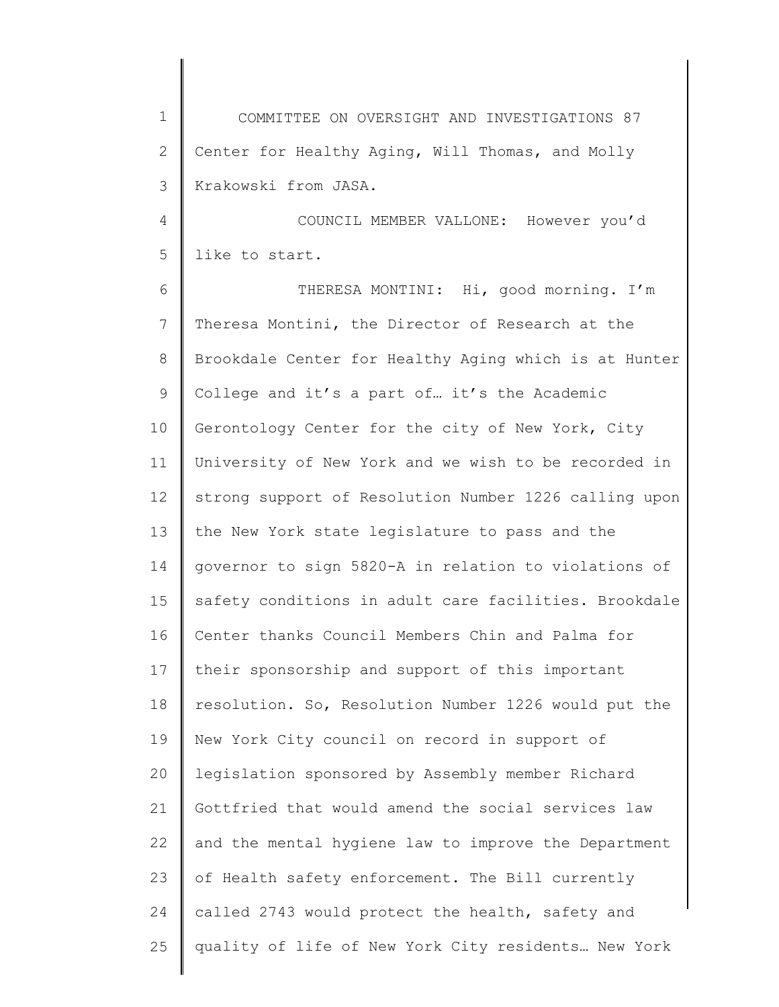1 2 3 COMMITTEE ON OVERSIGHT AND INVESTIGATIONS 87 Center for Healthy Aging, Will Thomas, and Molly Krakowski from JASA.

4 5 COUNCIL MEMBER VALLONE: However you'd like to start.

6 7 8 9 10 11 12 13 14 15 16 17 18 19 20 21 22 23 24 25 THERESA MONTINI: Hi, good morning. I'm Theresa Montini, the Director of Research at the Brookdale Center for Healthy Aging which is at Hunter College and it's a part of… it's the Academic Gerontology Center for the city of New York, City University of New York and we wish to be recorded in strong support of Resolution Number 1226 calling upon the New York state legislature to pass and the governor to sign 5820-A in relation to violations of safety conditions in adult care facilities. Brookdale Center thanks Council Members Chin and Palma for their sponsorship and support of this important resolution. So, Resolution Number 1226 would put the New York City council on record in support of legislation sponsored by Assembly member Richard Gottfried that would amend the social services law and the mental hygiene law to improve the Department of Health safety enforcement. The Bill currently called 2743 would protect the health, safety and quality of life of New York City residents… New York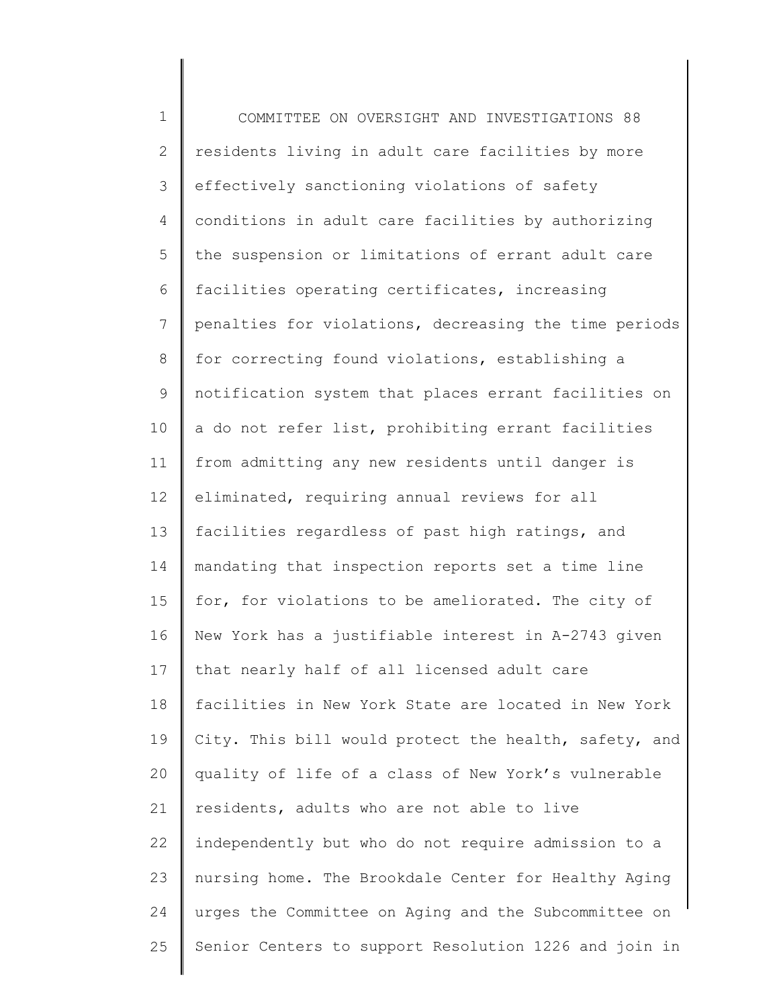1 2 3 4 5 6 7 8 9 10 11 12 13 14 15 16 17 18 19 20 21 22 23 24 25 COMMITTEE ON OVERSIGHT AND INVESTIGATIONS 88 residents living in adult care facilities by more effectively sanctioning violations of safety conditions in adult care facilities by authorizing the suspension or limitations of errant adult care facilities operating certificates, increasing penalties for violations, decreasing the time periods for correcting found violations, establishing a notification system that places errant facilities on a do not refer list, prohibiting errant facilities from admitting any new residents until danger is eliminated, requiring annual reviews for all facilities regardless of past high ratings, and mandating that inspection reports set a time line for, for violations to be ameliorated. The city of New York has a justifiable interest in A-2743 given that nearly half of all licensed adult care facilities in New York State are located in New York City. This bill would protect the health, safety, and quality of life of a class of New York's vulnerable residents, adults who are not able to live independently but who do not require admission to a nursing home. The Brookdale Center for Healthy Aging urges the Committee on Aging and the Subcommittee on Senior Centers to support Resolution 1226 and join in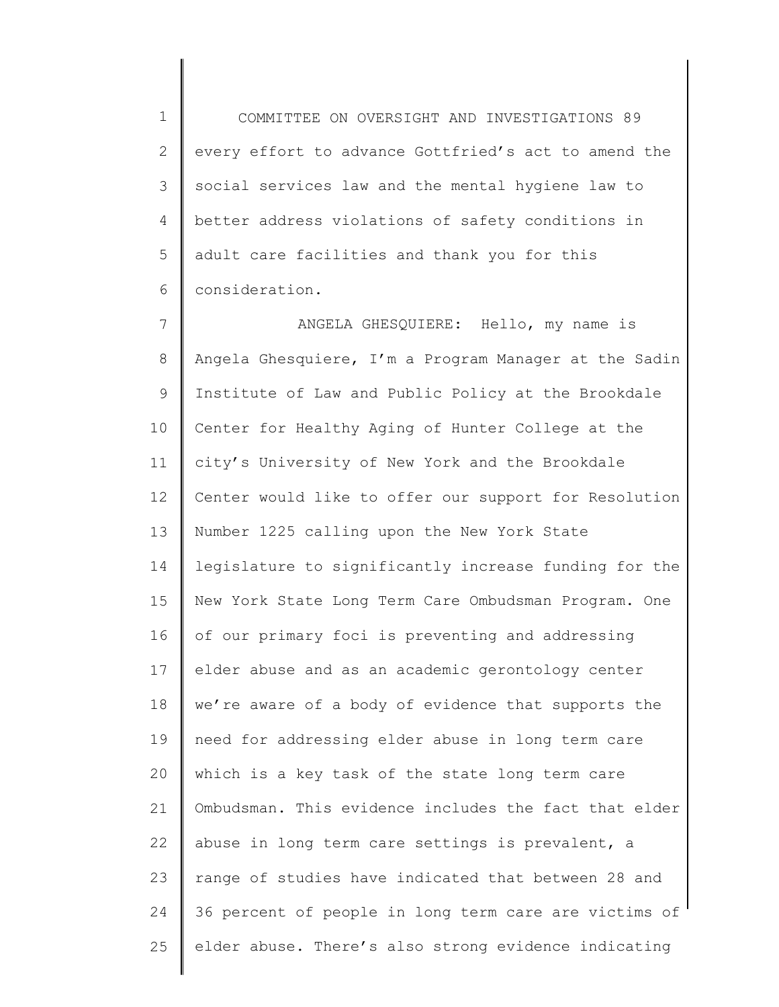1 2 3 4 5 6 COMMITTEE ON OVERSIGHT AND INVESTIGATIONS 89 every effort to advance Gottfried's act to amend the social services law and the mental hygiene law to better address violations of safety conditions in adult care facilities and thank you for this consideration.

7 8 9 10 11 12 13 14 15 16 17 18 19 20 21 22 23 24 25 ANGELA GHESQUIERE: Hello, my name is Angela Ghesquiere, I'm a Program Manager at the Sadin Institute of Law and Public Policy at the Brookdale Center for Healthy Aging of Hunter College at the city's University of New York and the Brookdale Center would like to offer our support for Resolution Number 1225 calling upon the New York State legislature to significantly increase funding for the New York State Long Term Care Ombudsman Program. One of our primary foci is preventing and addressing elder abuse and as an academic gerontology center we're aware of a body of evidence that supports the need for addressing elder abuse in long term care which is a key task of the state long term care Ombudsman. This evidence includes the fact that elder abuse in long term care settings is prevalent, a range of studies have indicated that between 28 and 36 percent of people in long term care are victims of elder abuse. There's also strong evidence indicating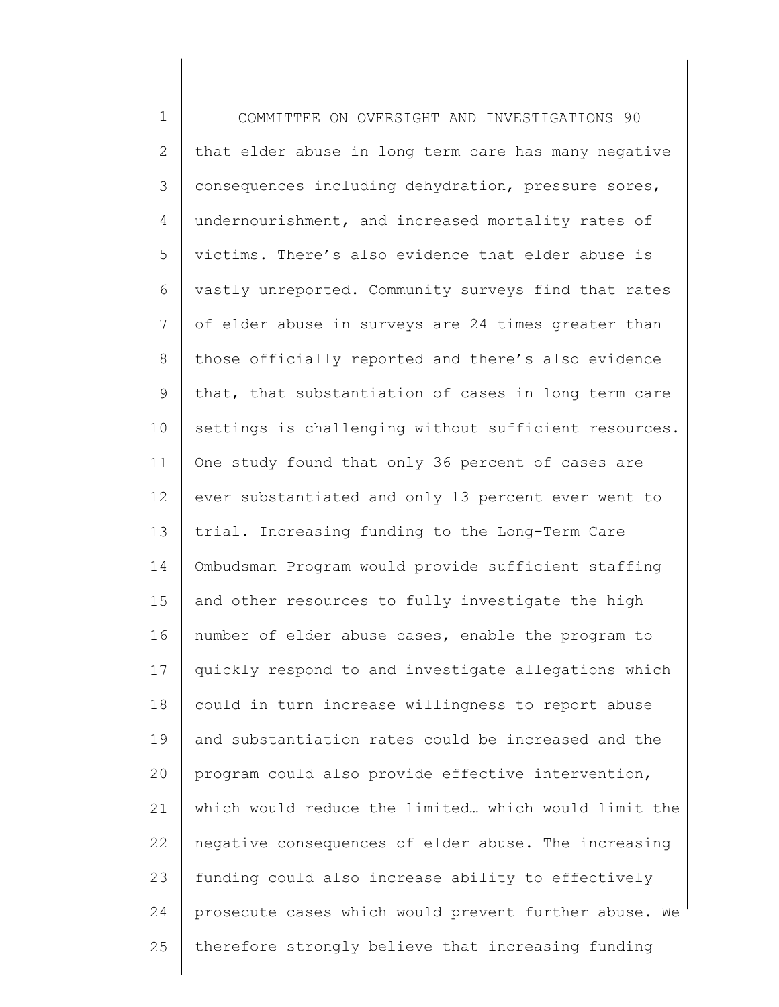1 2 3 4 5 6 7 8 9 10 11 12 13 14 15 16 17 18 19 20 21 22 23 24 25 COMMITTEE ON OVERSIGHT AND INVESTIGATIONS 90 that elder abuse in long term care has many negative consequences including dehydration, pressure sores, undernourishment, and increased mortality rates of victims. There's also evidence that elder abuse is vastly unreported. Community surveys find that rates of elder abuse in surveys are 24 times greater than those officially reported and there's also evidence that, that substantiation of cases in long term care settings is challenging without sufficient resources. One study found that only 36 percent of cases are ever substantiated and only 13 percent ever went to trial. Increasing funding to the Long-Term Care Ombudsman Program would provide sufficient staffing and other resources to fully investigate the high number of elder abuse cases, enable the program to quickly respond to and investigate allegations which could in turn increase willingness to report abuse and substantiation rates could be increased and the program could also provide effective intervention, which would reduce the limited… which would limit the negative consequences of elder abuse. The increasing funding could also increase ability to effectively prosecute cases which would prevent further abuse. We therefore strongly believe that increasing funding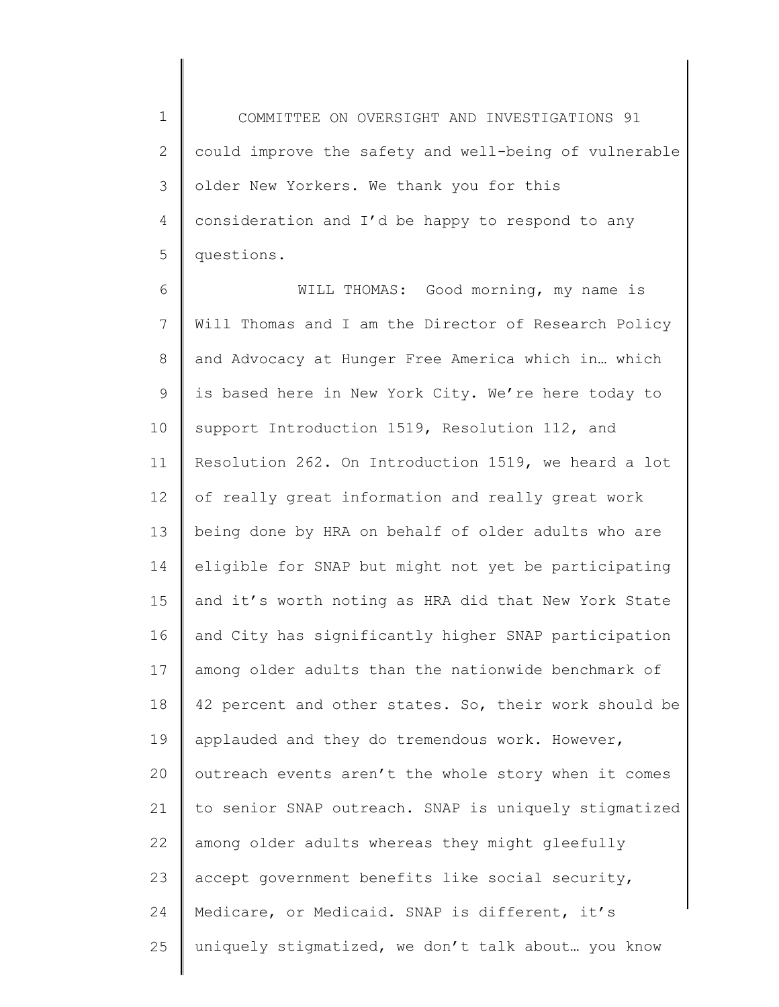1 2 3 4 5 COMMITTEE ON OVERSIGHT AND INVESTIGATIONS 91 could improve the safety and well-being of vulnerable older New Yorkers. We thank you for this consideration and I'd be happy to respond to any questions.

6 7 8 9 10 11 12 13 14 15 16 17 18 19 20 21 22 23 24 25 WILL THOMAS: Good morning, my name is Will Thomas and I am the Director of Research Policy and Advocacy at Hunger Free America which in… which is based here in New York City. We're here today to support Introduction 1519, Resolution 112, and Resolution 262. On Introduction 1519, we heard a lot of really great information and really great work being done by HRA on behalf of older adults who are eligible for SNAP but might not yet be participating and it's worth noting as HRA did that New York State and City has significantly higher SNAP participation among older adults than the nationwide benchmark of 42 percent and other states. So, their work should be applauded and they do tremendous work. However, outreach events aren't the whole story when it comes to senior SNAP outreach. SNAP is uniquely stigmatized among older adults whereas they might gleefully accept government benefits like social security, Medicare, or Medicaid. SNAP is different, it's uniquely stigmatized, we don't talk about… you know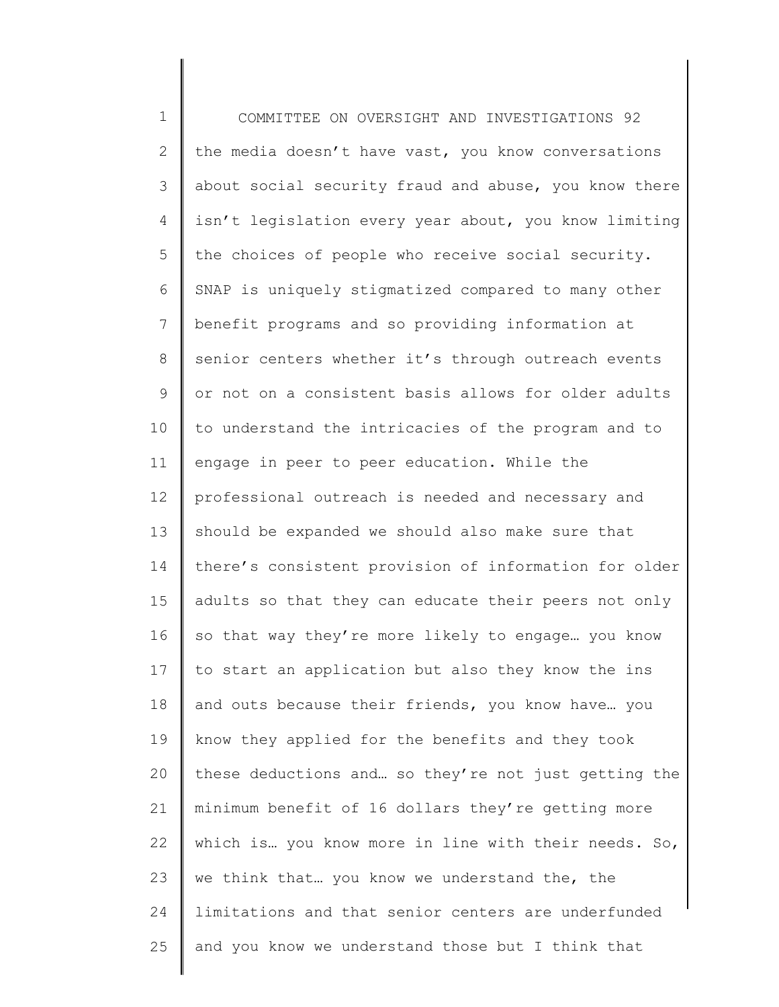1 2 3 4 5 6 7 8 9 10 11 12 13 14 15 16 17 18 19 20 21 22 23 24 25 COMMITTEE ON OVERSIGHT AND INVESTIGATIONS 92 the media doesn't have vast, you know conversations about social security fraud and abuse, you know there isn't legislation every year about, you know limiting the choices of people who receive social security. SNAP is uniquely stigmatized compared to many other benefit programs and so providing information at senior centers whether it's through outreach events or not on a consistent basis allows for older adults to understand the intricacies of the program and to engage in peer to peer education. While the professional outreach is needed and necessary and should be expanded we should also make sure that there's consistent provision of information for older adults so that they can educate their peers not only so that way they're more likely to engage… you know to start an application but also they know the ins and outs because their friends, you know have… you know they applied for the benefits and they took these deductions and… so they're not just getting the minimum benefit of 16 dollars they're getting more which is… you know more in line with their needs. So, we think that… you know we understand the, the limitations and that senior centers are underfunded and you know we understand those but I think that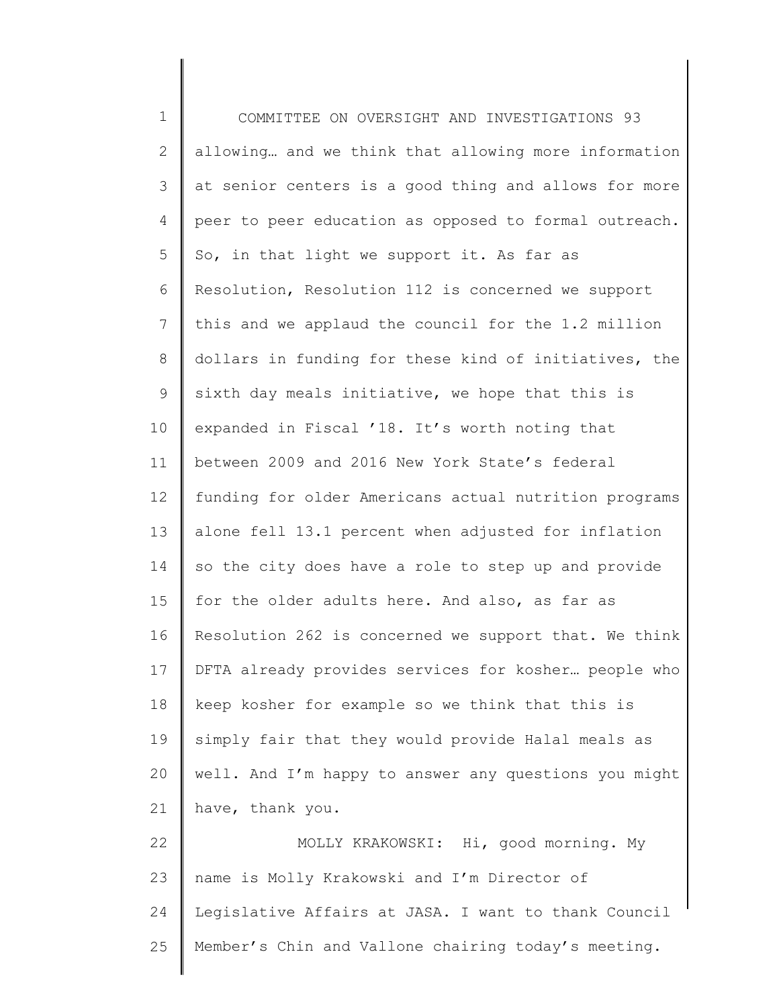1 2 3 4 5 6 7 8 9 10 11 12 13 14 15 16 17 18 19 20 21 22 23 24 25 COMMITTEE ON OVERSIGHT AND INVESTIGATIONS 93 allowing… and we think that allowing more information at senior centers is a good thing and allows for more peer to peer education as opposed to formal outreach. So, in that light we support it. As far as Resolution, Resolution 112 is concerned we support this and we applaud the council for the 1.2 million dollars in funding for these kind of initiatives, the sixth day meals initiative, we hope that this is expanded in Fiscal '18. It's worth noting that between 2009 and 2016 New York State's federal funding for older Americans actual nutrition programs alone fell 13.1 percent when adjusted for inflation so the city does have a role to step up and provide for the older adults here. And also, as far as Resolution 262 is concerned we support that. We think DFTA already provides services for kosher… people who keep kosher for example so we think that this is simply fair that they would provide Halal meals as well. And I'm happy to answer any questions you might have, thank you. MOLLY KRAKOWSKI: Hi, good morning. My name is Molly Krakowski and I'm Director of Legislative Affairs at JASA. I want to thank Council Member's Chin and Vallone chairing today's meeting.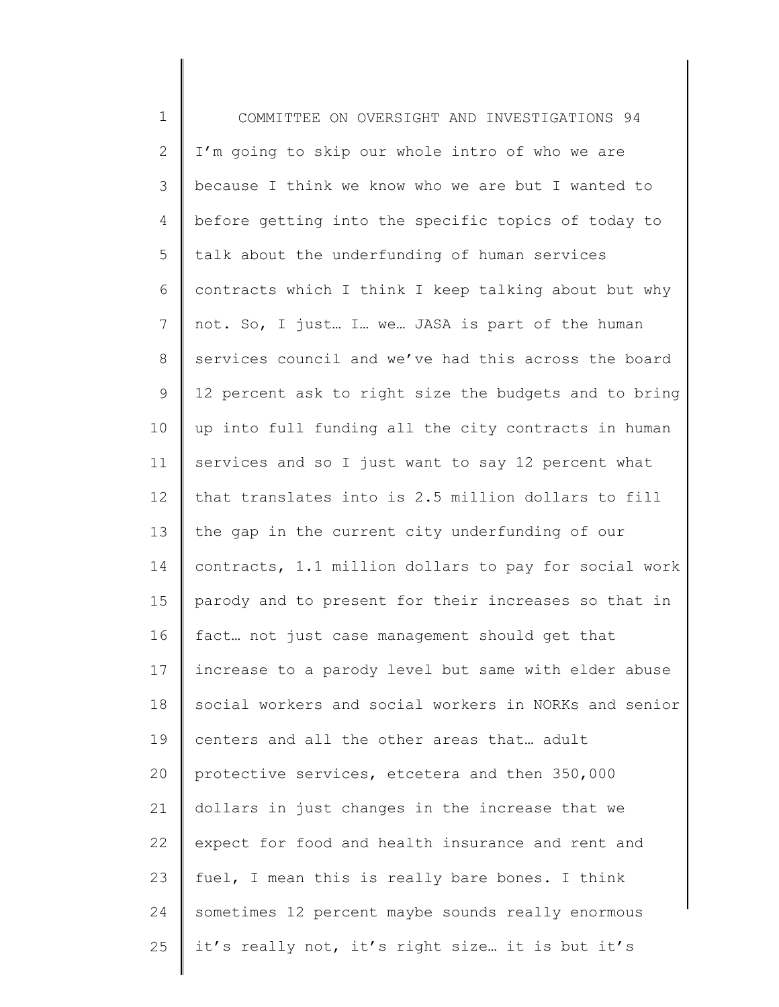1 2 3 4 5 6 7 8 9 10 11 12 13 14 15 16 17 18 19 20 21 22 23 24 25 COMMITTEE ON OVERSIGHT AND INVESTIGATIONS 94 I'm going to skip our whole intro of who we are because I think we know who we are but I wanted to before getting into the specific topics of today to talk about the underfunding of human services contracts which I think I keep talking about but why not. So, I just… I… we… JASA is part of the human services council and we've had this across the board 12 percent ask to right size the budgets and to bring up into full funding all the city contracts in human services and so I just want to say 12 percent what that translates into is 2.5 million dollars to fill the gap in the current city underfunding of our contracts, 1.1 million dollars to pay for social work parody and to present for their increases so that in fact… not just case management should get that increase to a parody level but same with elder abuse social workers and social workers in NORKs and senior centers and all the other areas that… adult protective services, etcetera and then 350,000 dollars in just changes in the increase that we expect for food and health insurance and rent and fuel, I mean this is really bare bones. I think sometimes 12 percent maybe sounds really enormous it's really not, it's right size… it is but it's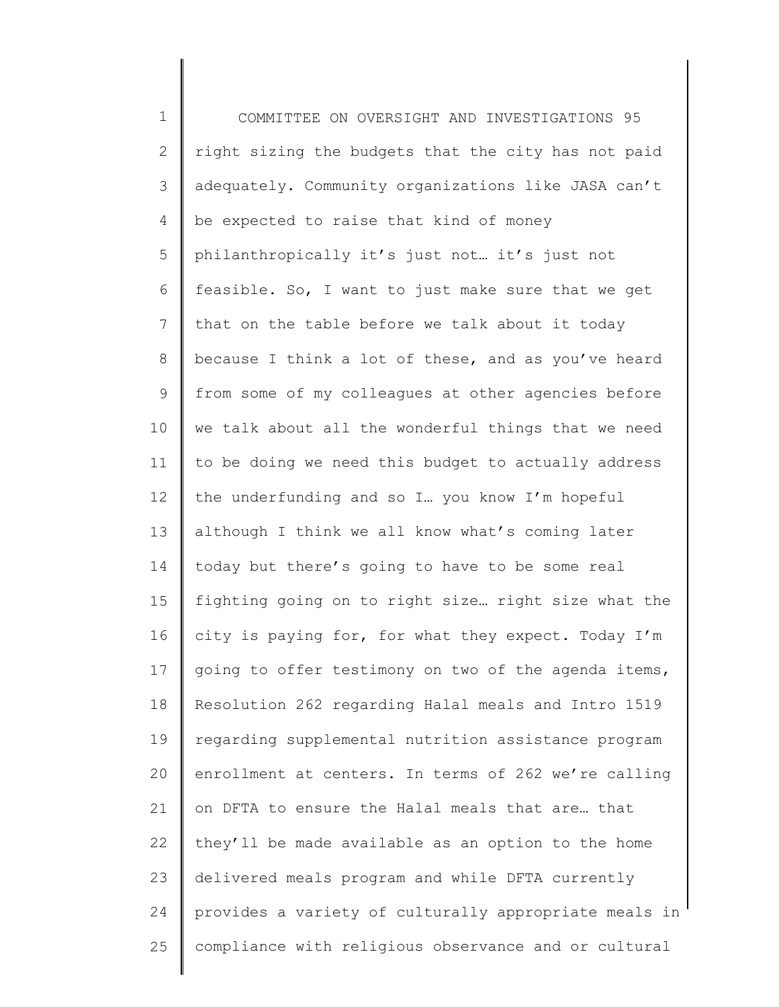1 2 3 4 5 6 7 8 9 10 11 12 13 14 15 16 17 18 19 20 21 22 23 24 25 COMMITTEE ON OVERSIGHT AND INVESTIGATIONS 95 right sizing the budgets that the city has not paid adequately. Community organizations like JASA can't be expected to raise that kind of money philanthropically it's just not… it's just not feasible. So, I want to just make sure that we get that on the table before we talk about it today because I think a lot of these, and as you've heard from some of my colleagues at other agencies before we talk about all the wonderful things that we need to be doing we need this budget to actually address the underfunding and so I… you know I'm hopeful although I think we all know what's coming later today but there's going to have to be some real fighting going on to right size… right size what the city is paying for, for what they expect. Today I'm going to offer testimony on two of the agenda items, Resolution 262 regarding Halal meals and Intro 1519 regarding supplemental nutrition assistance program enrollment at centers. In terms of 262 we're calling on DFTA to ensure the Halal meals that are… that they'll be made available as an option to the home delivered meals program and while DFTA currently provides a variety of culturally appropriate meals in compliance with religious observance and or cultural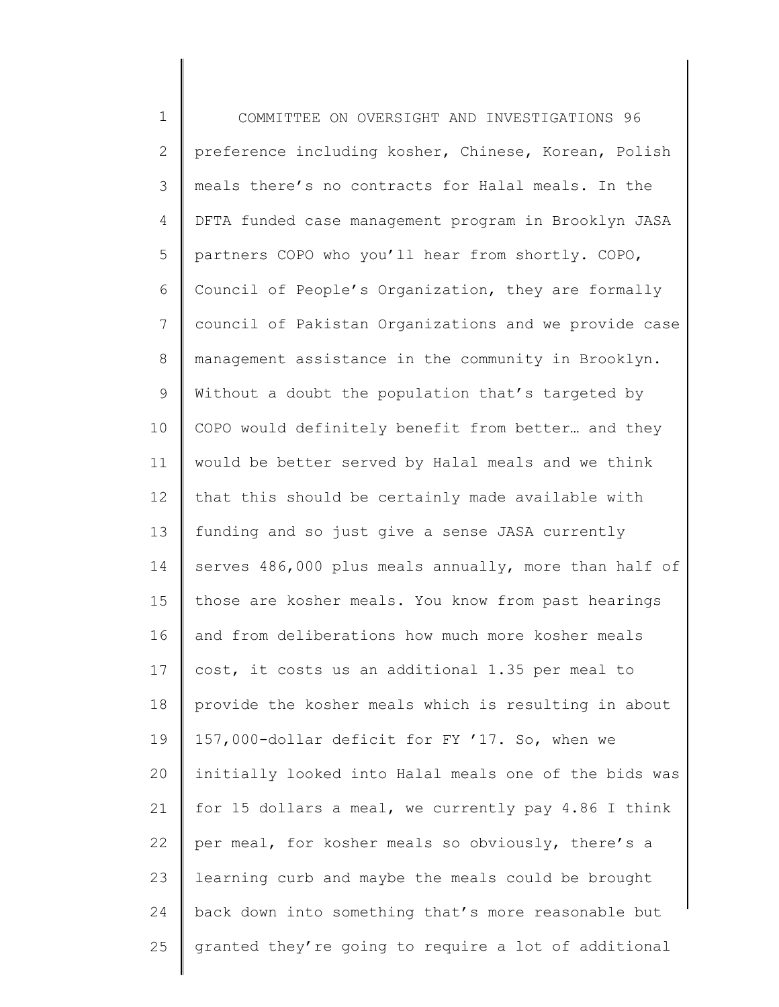1 2 3 4 5 6 7 8 9 10 11 12 13 14 15 16 17 18 19 20 21 22 23 24 25 COMMITTEE ON OVERSIGHT AND INVESTIGATIONS 96 preference including kosher, Chinese, Korean, Polish meals there's no contracts for Halal meals. In the DFTA funded case management program in Brooklyn JASA partners COPO who you'll hear from shortly. COPO, Council of People's Organization, they are formally council of Pakistan Organizations and we provide case management assistance in the community in Brooklyn. Without a doubt the population that's targeted by COPO would definitely benefit from better… and they would be better served by Halal meals and we think that this should be certainly made available with funding and so just give a sense JASA currently serves 486,000 plus meals annually, more than half of those are kosher meals. You know from past hearings and from deliberations how much more kosher meals cost, it costs us an additional 1.35 per meal to provide the kosher meals which is resulting in about 157,000-dollar deficit for FY '17. So, when we initially looked into Halal meals one of the bids was for 15 dollars a meal, we currently pay 4.86 I think per meal, for kosher meals so obviously, there's a learning curb and maybe the meals could be brought back down into something that's more reasonable but granted they're going to require a lot of additional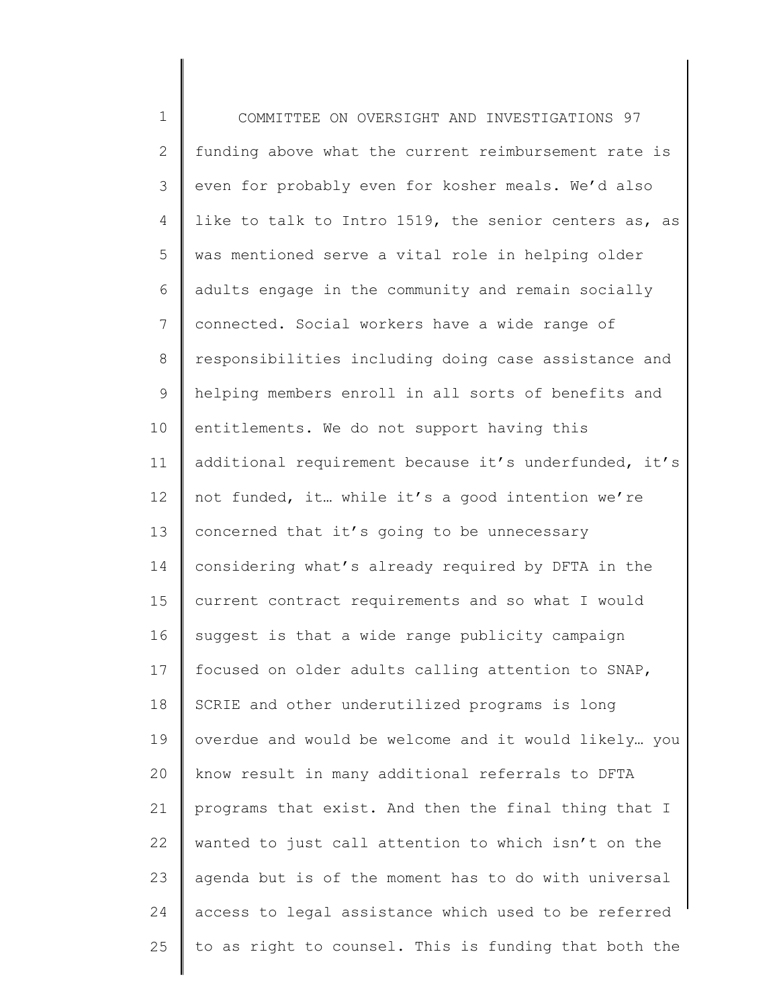1 2 3 4 5 6 7 8 9 10 11 12 13 14 15 16 17 18 19 20 21 22 23 24 25 COMMITTEE ON OVERSIGHT AND INVESTIGATIONS 97 funding above what the current reimbursement rate is even for probably even for kosher meals. We'd also like to talk to Intro 1519, the senior centers as, as was mentioned serve a vital role in helping older adults engage in the community and remain socially connected. Social workers have a wide range of responsibilities including doing case assistance and helping members enroll in all sorts of benefits and entitlements. We do not support having this additional requirement because it's underfunded, it's not funded, it… while it's a good intention we're concerned that it's going to be unnecessary considering what's already required by DFTA in the current contract requirements and so what I would suggest is that a wide range publicity campaign focused on older adults calling attention to SNAP, SCRIE and other underutilized programs is long overdue and would be welcome and it would likely… you know result in many additional referrals to DFTA programs that exist. And then the final thing that I wanted to just call attention to which isn't on the agenda but is of the moment has to do with universal access to legal assistance which used to be referred to as right to counsel. This is funding that both the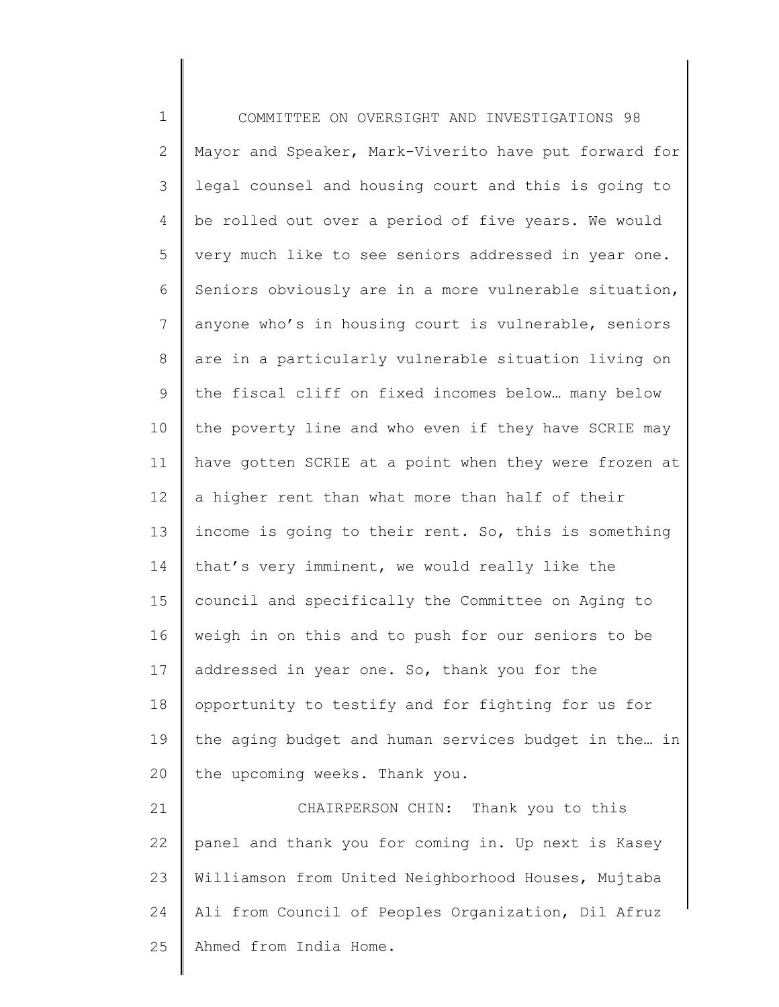1 2 3 4 5 6 7 8 9 10 11 12 13 14 15 16 17 18 19 20 21 22 COMMITTEE ON OVERSIGHT AND INVESTIGATIONS 98 Mayor and Speaker, Mark-Viverito have put forward for legal counsel and housing court and this is going to be rolled out over a period of five years. We would very much like to see seniors addressed in year one. Seniors obviously are in a more vulnerable situation, anyone who's in housing court is vulnerable, seniors are in a particularly vulnerable situation living on the fiscal cliff on fixed incomes below… many below the poverty line and who even if they have SCRIE may have gotten SCRIE at a point when they were frozen at a higher rent than what more than half of their income is going to their rent. So, this is something that's very imminent, we would really like the council and specifically the Committee on Aging to weigh in on this and to push for our seniors to be addressed in year one. So, thank you for the opportunity to testify and for fighting for us for the aging budget and human services budget in the… in the upcoming weeks. Thank you. CHAIRPERSON CHIN: Thank you to this panel and thank you for coming in. Up next is Kasey

23 24 25 Williamson from United Neighborhood Houses, Mujtaba Ali from Council of Peoples Organization, Dil Afruz Ahmed from India Home.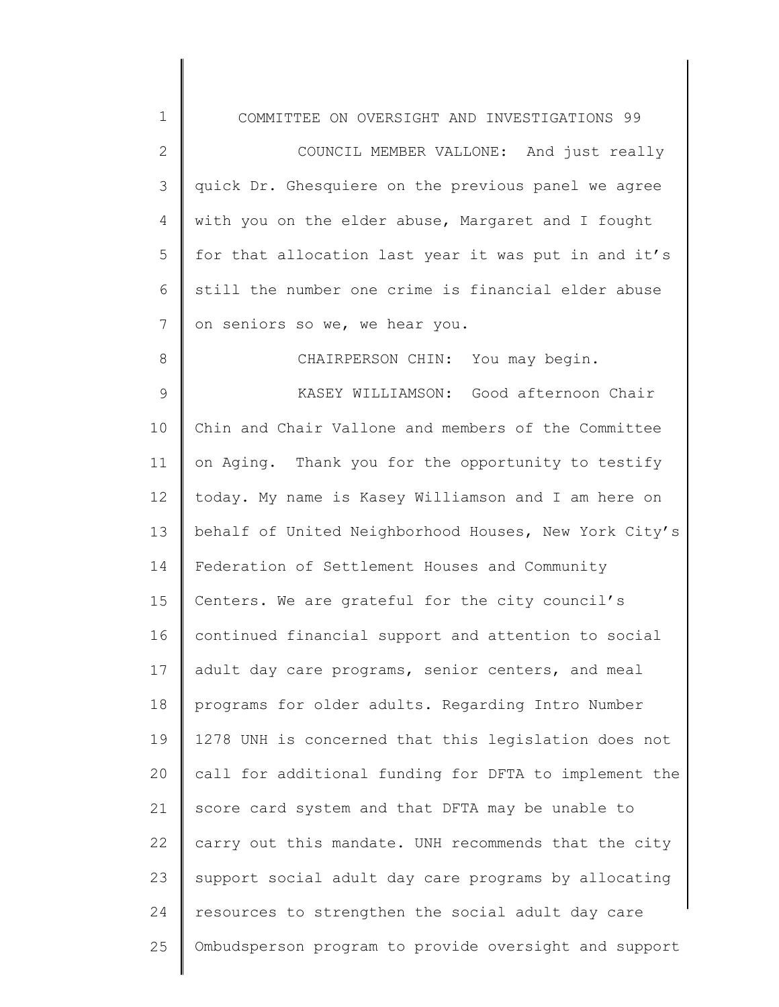| 1            | COMMITTEE ON OVERSIGHT AND INVESTIGATIONS 99          |
|--------------|-------------------------------------------------------|
| $\mathbf{2}$ | COUNCIL MEMBER VALLONE: And just really               |
| 3            | quick Dr. Ghesquiere on the previous panel we agree   |
| 4            | with you on the elder abuse, Margaret and I fought    |
| 5            | for that allocation last year it was put in and it's  |
| 6            | still the number one crime is financial elder abuse   |
| 7            | on seniors so we, we hear you.                        |
| 8            | CHAIRPERSON CHIN: You may begin.                      |
| 9            | KASEY WILLIAMSON: Good afternoon Chair                |
| 10           | Chin and Chair Vallone and members of the Committee   |
| 11           | on Aging. Thank you for the opportunity to testify    |
| 12           | today. My name is Kasey Williamson and I am here on   |
| 13           | behalf of United Neighborhood Houses, New York City's |
| 14           | Federation of Settlement Houses and Community         |
| 15           | Centers. We are grateful for the city council's       |
| 16           | continued financial support and attention to social   |
| 17           | adult day care programs, senior centers, and meal     |
| 18           | programs for older adults. Regarding Intro Number     |
| 19           | 1278 UNH is concerned that this legislation does not  |
| 20           | call for additional funding for DFTA to implement the |
| 21           | score card system and that DFTA may be unable to      |
| 22           | carry out this mandate. UNH recommends that the city  |
| 23           | support social adult day care programs by allocating  |
| 24           | resources to strengthen the social adult day care     |
| 25           | Ombudsperson program to provide oversight and support |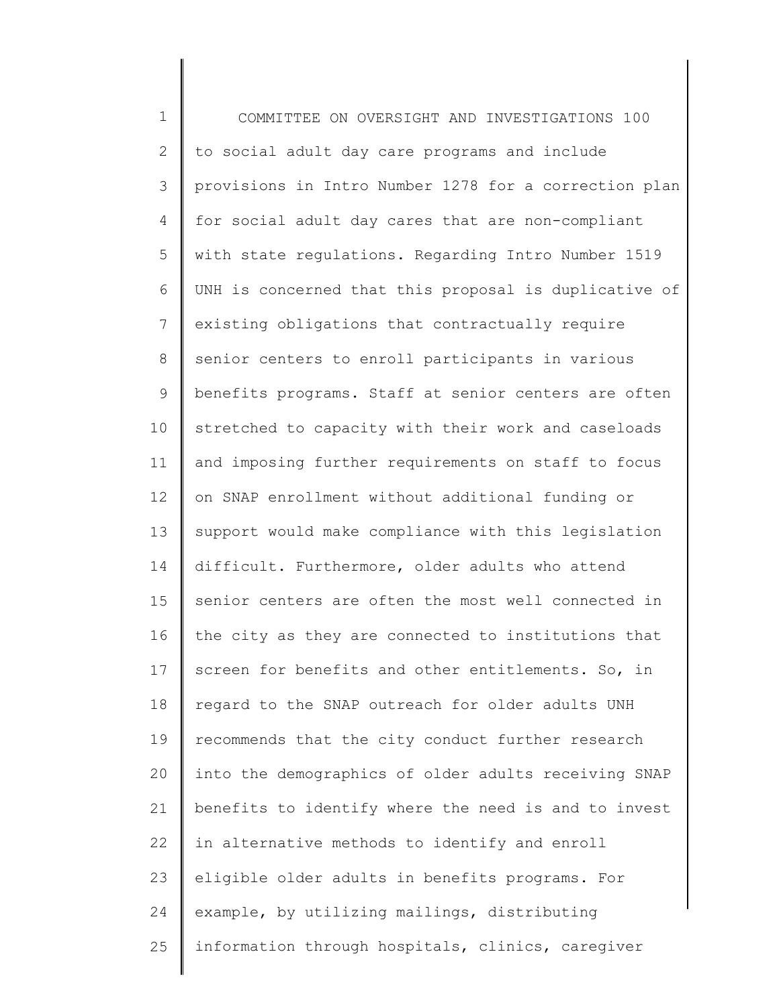1 2 3 4 5 6 7 8 9 10 11 12 13 14 15 16 17 18 19 20 21 22 23 24 25 COMMITTEE ON OVERSIGHT AND INVESTIGATIONS 100 to social adult day care programs and include provisions in Intro Number 1278 for a correction plan for social adult day cares that are non-compliant with state regulations. Regarding Intro Number 1519 UNH is concerned that this proposal is duplicative of existing obligations that contractually require senior centers to enroll participants in various benefits programs. Staff at senior centers are often stretched to capacity with their work and caseloads and imposing further requirements on staff to focus on SNAP enrollment without additional funding or support would make compliance with this legislation difficult. Furthermore, older adults who attend senior centers are often the most well connected in the city as they are connected to institutions that screen for benefits and other entitlements. So, in regard to the SNAP outreach for older adults UNH recommends that the city conduct further research into the demographics of older adults receiving SNAP benefits to identify where the need is and to invest in alternative methods to identify and enroll eligible older adults in benefits programs. For example, by utilizing mailings, distributing information through hospitals, clinics, caregiver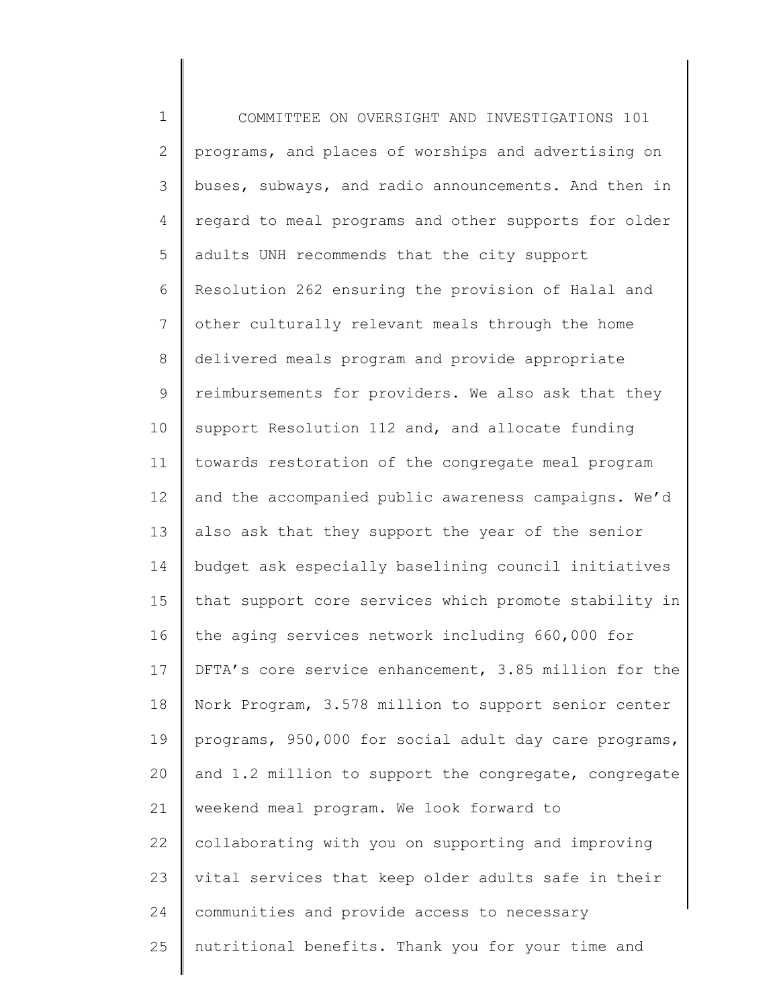1 2 3 4 5 6 7 8 9 10 11 12 13 14 15 16 17 18 19 20 21 22 23 24 25 COMMITTEE ON OVERSIGHT AND INVESTIGATIONS 101 programs, and places of worships and advertising on buses, subways, and radio announcements. And then in regard to meal programs and other supports for older adults UNH recommends that the city support Resolution 262 ensuring the provision of Halal and other culturally relevant meals through the home delivered meals program and provide appropriate reimbursements for providers. We also ask that they support Resolution 112 and, and allocate funding towards restoration of the congregate meal program and the accompanied public awareness campaigns. We'd also ask that they support the year of the senior budget ask especially baselining council initiatives that support core services which promote stability in the aging services network including 660,000 for DFTA's core service enhancement, 3.85 million for the Nork Program, 3.578 million to support senior center programs, 950,000 for social adult day care programs, and 1.2 million to support the congregate, congregate weekend meal program. We look forward to collaborating with you on supporting and improving vital services that keep older adults safe in their communities and provide access to necessary nutritional benefits. Thank you for your time and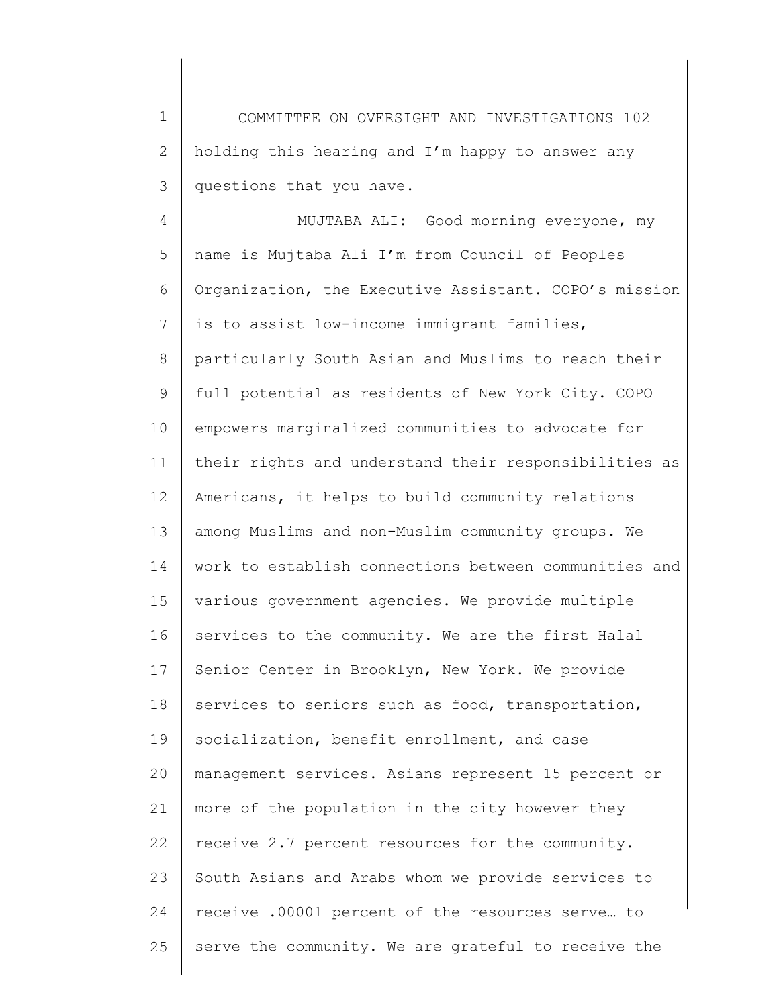1 2 3 COMMITTEE ON OVERSIGHT AND INVESTIGATIONS 102 holding this hearing and I'm happy to answer any questions that you have.

4 5 6 7 8 9 10 11 12 13 14 15 16 17 18 19 20 21 22 23 24 25 MUJTABA ALI: Good morning everyone, my name is Mujtaba Ali I'm from Council of Peoples Organization, the Executive Assistant. COPO's mission is to assist low-income immigrant families, particularly South Asian and Muslims to reach their full potential as residents of New York City. COPO empowers marginalized communities to advocate for their rights and understand their responsibilities as Americans, it helps to build community relations among Muslims and non-Muslim community groups. We work to establish connections between communities and various government agencies. We provide multiple services to the community. We are the first Halal Senior Center in Brooklyn, New York. We provide services to seniors such as food, transportation, socialization, benefit enrollment, and case management services. Asians represent 15 percent or more of the population in the city however they receive 2.7 percent resources for the community. South Asians and Arabs whom we provide services to receive .00001 percent of the resources serve… to serve the community. We are grateful to receive the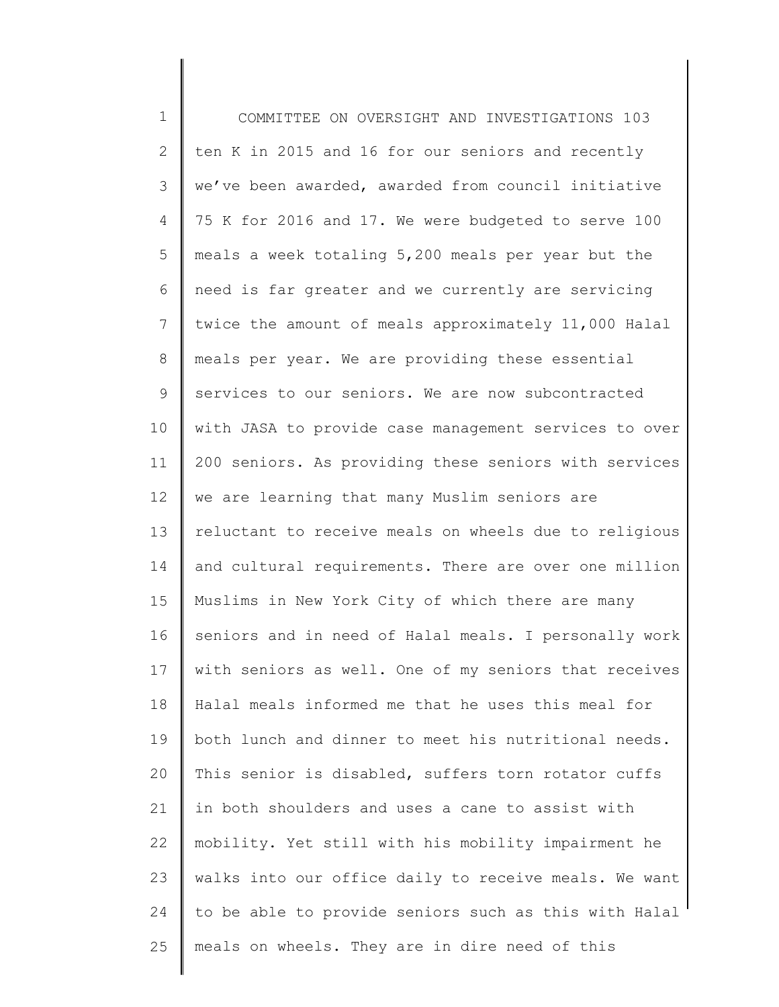| $\mathbf 1$     | COMMITTEE ON OVERSIGHT AND INVESTIGATIONS 103         |
|-----------------|-------------------------------------------------------|
| 2               | ten K in 2015 and 16 for our seniors and recently     |
| 3               | we've been awarded, awarded from council initiative   |
| 4               | 75 K for 2016 and 17. We were budgeted to serve 100   |
| 5               | meals a week totaling 5,200 meals per year but the    |
| 6               | need is far greater and we currently are servicing    |
| $7\phantom{.0}$ | twice the amount of meals approximately 11,000 Halal  |
| 8               | meals per year. We are providing these essential      |
| 9               | services to our seniors. We are now subcontracted     |
| 10              | with JASA to provide case management services to over |
| 11              | 200 seniors. As providing these seniors with services |
| 12              | we are learning that many Muslim seniors are          |
| 13              | reluctant to receive meals on wheels due to religious |
| 14              | and cultural requirements. There are over one million |
| 15              | Muslims in New York City of which there are many      |
| 16              | seniors and in need of Halal meals. I personally work |
| 17 <sub>2</sub> | with seniors as well. One of my seniors that receives |
| 18              | Halal meals informed me that he uses this meal for    |
| 19              | both lunch and dinner to meet his nutritional needs.  |
| 20              | This senior is disabled, suffers torn rotator cuffs   |
| 21              | in both shoulders and uses a cane to assist with      |
| 22              | mobility. Yet still with his mobility impairment he   |
| 23              | walks into our office daily to receive meals. We want |
| 24              | to be able to provide seniors such as this with Halal |
| 25              | meals on wheels. They are in dire need of this        |
|                 |                                                       |

∥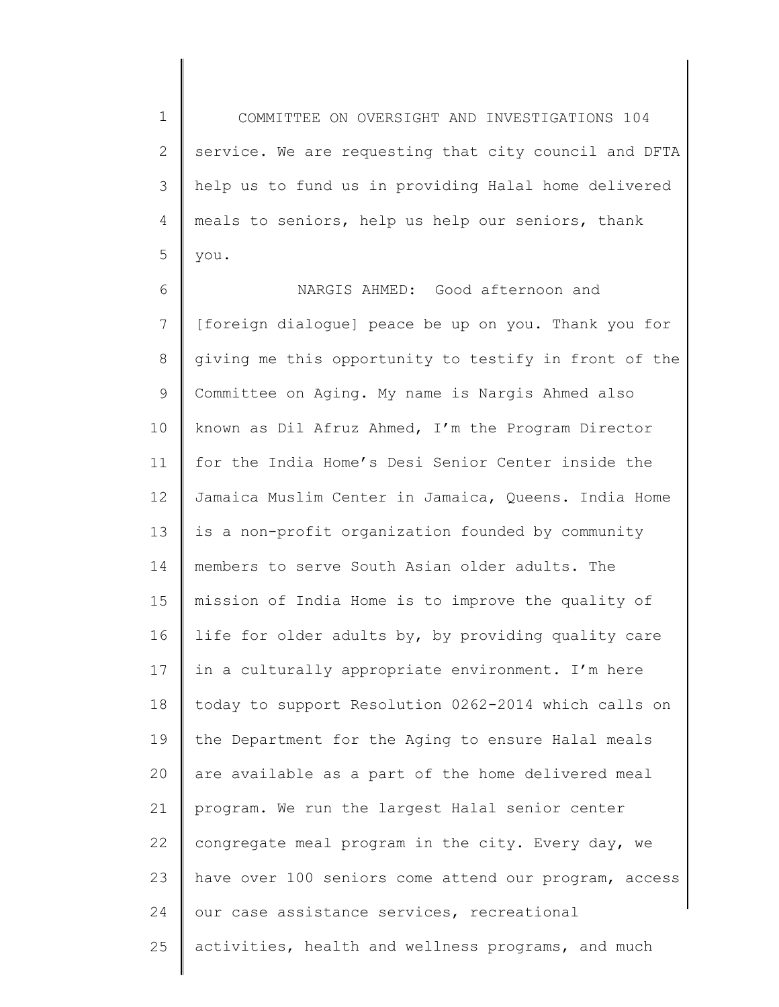1 2 3 4 5 COMMITTEE ON OVERSIGHT AND INVESTIGATIONS 104 service. We are requesting that city council and DFTA help us to fund us in providing Halal home delivered meals to seniors, help us help our seniors, thank you.

6 7 8 9 10 11 12 13 14 15 16 17 18 19 20 21 22 23 24 25 NARGIS AHMED: Good afternoon and [foreign dialogue] peace be up on you. Thank you for giving me this opportunity to testify in front of the Committee on Aging. My name is Nargis Ahmed also known as Dil Afruz Ahmed, I'm the Program Director for the India Home's Desi Senior Center inside the Jamaica Muslim Center in Jamaica, Queens. India Home is a non-profit organization founded by community members to serve South Asian older adults. The mission of India Home is to improve the quality of life for older adults by, by providing quality care in a culturally appropriate environment. I'm here today to support Resolution 0262-2014 which calls on the Department for the Aging to ensure Halal meals are available as a part of the home delivered meal program. We run the largest Halal senior center congregate meal program in the city. Every day, we have over 100 seniors come attend our program, access our case assistance services, recreational activities, health and wellness programs, and much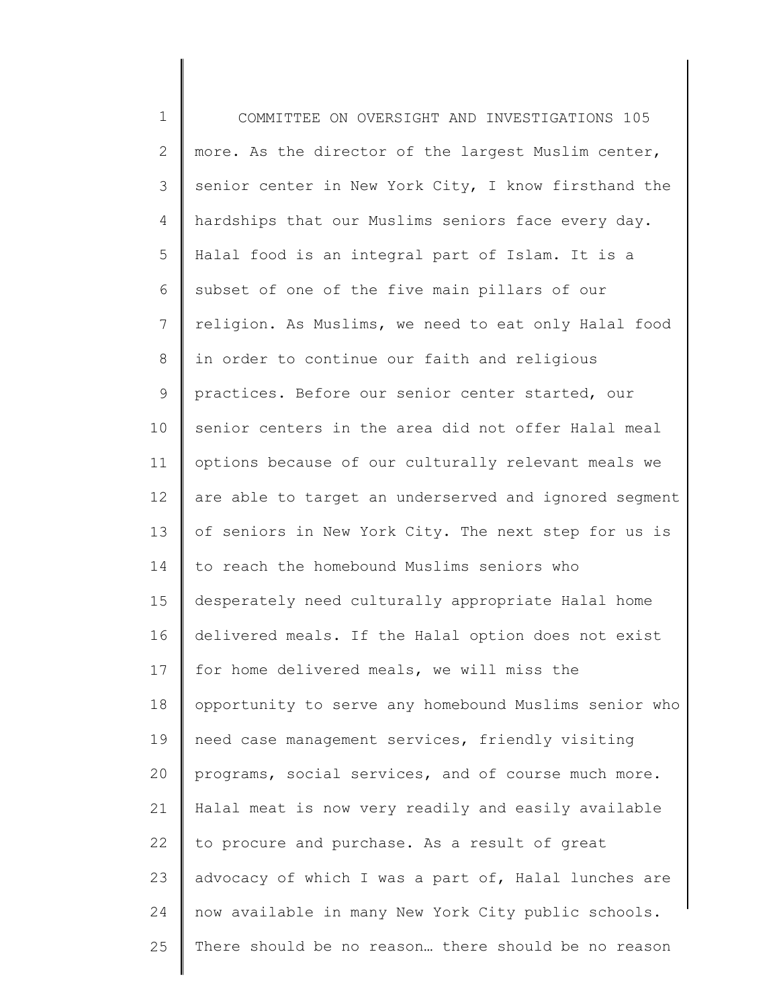1 2 3 4 5 6 7 8 9 10 11 12 13 14 15 16 17 18 19 20 21 22 23 24 25 COMMITTEE ON OVERSIGHT AND INVESTIGATIONS 105 more. As the director of the largest Muslim center, senior center in New York City, I know firsthand the hardships that our Muslims seniors face every day. Halal food is an integral part of Islam. It is a subset of one of the five main pillars of our religion. As Muslims, we need to eat only Halal food in order to continue our faith and religious practices. Before our senior center started, our senior centers in the area did not offer Halal meal options because of our culturally relevant meals we are able to target an underserved and ignored segment of seniors in New York City. The next step for us is to reach the homebound Muslims seniors who desperately need culturally appropriate Halal home delivered meals. If the Halal option does not exist for home delivered meals, we will miss the opportunity to serve any homebound Muslims senior who need case management services, friendly visiting programs, social services, and of course much more. Halal meat is now very readily and easily available to procure and purchase. As a result of great advocacy of which I was a part of, Halal lunches are now available in many New York City public schools. There should be no reason… there should be no reason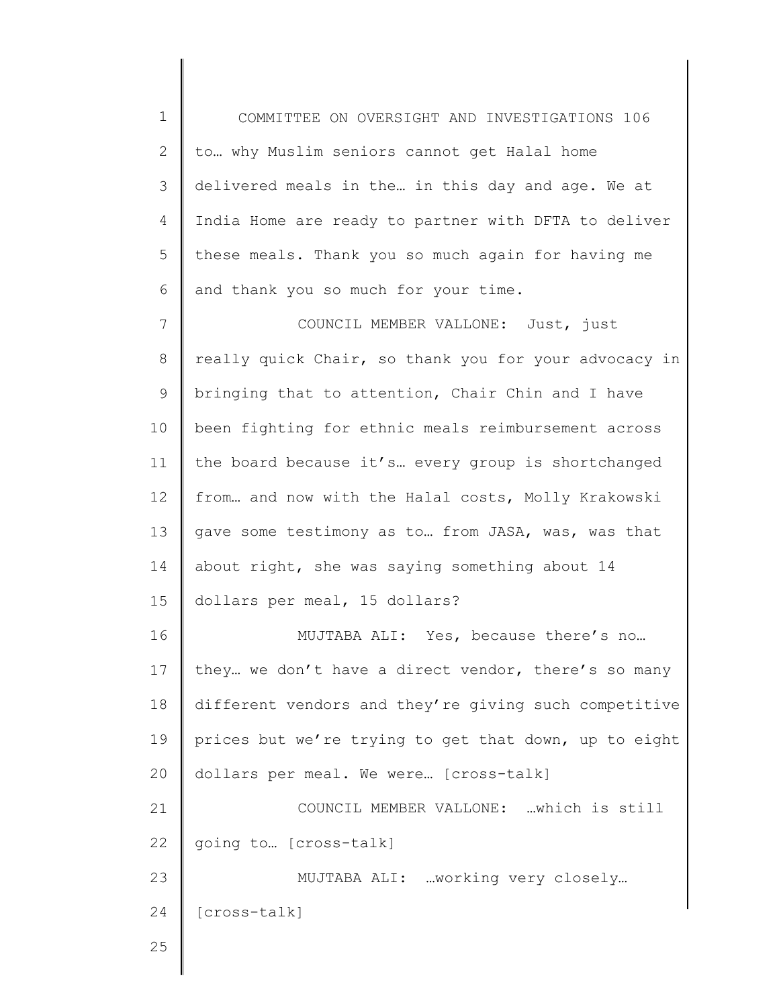1 2 3 4 5 6 7 8 9 10 11 12 13 14 15 16 17 18 19 20 21 22 23 24 25 COMMITTEE ON OVERSIGHT AND INVESTIGATIONS 106 to… why Muslim seniors cannot get Halal home delivered meals in the… in this day and age. We at India Home are ready to partner with DFTA to deliver these meals. Thank you so much again for having me and thank you so much for your time. COUNCIL MEMBER VALLONE: Just, just really quick Chair, so thank you for your advocacy in bringing that to attention, Chair Chin and I have been fighting for ethnic meals reimbursement across the board because it's… every group is shortchanged from… and now with the Halal costs, Molly Krakowski gave some testimony as to… from JASA, was, was that about right, she was saying something about 14 dollars per meal, 15 dollars? MUJTABA ALI: Yes, because there's no… they… we don't have a direct vendor, there's so many different vendors and they're giving such competitive prices but we're trying to get that down, up to eight dollars per meal. We were… [cross-talk] COUNCIL MEMBER VALLONE: …which is still going to… [cross-talk] MUJTABA ALI: …working very closely… [cross-talk]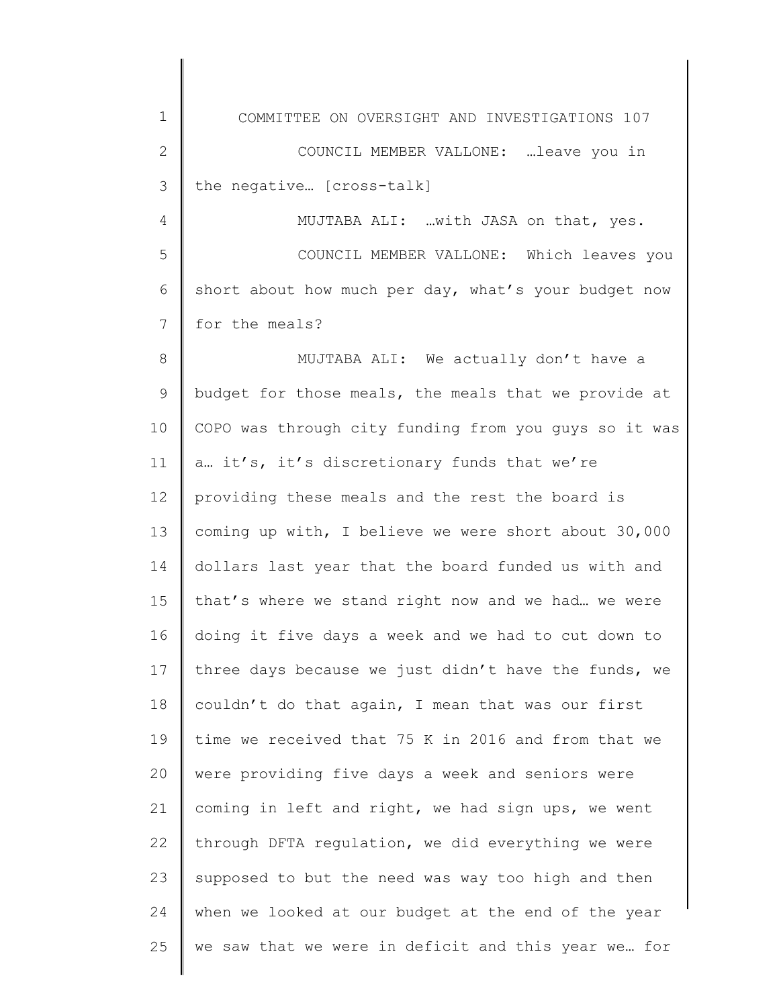| $\mathbf 1$  | COMMITTEE ON OVERSIGHT AND INVESTIGATIONS 107         |
|--------------|-------------------------------------------------------|
| $\mathbf{2}$ | COUNCIL MEMBER VALLONE: leave you in                  |
| 3            | the negative [cross-talk]                             |
| 4            | MUJTABA ALI: with JASA on that, yes.                  |
| 5            | COUNCIL MEMBER VALLONE: Which leaves you              |
| 6            | short about how much per day, what's your budget now  |
| 7            | for the meals?                                        |
| 8            | MUJTABA ALI: We actually don't have a                 |
| 9            | budget for those meals, the meals that we provide at  |
| 10           | COPO was through city funding from you guys so it was |
| 11           | a it's, it's discretionary funds that we're           |
| 12           | providing these meals and the rest the board is       |
| 13           | coming up with, I believe we were short about 30,000  |
| 14           | dollars last year that the board funded us with and   |
| 15           | that's where we stand right now and we had we were    |
| 16           | doing it five days a week and we had to cut down to   |
| 17           | three days because we just didn't have the funds, we  |
| 18           | couldn't do that again, I mean that was our first     |
| 19           | time we received that 75 K in 2016 and from that we   |
| 20           | were providing five days a week and seniors were      |
| 21           | coming in left and right, we had sign ups, we went    |
| 22           | through DFTA regulation, we did everything we were    |
| 23           | supposed to but the need was way too high and then    |
| 24           | when we looked at our budget at the end of the year   |
| 25           | we saw that we were in deficit and this year we for   |
|              |                                                       |

 $\begin{array}{c} \hline \end{array}$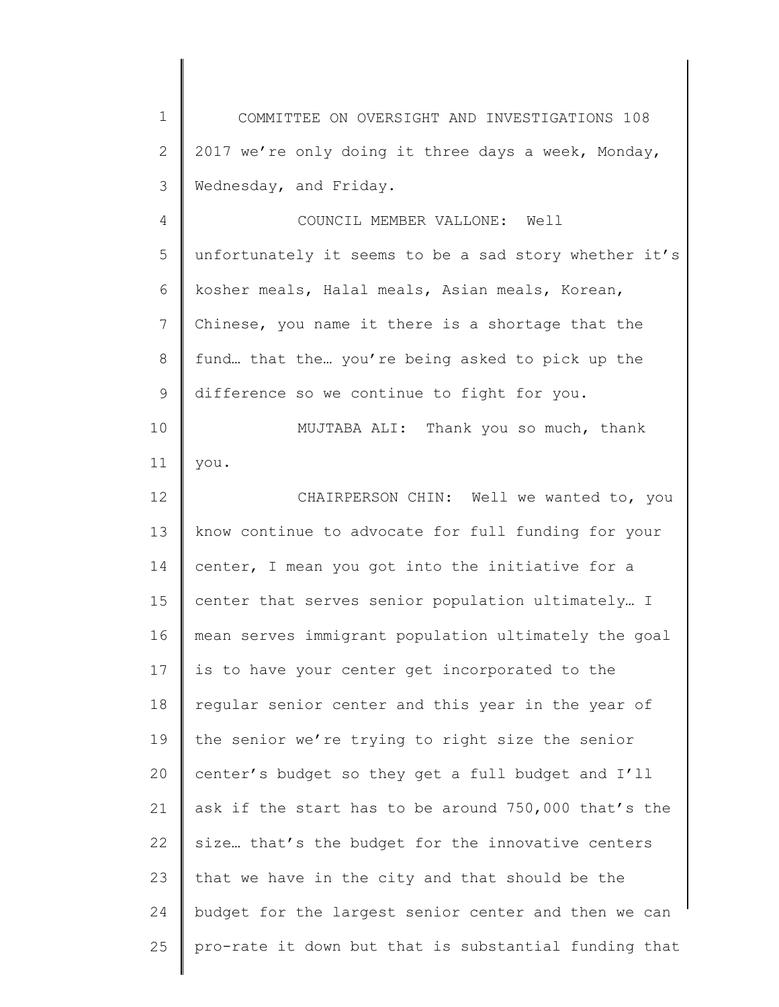1 2 3 4 5 6 7 8 9 10 11 12 13 14 15 16 17 18 19 20 21 22 23 24 25 COMMITTEE ON OVERSIGHT AND INVESTIGATIONS 108 2017 we're only doing it three days a week, Monday, Wednesday, and Friday. COUNCIL MEMBER VALLONE: Well unfortunately it seems to be a sad story whether it's kosher meals, Halal meals, Asian meals, Korean, Chinese, you name it there is a shortage that the fund… that the… you're being asked to pick up the difference so we continue to fight for you. MUJTABA ALI: Thank you so much, thank you. CHAIRPERSON CHIN: Well we wanted to, you know continue to advocate for full funding for your center, I mean you got into the initiative for a center that serves senior population ultimately… I mean serves immigrant population ultimately the goal is to have your center get incorporated to the regular senior center and this year in the year of the senior we're trying to right size the senior center's budget so they get a full budget and I'll ask if the start has to be around 750,000 that's the size… that's the budget for the innovative centers that we have in the city and that should be the budget for the largest senior center and then we can pro-rate it down but that is substantial funding that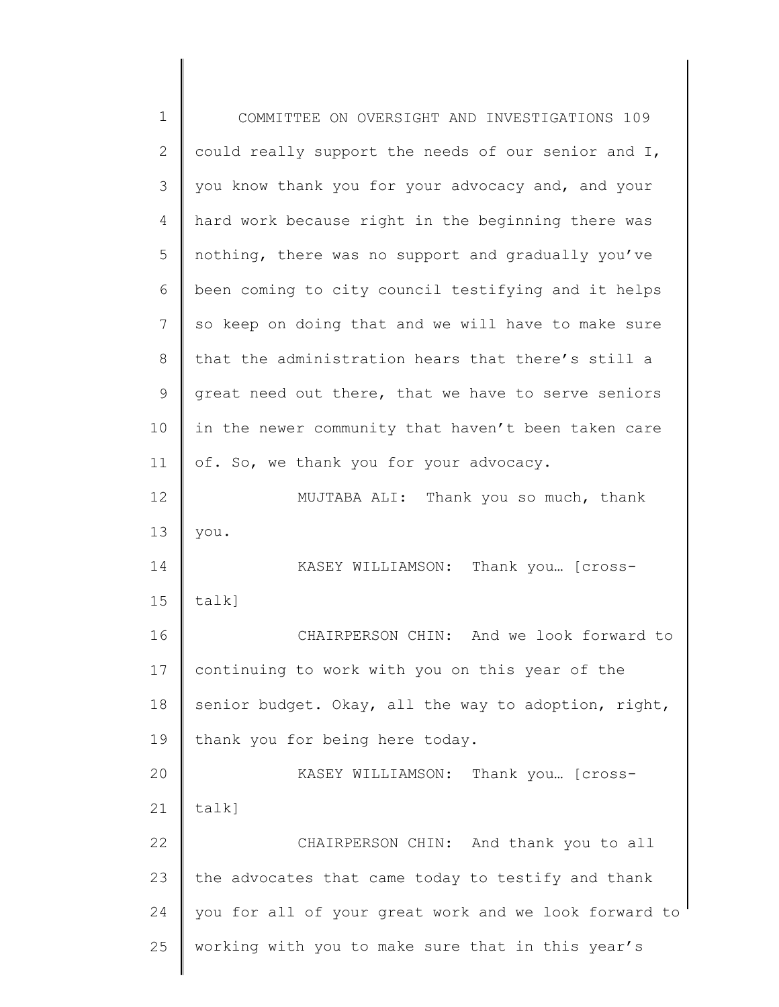| 1            | COMMITTEE ON OVERSIGHT AND INVESTIGATIONS 109         |
|--------------|-------------------------------------------------------|
| $\mathbf{2}$ | could really support the needs of our senior and I,   |
| 3            | you know thank you for your advocacy and, and your    |
| 4            | hard work because right in the beginning there was    |
| 5            | nothing, there was no support and gradually you've    |
| 6            | been coming to city council testifying and it helps   |
| 7            | so keep on doing that and we will have to make sure   |
| 8            | that the administration hears that there's still a    |
| 9            | great need out there, that we have to serve seniors   |
| 10           | in the newer community that haven't been taken care   |
| 11           | of. So, we thank you for your advocacy.               |
| 12           | MUJTABA ALI: Thank you so much, thank                 |
| 13           | you.                                                  |
| 14           | KASEY WILLIAMSON: Thank you [cross-                   |
| 15           | $talk$ ]                                              |
| 16           | CHAIRPERSON CHIN: And we look forward to              |
| 17           | continuing to work with you on this year of the       |
| 18           | senior budget. Okay, all the way to adoption, right,  |
| 19           | thank you for being here today.                       |
| 20           | KASEY WILLIAMSON: Thank you [cross-                   |
| 21           | talk]                                                 |
| 22           | CHAIRPERSON CHIN: And thank you to all                |
| 23           | the advocates that came today to testify and thank    |
| 24           | you for all of your great work and we look forward to |
| 25           | working with you to make sure that in this year's     |
|              |                                                       |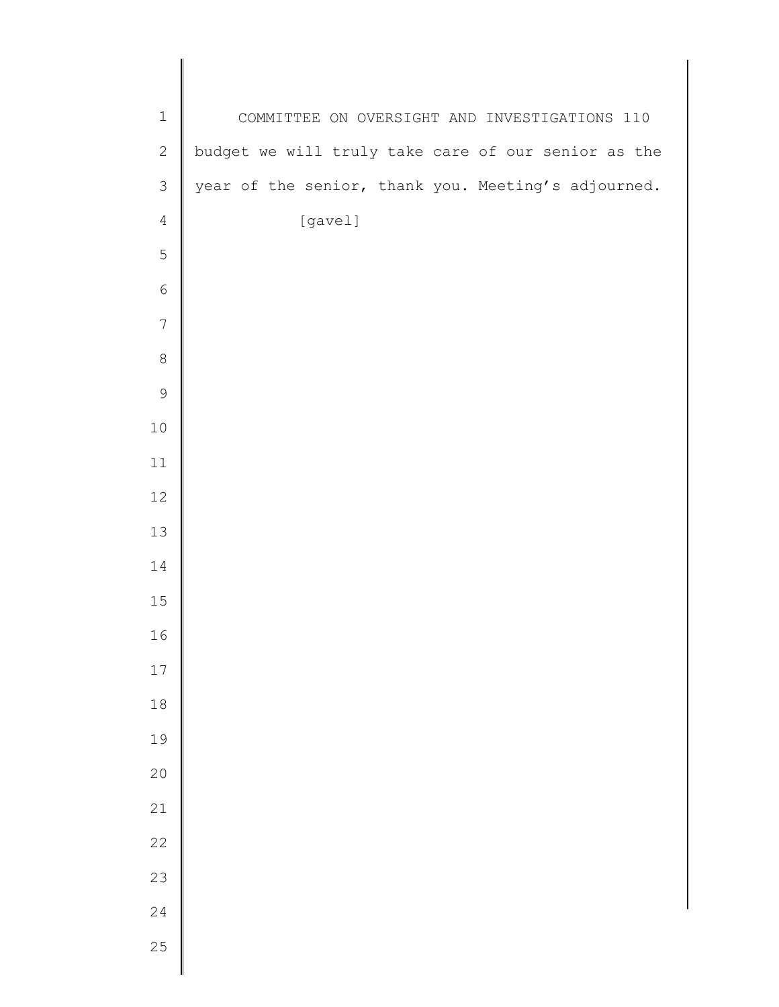| $\mathbf 1$<br>COMMITTEE ON OVERSIGHT AND INVESTIGATIONS 110<br>budget we will truly take care of our senior as the<br>$\mathbf{2}$<br>year of the senior, thank you. Meeting's adjourned.<br>$\mathfrak{Z}$<br>[gavel]<br>$\sqrt{4}$<br>5<br>$\epsilon$<br>$\overline{7}$<br>$\,8\,$<br>$\mathsf 9$<br>$10\,$<br>$11\,$<br>$12$<br>13<br>14<br>$15$<br>16<br>17<br>$18$<br>19<br>20<br>21<br>22<br>23<br>24<br>25 |  |
|--------------------------------------------------------------------------------------------------------------------------------------------------------------------------------------------------------------------------------------------------------------------------------------------------------------------------------------------------------------------------------------------------------------------|--|
|                                                                                                                                                                                                                                                                                                                                                                                                                    |  |
|                                                                                                                                                                                                                                                                                                                                                                                                                    |  |
|                                                                                                                                                                                                                                                                                                                                                                                                                    |  |
|                                                                                                                                                                                                                                                                                                                                                                                                                    |  |
|                                                                                                                                                                                                                                                                                                                                                                                                                    |  |
|                                                                                                                                                                                                                                                                                                                                                                                                                    |  |
|                                                                                                                                                                                                                                                                                                                                                                                                                    |  |
|                                                                                                                                                                                                                                                                                                                                                                                                                    |  |
|                                                                                                                                                                                                                                                                                                                                                                                                                    |  |
|                                                                                                                                                                                                                                                                                                                                                                                                                    |  |
|                                                                                                                                                                                                                                                                                                                                                                                                                    |  |
|                                                                                                                                                                                                                                                                                                                                                                                                                    |  |
|                                                                                                                                                                                                                                                                                                                                                                                                                    |  |
|                                                                                                                                                                                                                                                                                                                                                                                                                    |  |
|                                                                                                                                                                                                                                                                                                                                                                                                                    |  |
|                                                                                                                                                                                                                                                                                                                                                                                                                    |  |
|                                                                                                                                                                                                                                                                                                                                                                                                                    |  |
|                                                                                                                                                                                                                                                                                                                                                                                                                    |  |
|                                                                                                                                                                                                                                                                                                                                                                                                                    |  |
|                                                                                                                                                                                                                                                                                                                                                                                                                    |  |
|                                                                                                                                                                                                                                                                                                                                                                                                                    |  |
|                                                                                                                                                                                                                                                                                                                                                                                                                    |  |
|                                                                                                                                                                                                                                                                                                                                                                                                                    |  |
|                                                                                                                                                                                                                                                                                                                                                                                                                    |  |
|                                                                                                                                                                                                                                                                                                                                                                                                                    |  |